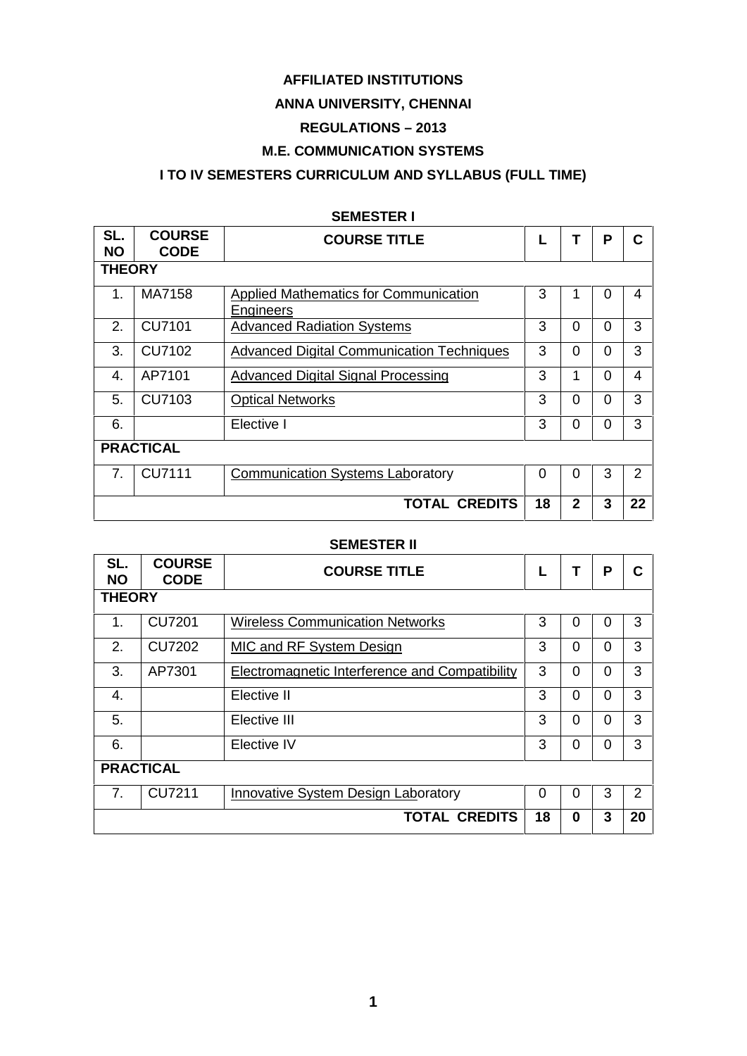# **AFFILIATED INSTITUTIONS**

# **ANNA UNIVERSITY, CHENNAI**

# **REGULATIONS –2013**

# **M.E. COMMUNICATION SYSTEMS**

# **I TO IV SEMESTERS CURRICULUM AND SYLLABUS (FULL TIME)**

| SL.<br><b>NO</b> | <b>COURSE</b><br><b>CODE</b> | <b>COURSE TITLE</b>                                |    |              | P        | C  |  |  |  |  |
|------------------|------------------------------|----------------------------------------------------|----|--------------|----------|----|--|--|--|--|
|                  | <b>THEORY</b>                |                                                    |    |              |          |    |  |  |  |  |
| $\mathbf 1$      | MA7158                       | Applied Mathematics for Communication<br>Engineers | 3  |              | $\Omega$ | 4  |  |  |  |  |
| 2.               | CU7101                       | <b>Advanced Radiation Systems</b>                  | 3  | $\Omega$     | $\Omega$ | 3  |  |  |  |  |
| 3.               | CU7102                       | <b>Advanced Digital Communication Techniques</b>   | 3  | 0            | $\Omega$ | 3  |  |  |  |  |
| 4.               | AP7101                       | <b>Advanced Digital Signal Processing</b>          | 3  | 1            | $\Omega$ | 4  |  |  |  |  |
| 5.               | CU7103                       | <b>Optical Networks</b>                            | 3  | 0            | $\Omega$ | 3  |  |  |  |  |
| 6.               |                              | Elective I                                         | 3  | 0            | $\Omega$ | 3  |  |  |  |  |
|                  | <b>PRACTICAL</b>             |                                                    |    |              |          |    |  |  |  |  |
| 7.               | <b>CU7111</b>                | <b>Communication Systems Laboratory</b>            | 0  | 0            | 3        | 2  |  |  |  |  |
|                  |                              | <b>TOTAL CREDITS</b>                               | 18 | $\mathbf{2}$ | 3        | 22 |  |  |  |  |

### **SEMESTER I**

### **SEMESTER II**

| SL.<br><b>NO</b> | <b>COURSE</b><br><b>CODE</b> | <b>COURSE TITLE</b>                            |    |          | P        | C              |  |  |  |  |
|------------------|------------------------------|------------------------------------------------|----|----------|----------|----------------|--|--|--|--|
|                  | <b>THEORY</b>                |                                                |    |          |          |                |  |  |  |  |
| 1.               | <b>CU7201</b>                | <b>Wireless Communication Networks</b>         | 3  | 0        | 0        | 3              |  |  |  |  |
| 2.               | <b>CU7202</b>                | MIC and RF System Design                       | 3  | $\Omega$ | 0        | 3              |  |  |  |  |
| 3.               | AP7301                       | Electromagnetic Interference and Compatibility | 3  | 0        | 0        | 3              |  |  |  |  |
| 4.               |                              | Elective II                                    | 3  | $\Omega$ | $\Omega$ | 3              |  |  |  |  |
| 5.               |                              | Elective III                                   | 3  | $\Omega$ | $\Omega$ | 3              |  |  |  |  |
| 6.               |                              | Elective IV                                    | 3  | $\Omega$ | $\Omega$ | 3              |  |  |  |  |
|                  | <b>PRACTICAL</b>             |                                                |    |          |          |                |  |  |  |  |
| 7.               | <b>CU7211</b>                | Innovative System Design Laboratory            | 0  | 0        | 3        | $\overline{2}$ |  |  |  |  |
|                  |                              | <b>TOTAL CREDITS</b>                           | 18 | 0        | 3        | 20             |  |  |  |  |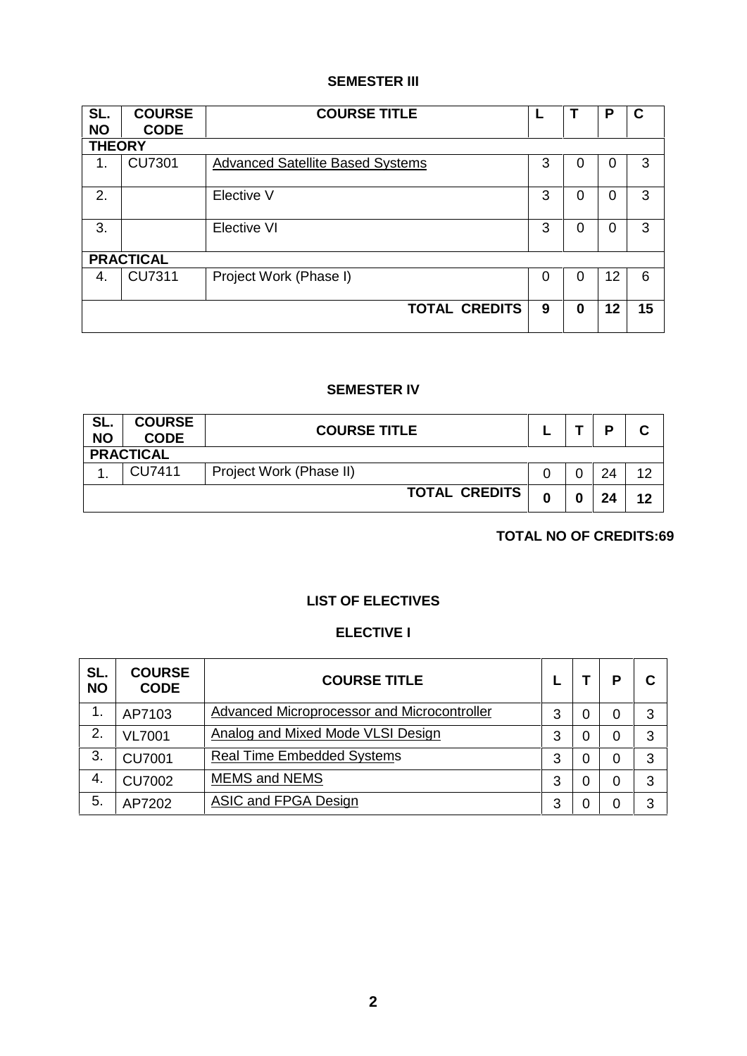# **SEMESTER III**

| SL.<br><b>NO</b> | <b>COURSE</b><br><b>CODE</b> | <b>COURSE TITLE</b>                     |          |          | P  | $\mathbf c$ |
|------------------|------------------------------|-----------------------------------------|----------|----------|----|-------------|
| <b>THEORY</b>    |                              |                                         |          |          |    |             |
| 1.               | <b>CU7301</b>                | <b>Advanced Satellite Based Systems</b> | 3        | $\Omega$ | 0  | 3           |
| 2.               |                              | Elective V                              | 3        | $\Omega$ | 0  | 3           |
| 3.               |                              | Elective VI                             | 3        | $\Omega$ | 0  | 3           |
|                  | <b>PRACTICAL</b>             |                                         |          |          |    |             |
| 4.               | <b>CU7311</b>                | Project Work (Phase I)                  | $\Omega$ | $\Omega$ | 12 | 6           |
|                  |                              | <b>TOTAL CREDITS</b>                    | 9        | $\bf{0}$ | 12 | 15          |

# **SEMESTER IV**

| SL.<br><b>NO</b> | <b>COURSE</b><br><b>CODE</b> | <b>COURSE TITLE</b>     |   |  | D  |    |  |  |  |
|------------------|------------------------------|-------------------------|---|--|----|----|--|--|--|
|                  | <b>PRACTICAL</b>             |                         |   |  |    |    |  |  |  |
|                  | CU7411                       | Project Work (Phase II) |   |  | 24 | 12 |  |  |  |
|                  |                              | <b>TOTAL CREDITS</b>    | ◠ |  | 24 | 12 |  |  |  |

**TOTAL NO OF CREDITS:69**

# **LIST OF ELECTIVES**

# **ELECTIVE I**

| SL.<br><b>NO</b> | <b>COURSE</b><br><b>CODE</b> | <b>COURSE TITLE</b>                         |   |   | D | С |
|------------------|------------------------------|---------------------------------------------|---|---|---|---|
| 1.               | AP7103                       | Advanced Microprocessor and Microcontroller | 3 | 0 | 0 | 3 |
| 2.               | <b>VL7001</b>                | Analog and Mixed Mode VLSI Design           | 3 | 0 | 0 | 3 |
| 3.               | <b>CU7001</b>                | <b>Real Time Embedded Systems</b>           | 3 | 0 | 0 | 3 |
| -4.              | <b>CU7002</b>                | <b>MEMS and NEMS</b>                        | 3 | 0 | 0 | 3 |
| 5.               | AP7202                       | <b>ASIC and FPGA Design</b>                 | 3 | O | 0 | 3 |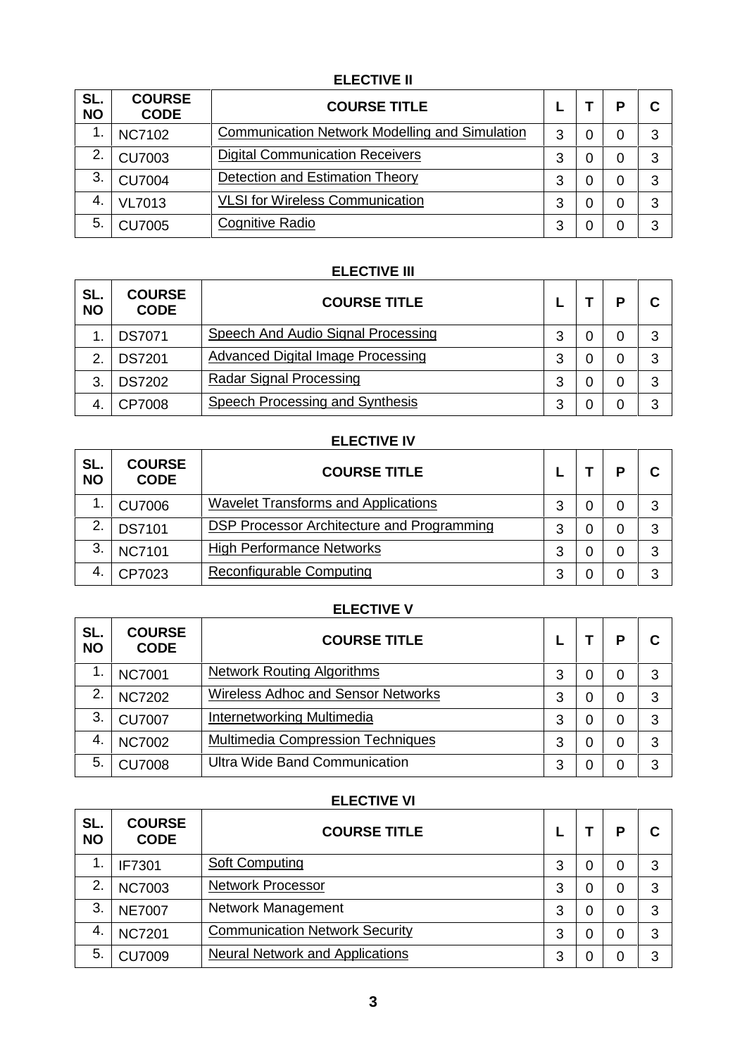# **ELECTIVE II**

| SL.<br><b>NO</b> | <b>COURSE</b><br><b>CODE</b> | <b>COURSE TITLE</b>                            |   |   | P | C |
|------------------|------------------------------|------------------------------------------------|---|---|---|---|
|                  | <b>NC7102</b>                | Communication Network Modelling and Simulation | 3 | 0 | 0 | 3 |
| 2.               | <b>CU7003</b>                | <b>Digital Communication Receivers</b>         | 3 | 0 | 0 | 3 |
| 3                | <b>CU7004</b>                | <b>Detection and Estimation Theory</b>         | 3 | 0 |   | 3 |
| -4.              | <b>VL7013</b>                | <b>VLSI</b> for Wireless Communication         | 3 | 0 | 0 | 3 |
| 5.               | <b>CU7005</b>                | Cognitive Radio                                | 3 |   |   | 3 |

# **ELECTIVE III**

| SL.<br><b>NO</b> | <b>COURSE</b><br><b>CODE</b> | <b>COURSE TITLE</b>                |   | D | С |  |
|------------------|------------------------------|------------------------------------|---|---|---|--|
| 1                | <b>DS7071</b>                | Speech And Audio Signal Processing | 3 | 0 | 3 |  |
| っ                | <b>DS7201</b>                | Advanced Digital Image Processing  | 3 |   | 3 |  |
| 3 <sub>1</sub>   | <b>DS7202</b>                | <b>Radar Signal Processing</b>     | 3 |   | 3 |  |
| -4.              | CP7008                       | Speech Processing and Synthesis    | 3 |   | 3 |  |

# **ELECTIVE IV**

| SL.<br><b>NO</b> | <b>COURSE</b><br><b>CODE</b> | <b>COURSE TITLE</b>                        |   |   | P | С |
|------------------|------------------------------|--------------------------------------------|---|---|---|---|
| 1                | <b>CU7006</b>                | <b>Wavelet Transforms and Applications</b> | 3 | 0 | 0 | 3 |
| 2.               | <b>DS7101</b>                | DSP Processor Architecture and Programming | 3 |   | 0 | 3 |
| 3                | <b>NC7101</b>                | <b>High Performance Networks</b>           | 3 |   |   | 3 |
| 4.               | CP7023                       | Reconfigurable Computing                   |   |   |   | 3 |

# **ELECTIVE V**

| SL.<br><b>NO</b> | <b>COURSE</b><br><b>CODE</b> | <b>COURSE TITLE</b>                      |   |   | P | С |
|------------------|------------------------------|------------------------------------------|---|---|---|---|
|                  | <b>NC7001</b>                | <b>Network Routing Algorithms</b>        | 3 | 0 | 0 | 3 |
| 2.               | <b>NC7202</b>                | Wireless Adhoc and Sensor Networks       | 3 | 0 | 0 | 3 |
| 3                | <b>CU7007</b>                | Internetworking Multimedia               | 3 | 0 | 0 | 3 |
| 4.               | <b>NC7002</b>                | <b>Multimedia Compression Techniques</b> | 3 | 0 | 0 | 3 |
| 5                | <b>CU7008</b>                | Ultra Wide Band Communication            | 3 | 0 | 0 | 3 |

# <u>ELECTIVE VI ELECTIVE VI ELECTIVE VI ELECTIVE VI ELECTIVE VI ELECTIVE VI ELECTIVE VII ELECTIVE VII ELECTIVE VII ELECTIVE VII ELECTIVE VII ELECTIVE VII ELECTIVE VII ELECTIVE VII ELECTIVE VII ELECTIVE VII ELECTIVE VII ELECTI</u>

| SL.<br><b>NO</b> | <b>COURSE</b><br><b>CODE</b> | <b>COURSE TITLE</b>                    |   |   | D | С |
|------------------|------------------------------|----------------------------------------|---|---|---|---|
|                  | IF7301                       | Soft Computing                         | 3 | 0 | 0 | 3 |
| 2.               | <b>NC7003</b>                | <b>Network Processor</b>               | 3 | 0 | 0 | 3 |
| 3.               | <b>NE7007</b>                | Network Management                     | 3 | 0 | 0 | 3 |
| 4.               | <b>NC7201</b>                | <b>Communication Network Security</b>  | 3 | 0 | 0 | 3 |
| 5.               | <b>CU7009</b>                | <b>Neural Network and Applications</b> | 3 | 0 | 0 | 3 |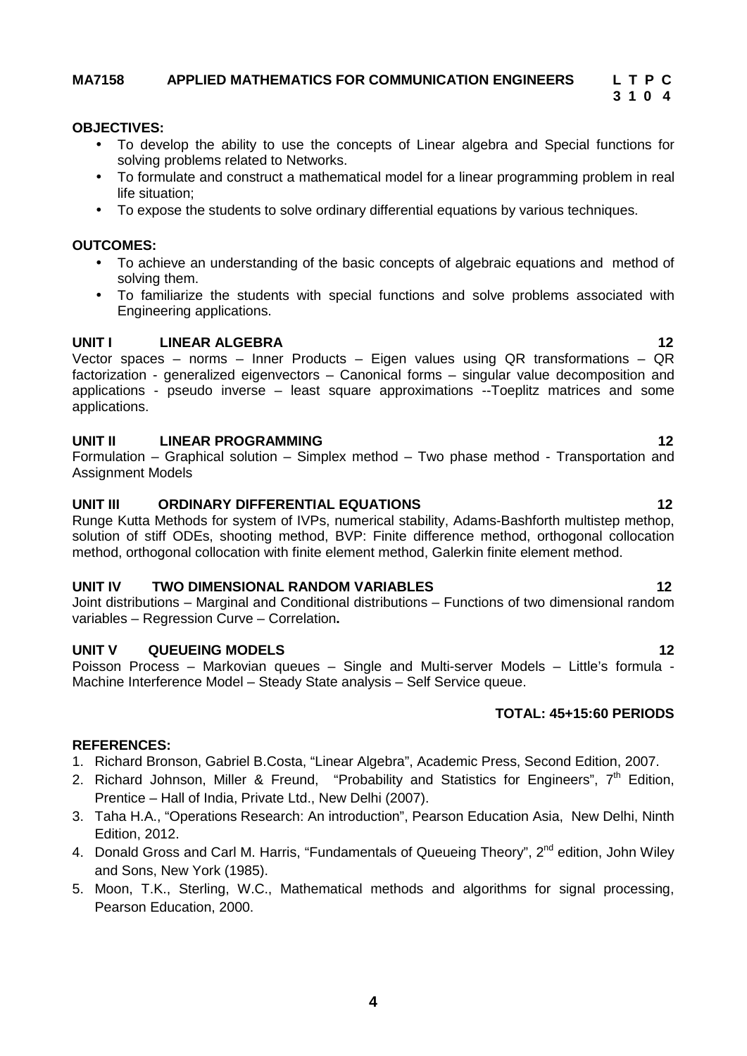# **MA7158 APPLIED MATHEMATICS FOR COMMUNICATION ENGINEERS L T P C**

### **OBJECTIVES:**

- To develop the ability to use the concepts of Linear algebra and Special functions for solving problems related to Networks.
- To formulate and construct a mathematical model for a linear programming problem in real life situation;
- To expose the students to solve ordinary differential equations by various techniques.

### **OUTCOMES:**

- To achieve an understanding of the basic concepts of algebraic equations and method of solving them.
- To familiarize the students with special functions and solve problems associated with Engineering applications.

### **UNIT I LINEAR ALGEBRA 12**

Vector spaces – norms – Inner Products – Eigen values using QR transformations – QR factorization - generalized eigenvectors – Canonical forms – singular value decomposition and applications - pseudo inverse – least square approximations --Toeplitz matrices and some applications.

### **UNIT II LINEAR PROGRAMMING 12**

Formulation – Graphical solution – Simplex method – Two phase method - Transportation and Assignment Models

### **UNIT III ORDINARY DIFFERENTIAL EQUATIONS 12**

Runge Kutta Methods for system of IVPs, numerical stability, Adams-Bashforth multistep methop, solution of stiff ODEs, shooting method, BVP: Finite difference method, orthogonal collocation method, orthogonal collocation with finite element method, Galerkin finite element method.

### **UNIT IV TWO DIMENSIONAL RANDOM VARIABLES 12**

Joint distributions – Marginal and Conditional distributions – Functions of two dimensional random variables – Regression Curve – Correlation**.**

### **UNIT V QUEUEING MODELS 12**

Poisson Process – Markovian queues – Single and Multi-server Models – Little's formula - Machine Interference Model – Steady State analysis – Self Service queue.

### **TOTAL: 45+15:60 PERIODS**

### **REFERENCES:**

- 1. Richard Bronson, Gabriel B.Costa, "Linear Algebra", Academic Press, Second Edition, 2007.
- 2. Richard Johnson, Miller & Freund, "Probability and Statistics for Engineers", 7<sup>th</sup> Edition, Prentice – Hall of India, Private Ltd., New Delhi (2007).
- 3. Taha H.A., "Operations Research: An introduction", Pearson Education Asia, New Delhi, Ninth Edition, 2012.
- 4. Donald Gross and Carl M. Harris, "Fundamentals of Queueing Theory", 2<sup>nd</sup> edition, John Wilev and Sons, New York (1985).
- 5. Moon, T.K., Sterling, W.C., Mathematical methods and algorithms for signal processing, Pearson Education, 2000.

**3 1 0 4**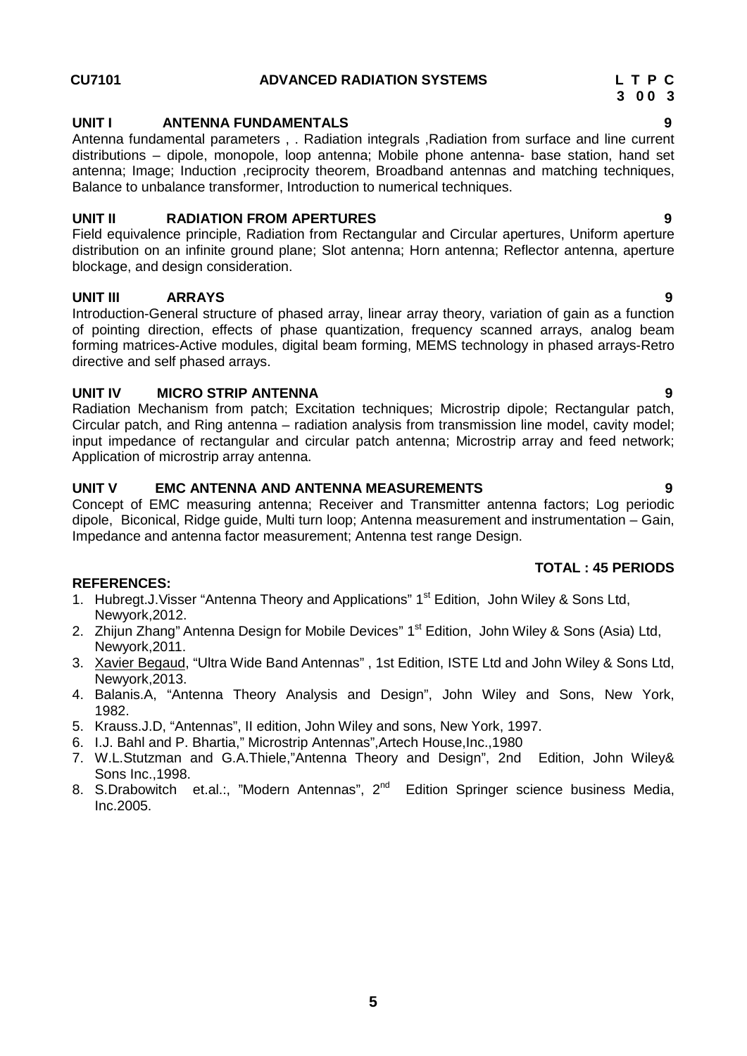# **CU7101 ADVANCED RADIATION SYSTEMS L T P C**

# **UNIT I ANTENNA FUNDAMENTALS 9**

Antenna fundamental parameters , . Radiation integrals ,Radiation from surface and line current distributions – dipole, monopole, loop antenna; Mobile phone antenna- base station, hand set antenna; Image; Induction ,reciprocity theorem, Broadband antennas and matching techniques, Balance to unbalance transformer, Introduction to numerical techniques.

# **UNIT II RADIATION FROM APERTURES 9**

Field equivalence principle, Radiation from Rectangular and Circular apertures, Uniform aperture distribution on an infinite ground plane; Slot antenna; Horn antenna; Reflector antenna, aperture blockage, and design consideration.

# **UNIT III ARRAYS 9**

Introduction-General structure of phased array, linear array theory, variation of gain as a function of pointing direction, effects of phase quantization, frequency scanned arrays, analog beam forming matrices-Active modules, digital beam forming, MEMS technology in phased arrays-Retro directive and self phased arrays.

# **UNIT IV MICRO STRIP ANTENNA 9**

Radiation Mechanism from patch; Excitation techniques; Microstrip dipole; Rectangular patch, Circular patch, and Ring antenna – radiation analysis from transmission line model, cavity model; input impedance of rectangular and circular patch antenna; Microstrip array and feed network; Application of microstrip array antenna.

# **UNIT V EMC ANTENNA AND ANTENNA MEASUREMENTS 9**

Concept of EMC measuring antenna; Receiver and Transmitter antenna factors; Log periodic dipole, Biconical, Ridge guide, Multi turn loop; Antenna measurement and instrumentation – Gain, Impedance and antenna factor measurement; Antenna test range Design.

# **TOTAL : 45 PERIODS**

- 1. Hubregt.J. Visser "Antenna Theory and Applications" 1<sup>st</sup> Edition, John Wiley & Sons Ltd, Newyork,2012.
- 2. Zhijun Zhang" Antenna Design for Mobile Devices" 1<sup>st</sup> Edition, John Wiley & Sons (Asia) Ltd, Newyork,2011.
- 3. Xavier Begaud, "Ultra Wide Band Antennas" , 1st Edition, ISTE Ltd and John Wiley & Sons Ltd, Newyork,2013.
- 4. Balanis.A, "Antenna Theory Analysis and Design", John Wiley and Sons, New York, 1982.
- 5. Krauss.J.D, "Antennas", II edition, John Wiley and sons, New York, 1997.
- 6. I.J. Bahl and P. Bhartia," Microstrip Antennas",Artech House,Inc.,1980
- 7. W.L.Stutzman and G.A.Thiele,"Antenna Theory and Design", 2nd Edition, John Wiley& Sons Inc.,1998.
- 8. S.Drabowitch et.al.:, "Modern Antennas", 2<sup>nd</sup> Edition Springer science business Media, Inc.2005.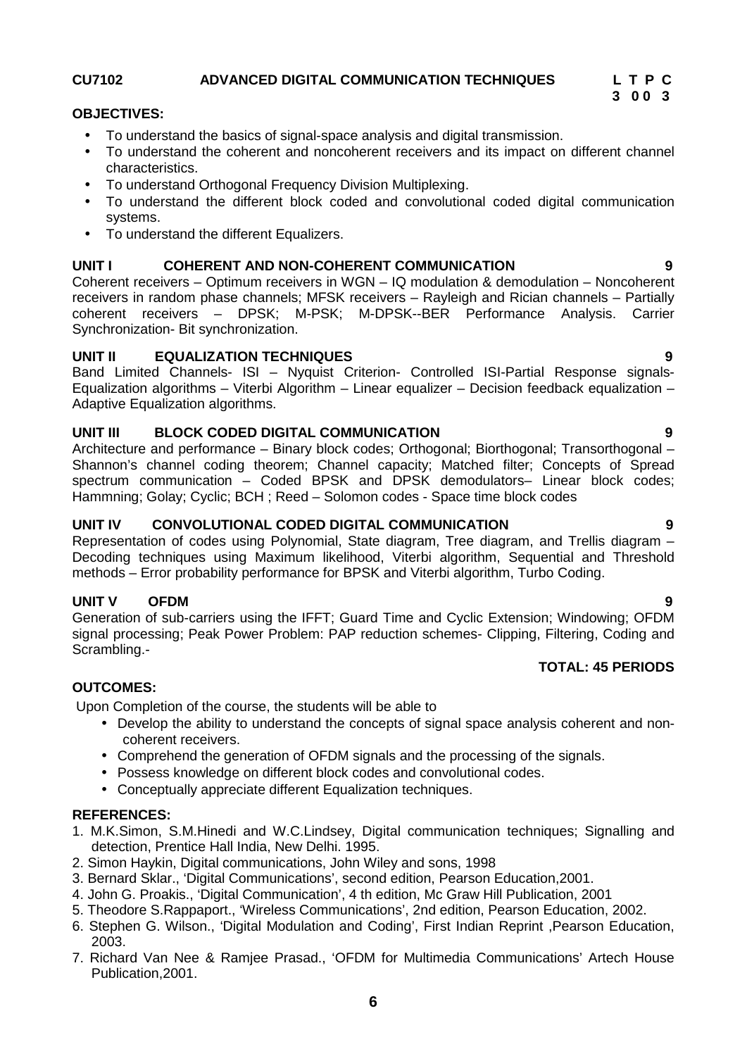# **CU7102 ADVANCED DIGITAL COMMUNICATION TECHNIQUES L T P C**

# **3 0 0 3**

### **OBJECTIVES:**

- To understand the basics of signal-space analysis and digital transmission.
- To understand the coherent and noncoherent receivers and its impact on different channel characteristics.
- To understand Orthogonal Frequency Division Multiplexing.
- To understand the different block coded and convolutional coded digital communication systems.
- To understand the different Equalizers.

# **UNIT I COHERENT AND NON-COHERENT COMMUNICATION 9**

Coherent receivers – Optimum receivers in WGN – IQ modulation & demodulation – Noncoherent receivers in random phase channels; MFSK receivers – Rayleigh and Rician channels – Partially coherent receivers – DPSK; M-PSK; M-DPSK--BER Performance Analysis. Carrier Synchronization- Bit synchronization.

# **UNIT II EQUALIZATION TECHNIQUES 9**

Band Limited Channels- ISI – Nyquist Criterion- Controlled ISI-Partial Response signals- Equalization algorithms – Viterbi Algorithm – Linear equalizer – Decision feedback equalization – Adaptive Equalization algorithms.

# **UNIT III BLOCK CODED DIGITAL COMMUNICATION 9**

Architecture and performance – Binary block codes; Orthogonal; Biorthogonal; Transorthogonal – Shannon's channel coding theorem; Channel capacity; Matched filter; Concepts of Spread spectrum communication – Coded BPSK and DPSK demodulators– Linear block codes; Hammning; Golay; Cyclic; BCH ; Reed – Solomon codes - Space time block codes

# **UNIT IV CONVOLUTIONAL CODED DIGITAL COMMUNICATION 9**

Representation of codes using Polynomial, State diagram, Tree diagram, and Trellis diagram – Decoding techniques using Maximum likelihood, Viterbi algorithm, Sequential and Threshold methods – Error probability performance for BPSK and Viterbi algorithm, Turbo Coding.

# **UNIT V OFDM 9**

Generation of sub-carriers using the IFFT; Guard Time and Cyclic Extension; Windowing; OFDM signal processing; Peak Power Problem: PAP reduction schemes- Clipping, Filtering, Coding and Scrambling.-

# **TOTAL: 45 PERIODS**

# **OUTCOMES:**

Upon Completion of the course, the students will be able to

- Develop the ability to understand the concepts of signal space analysis coherent and non coherent receivers.
- Comprehend the generation of OFDM signals and the processing of the signals.
- Possess knowledge on different block codes and convolutional codes.
- Conceptually appreciate different Equalization techniques.

- 1. M.K.Simon, S.M.Hinedi and W.C.Lindsey, Digital communication techniques; Signalling and detection, Prentice Hall India, New Delhi. 1995.
- 2. Simon Haykin, Digital communications, John Wiley and sons, 1998
- 3. Bernard Sklar., 'Digital Communications', second edition, Pearson Education,2001.
- 4. John G. Proakis., 'Digital Communication', 4 th edition, Mc Graw Hill Publication, 2001
- 5. Theodore S.Rappaport., 'Wireless Communications', 2nd edition, Pearson Education, 2002.
- 6. Stephen G. Wilson., 'Digital Modulation and Coding', First Indian Reprint ,Pearson Education, 2003.
- 7. Richard Van Nee & Ramjee Prasad., 'OFDM for Multimedia Communications' Artech House Publication,2001.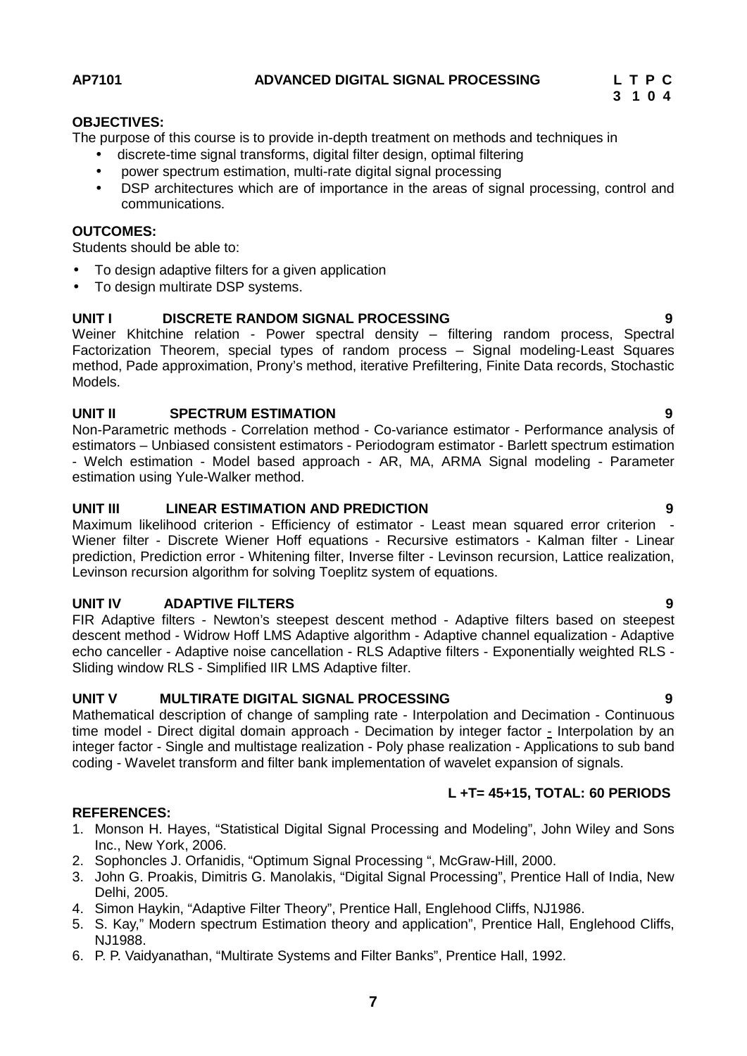### **AP7101 ADVANCED DIGITAL SIGNAL PROCESSING L T P C**

# **3 1 0 4**

### **OBJECTIVES:**

The purpose of this course is to provide in-depth treatment on methods and techniques in

- discrete-time signal transforms, digital filter design, optimal filtering
- power spectrum estimation, multi-rate digital signal processing
- DSP architectures which are of importance in the areas of signal processing, control and communications.

# **OUTCOMES:**

Students should be able to:

- To design adaptive filters for a given application
- To design multirate DSP systems.

# **UNIT I DISCRETE RANDOM SIGNAL PROCESSING 9**

Weiner Khitchine relation - Power spectral density – filtering random process, Spectral Factorization Theorem, special types of random process – Signal modeling-Least Squares method, Pade approximation, Prony's method, iterative Prefiltering, Finite Data records, Stochastic Models.

# **UNIT II SPECTRUM ESTIMATION 9**

Non-Parametric methods - Correlation method - Co-variance estimator - Performance analysis of estimators – Unbiased consistent estimators - Periodogram estimator - Barlett spectrum estimation - Welch estimation - Model based approach - AR, MA, ARMA Signal modeling - Parameter estimation using Yule-Walker method.

# **UNIT III LINEAR ESTIMATION AND PREDICTION 9**

Maximum likelihood criterion - Efficiency of estimator - Least mean squared error criterion - Wiener filter - Discrete Wiener Hoff equations - Recursive estimators - Kalman filter - Linear prediction, Prediction error - Whitening filter, Inverse filter - Levinson recursion, Lattice realization, Levinson recursion algorithm for solving Toeplitz system of equations.

# **UNIT IV ADAPTIVE FILTERS 9**

FIR Adaptive filters - Newton's steepest descent method - Adaptive filters based on steepest descent method - Widrow Hoff LMS Adaptive algorithm - Adaptive channel equalization - Adaptive echo canceller - Adaptive noise cancellation - RLS Adaptive filters - Exponentially weighted RLS - Sliding window RLS - Simplified IIR LMS Adaptive filter.

# **UNIT V MULTIRATE DIGITAL SIGNAL PROCESSING 9**

Mathematical description of change of sampling rate - Interpolation and Decimation - Continuous time model - Direct digital domain approach - Decimation by integer factor - Interpolation by an integer factor - Single and multistage realization - Poly phase realization - Applications to sub band coding - Wavelet transform and filter bank implementation of wavelet expansion of signals.

# **L +T= 45+15, TOTAL: 60 PERIODS**

- 1. Monson H. Hayes, "Statistical Digital Signal Processing and Modeling", John Wiley and Sons Inc., New York, 2006.
- 2. Sophoncles J. Orfanidis, "Optimum Signal Processing ", McGraw-Hill, 2000.
- 3. John G. Proakis, Dimitris G. Manolakis, "Digital Signal Processing", Prentice Hall of India, New Delhi, 2005.
- 4. Simon Haykin, "Adaptive Filter Theory", Prentice Hall, Englehood Cliffs, NJ1986.
- 5. S. Kay," Modern spectrum Estimation theory and application", Prentice Hall, Englehood Cliffs, NJ1988.
- 6. P. P. Vaidyanathan, "Multirate Systems and Filter Banks", Prentice Hall, 1992.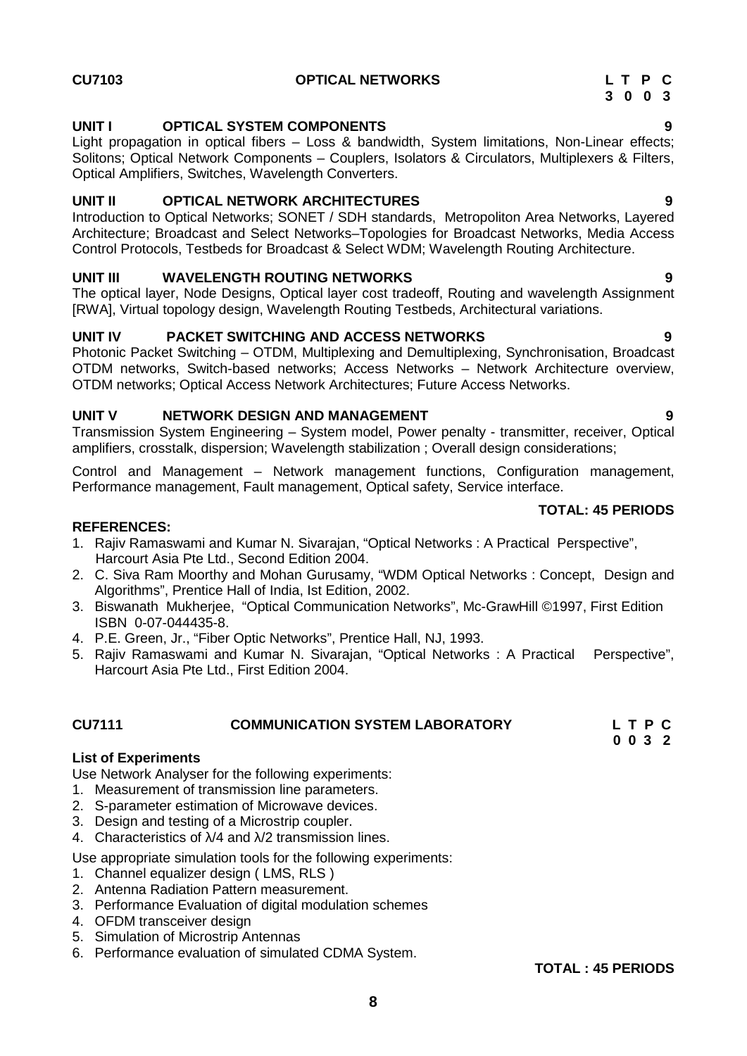# **UNIT I OPTICAL SYSTEM COMPONENTS 9**

Light propagation in optical fibers – Loss & bandwidth, System limitations, Non-Linear effects; Solitons; Optical Network Components – Couplers, Isolators & Circulators, Multiplexers & Filters, Optical Amplifiers, Switches, Wavelength Converters.

# **UNIT II OPTICAL NETWORK ARCHITECTURES 9**

Introduction to Optical Networks; SONET / SDH standards, Metropoliton Area Networks, Layered Architecture; Broadcast and Select Networks–Topologies for Broadcast Networks, Media Access Control Protocols, Testbeds for Broadcast & Select WDM; Wavelength Routing Architecture.

# **UNIT III WAVELENGTH ROUTING NETWORKS 9**

The optical layer, Node Designs, Optical layer cost tradeoff, Routing and wavelength Assignment [RWA], Virtual topology design, Wavelength Routing Testbeds, Architectural variations.

# **UNIT IV PACKET SWITCHING AND ACCESS NETWORKS 9**

Photonic Packet Switching – OTDM, Multiplexing and Demultiplexing, Synchronisation, Broadcast OTDM networks, Switch-based networks; Access Networks – Network Architecture overview, OTDM networks; Optical Access Network Architectures; Future Access Networks.

# **UNIT V NETWORK DESIGN AND MANAGEMENT 9**

Transmission System Engineering – System model, Power penalty - transmitter, receiver, Optical amplifiers, crosstalk, dispersion; Wavelength stabilization ; Overall design considerations;

Control and Management – Network management functions, Configuration management, Performance management, Fault management, Optical safety, Service interface.

# **TOTAL: 45 PERIODS**

# **REFERENCES:**

- 1. Rajiv Ramaswami and Kumar N. Sivarajan, "Optical Networks : A Practical Perspective", Harcourt Asia Pte Ltd., Second Edition 2004.
- 2. C. Siva Ram Moorthy and Mohan Gurusamy, "WDM Optical Networks : Concept, Design and Algorithms", Prentice Hall of India, Ist Edition, 2002.
- 3. Biswanath Mukherjee, "Optical Communication Networks", Mc-GrawHill ©1997, First Edition ISBN 0-07-044435-8.
- 4. P.E. Green, Jr., "Fiber Optic Networks", Prentice Hall, NJ, 1993.
- 5. Rajiv Ramaswami and Kumar N. Sivarajan, "Optical Networks : A Practical Perspective", Harcourt Asia Pte Ltd., First Edition 2004.

### **CU7111 COMMUNICATION SYSTEM LABORATORY L T P C 0 0 3 2**

# **List of Experiments**

Use Network Analyser for the following experiments:

- 1. Measurement of transmission line parameters.
- 2. S-parameter estimation of Microwave devices.
- 3. Design and testing of a Microstrip coupler.
- 4. Characteristics of /4 and /2 transmission lines.

Use appropriate simulation tools for the following experiments:

- 1. Channel equalizer design ( LMS, RLS )
- 2. Antenna Radiation Pattern measurement.
- 3. Performance Evaluation of digital modulation schemes
- 4. OFDM transceiver design
- 5. Simulation of Microstrip Antennas
- 6. Performance evaluation of simulated CDMA System.

$$
\overline{OTAL} : AE
$$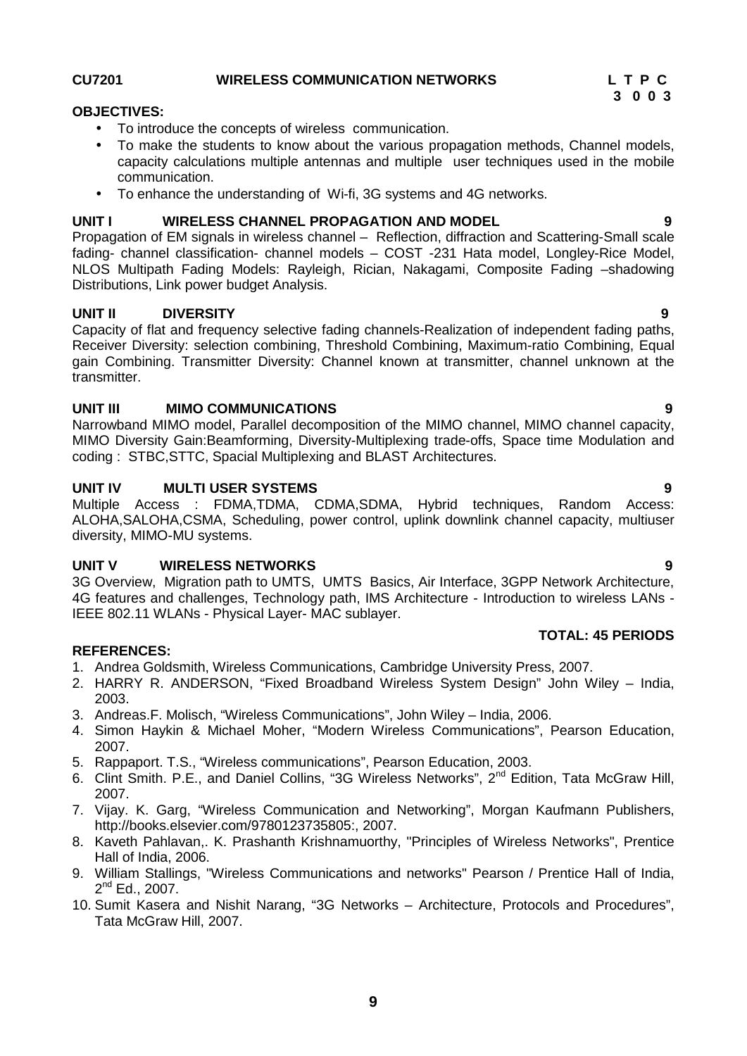**9**

# **CU7201 WIRELESS COMMUNICATION NETWORKS L T P C**

# **OBJECTIVES:**

- To introduce the concepts of wireless communication.
- To make the students to know about the various propagation methods, Channel models, capacity calculations multiple antennas and multiple user techniques used in the mobile communication.
- To enhance the understanding of Wi-fi, 3G systems and 4G networks.

# **UNIT I WIRELESS CHANNEL PROPAGATION AND MODEL 9**

Propagation of EM signals in wireless channel – Reflection, diffraction and Scattering-Small scale fading- channel classification- channel models – COST -231 Hata model, Longley-Rice Model, NLOS Multipath Fading Models: Rayleigh, Rician, Nakagami, Composite Fading –shadowing Distributions, Link power budget Analysis.

# **UNIT II DIVERSITY 9**

Capacity of flat and frequency selective fading channels-Realization of independent fading paths, Receiver Diversity: selection combining, Threshold Combining, Maximum-ratio Combining, Equal gain Combining. Transmitter Diversity: Channel known at transmitter, channel unknown at the transmitter.

# **UNIT III MIMO COMMUNICATIONS 9**

Narrowband MIMO model, Parallel decomposition of the MIMO channel, MIMO channel capacity, MIMO Diversity Gain:Beamforming, Diversity-Multiplexing trade-offs, Space time Modulation and coding : STBC,STTC, Spacial Multiplexing and BLAST Architectures.

# **UNIT IV MULTI USER SYSTEMS 9**

Multiple Access : FDMA,TDMA, CDMA,SDMA, Hybrid techniques, Random Access: ALOHA,SALOHA,CSMA, Scheduling, power control, uplink downlink channel capacity, multiuser diversity, MIMO-MU systems.

# **UNIT V WIRELESS NETWORKS 9**

3G Overview, Migration path to UMTS, UMTS Basics, Air Interface, 3GPP Network Architecture, 4G features and challenges, Technology path, IMS Architecture - Introduction to wireless LANs - IEEE 802.11 WLANs - Physical Layer- MAC sublayer.

# **REFERENCES:**

- 1. Andrea Goldsmith, Wireless Communications, Cambridge University Press, 2007.
- 2. HARRY R. ANDERSON, "Fixed Broadband Wireless System Design" John Wiley India, 2003.
- 3. Andreas.F. Molisch, "Wireless Communications", John Wiley India, 2006.
- 4. Simon Haykin & Michael Moher, "Modern Wireless Communications", Pearson Education, 2007.
- 5. Rappaport. T.S., "Wireless communications", Pearson Education, 2003.
- 6. Clint Smith. P.E., and Daniel Collins, "3G Wireless Networks", 2<sup>nd</sup> Edition, Tata McGraw Hill, 2007.
- 7. Vijay. K. Garg, "Wireless Communication and Networking", Morgan Kaufmann Publishers, http://books.elsevier.com/9780123735805:, 2007.
- 8. Kaveth Pahlavan,. K. Prashanth Krishnamuorthy, "Principles of Wireless Networks", Prentice Hall of India, 2006.
- 9. William Stallings, "Wireless Communications and networks" Pearson / Prentice Hall of India, 2<sup>nd</sup> Ed., 2007.
- 10. Sumit Kasera and Nishit Narang, "3G Networks Architecture, Protocols and Procedures", Tata McGraw Hill, 2007.

**TOTAL: 45 PERIODS**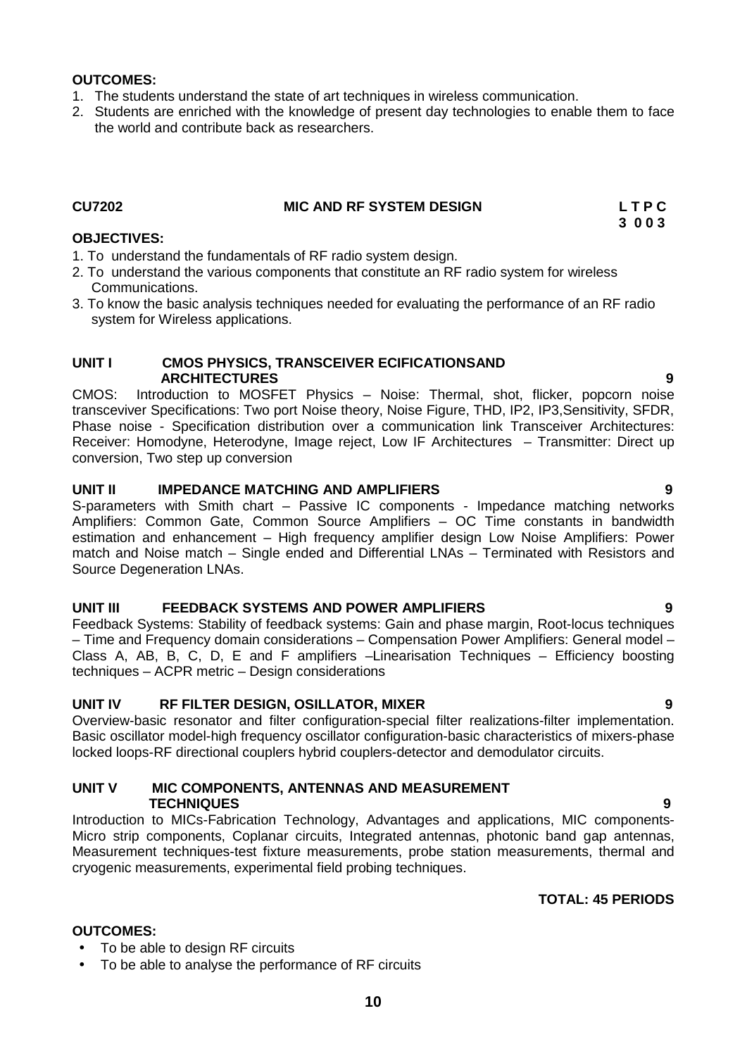# **OUTCOMES:**

- 1. The students understand the state of art techniques in wireless communication.
- 2. Students are enriched with the knowledge of present day technologies to enable them to face the world and contribute back as researchers.

### **CU7202 MIC AND RF SYSTEM DESIGN L T P C**

**3 0 0 3**

### **OBJECTIVES:**

- 1. To understand the fundamentals of RF radio system design.
- 2. To understand the various components that constitute an RF radio system for wireless Communications.
- 3. To know the basic analysis techniques needed for evaluating the performance of an RF radio system for Wireless applications.

# **UNIT I CMOS PHYSICS, TRANSCEIVER ECIFICATIONSAND ARCHITECTURES 9**

CMOS: Introduction to MOSFET Physics – Noise: Thermal, shot, flicker, popcorn noise transceviver Specifications: Two port Noise theory, Noise Figure, THD, IP2, IP3,Sensitivity, SFDR, Phase noise - Specification distribution over a communication link Transceiver Architectures: Receiver: Homodyne, Heterodyne, Image reject, Low IF Architectures – Transmitter: Direct up conversion, Two step up conversion

# **UNIT II IMPEDANCE MATCHING AND AMPLIFIERS 9**

S-parameters with Smith chart – Passive IC components - Impedance matching networks Amplifiers: Common Gate, Common Source Amplifiers – OC Time constants in bandwidth estimation and enhancement – High frequency amplifier design Low Noise Amplifiers: Power match and Noise match – Single ended and Differential LNAs – Terminated with Resistors and Source Degeneration LNAs.

# **UNIT III FEEDBACK SYSTEMS AND POWER AMPLIFIERS 9**

Feedback Systems: Stability of feedback systems: Gain and phase margin, Root-locus techniques – Time and Frequency domain considerations – Compensation Power Amplifiers: General model – Class A, AB, B, C, D, E and F amplifiers –Linearisation Techniques – Efficiency boosting techniques – ACPR metric – Design considerations

# **UNIT IV RF FILTER DESIGN, OSILLATOR, MIXER 9**

Overview-basic resonator and filter configuration-special filter realizations-filter implementation. Basic oscillator model-high frequency oscillator configuration-basic characteristics of mixers-phase locked loops-RF directional couplers hybrid couplers-detector and demodulator circuits.

# **UNIT V MIC COMPONENTS, ANTENNAS AND MEASUREMENT TECHNIQUES 9**

Introduction to MICs-Fabrication Technology, Advantages and applications, MIC components- Micro strip components, Coplanar circuits, Integrated antennas, photonic band gap antennas, Measurement techniques-test fixture measurements, probe station measurements, thermal and cryogenic measurements, experimental field probing techniques.

# **TOTAL: 45 PERIODS**

# **OUTCOMES:**

- To be able to design RF circuits
- To be able to analyse the performance of RF circuits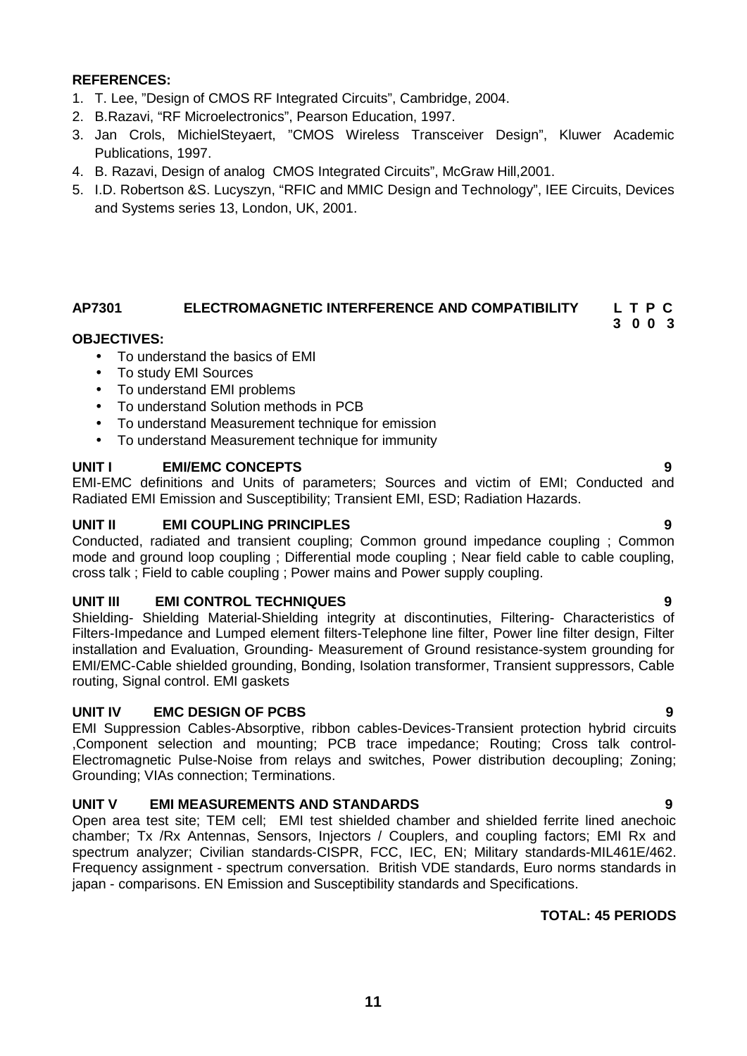- 1. T. Lee, "Design of CMOS RF Integrated Circuits", Cambridge, 2004.
- 2. B.Razavi, "RF Microelectronics", Pearson Education, 1997.
- 3. Jan Crols, MichielSteyaert, "CMOS Wireless Transceiver Design", Kluwer Academic Publications, 1997.
- 4. B. Razavi, Design of analog CMOS Integrated Circuits", McGraw Hill,2001.
- 5. I.D. Robertson &S. Lucyszyn, "RFIC and MMIC Design and Technology", IEE Circuits, Devices and Systems series 13, London, UK, 2001.

# **AP7301 ELECTROMAGNETIC INTERFERENCE AND COMPATIBILITY L T P C**

**3 0 0 3**

# **OBJECTIVES:**

- To understand the basics of EMI
- To study EMI Sources
- To understand EMI problems
- To understand Solution methods in PCB
- To understand Measurement technique for emission
- To understand Measurement technique for immunity

# **UNIT I EMI/EMC CONCEPTS 9**

EMI-EMC definitions and Units of parameters; Sources and victim of EMI; Conducted and Radiated EMI Emission and Susceptibility; Transient EMI, ESD; Radiation Hazards.

# **UNIT II EMI COUPLING PRINCIPLES 9**

Conducted, radiated and transient coupling; Common ground impedance coupling ; Common mode and ground loop coupling ; Differential mode coupling ; Near field cable to cable coupling, cross talk ; Field to cable coupling ; Power mains and Power supply coupling.

# **UNIT III EMI CONTROL TECHNIQUES 9**

Shielding- Shielding Material-Shielding integrity at discontinuties, Filtering- Characteristics of Filters-Impedance and Lumped element filters-Telephone line filter, Power line filter design, Filter installation and Evaluation, Grounding- Measurement of Ground resistance-system grounding for EMI/EMC-Cable shielded grounding, Bonding, Isolation transformer, Transient suppressors, Cable routing, Signal control. EMI gaskets

# **UNIT IV EMC DESIGN OF PCBS 9**

EMI Suppression Cables-Absorptive, ribbon cables-Devices-Transient protection hybrid circuits ,Component selection and mounting; PCB trace impedance; Routing; Cross talk control- Electromagnetic Pulse-Noise from relays and switches, Power distribution decoupling; Zoning; Grounding; VIAs connection; Terminations.

# **UNIT V EMI MEASUREMENTS AND STANDARDS 9**

Open area test site; TEM cell; EMI test shielded chamber and shielded ferrite lined anechoic chamber; Tx /Rx Antennas, Sensors, Injectors / Couplers, and coupling factors; EMI Rx and spectrum analyzer; Civilian standards-CISPR, FCC, IEC, EN; Military standards-MIL461E/462. Frequency assignment - spectrum conversation. British VDE standards, Euro norms standards in japan - comparisons. EN Emission and Susceptibility standards and Specifications.

# **TOTAL: 45 PERIODS**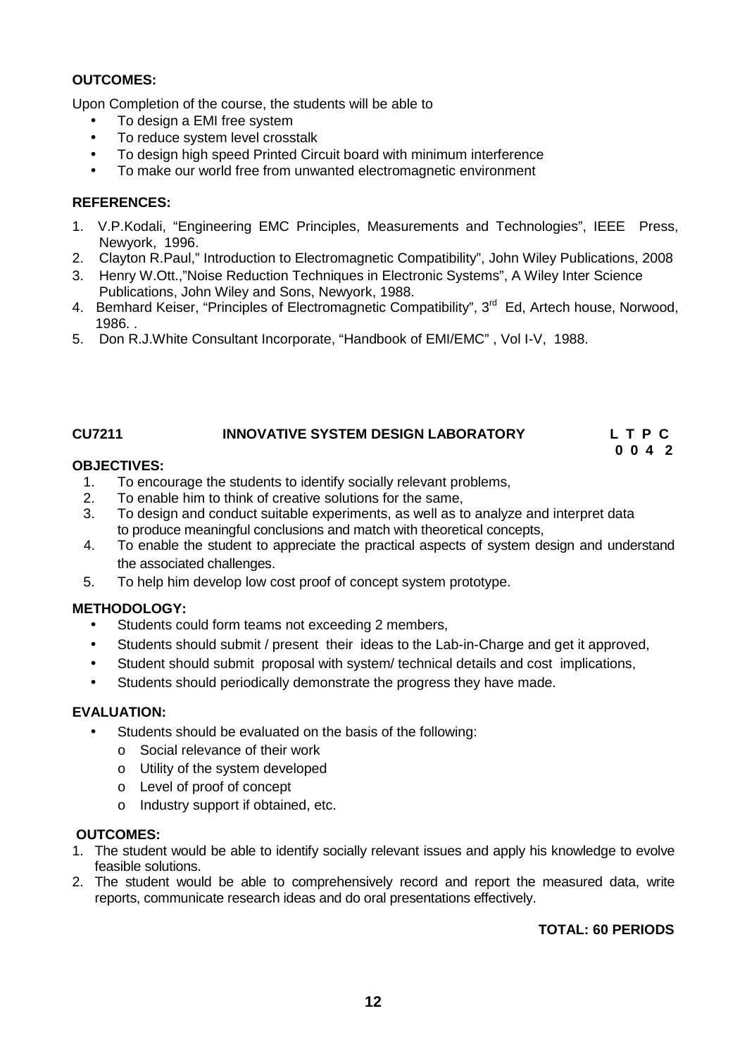# **OUTCOMES:**

Upon Completion of the course, the students will be able to

- To design a EMI free system
- To reduce system level crosstalk
- To design high speed Printed Circuit board with minimum interference
- To make our world free from unwanted electromagnetic environment

# **REFERENCES:**

- 1. V.P.Kodali, "Engineering EMC Principles, Measurements and Technologies", IEEE Press, Newyork, 1996.
- 2. Clayton R.Paul," Introduction to Electromagnetic Compatibility", John Wiley Publications, 2008
- 3. Henry W.Ott.,"Noise Reduction Techniques in Electronic Systems", A Wiley Inter Science Publications, John Wiley and Sons, Newyork, 1988.
- 4. Bemhard Keiser, "Principles of Electromagnetic Compatibility", 3<sup>rd</sup> Ed, Artech house, Norwood. 1986. .
- 5. Don R.J.White Consultant Incorporate, "Handbook of EMI/EMC" , Vol I-V, 1988.

# **CU7211 INNOVATIVE SYSTEM DESIGN LABORATORY L T P C**

**0 0 4 2**

# **OBJECTIVES:**

- 1. To encourage the students to identify socially relevant problems,<br>2. To enable him to think of creative solutions for the same.
- 2. To enable him to think of creative solutions for the same,<br>3. To design and conduct suitable experiments, as well as to
- 3. To design and conduct suitable experiments, as well as to analyze and interpret data to produce meaningful conclusions and match with theoretical concepts,
- 4. To enable the student to appreciate the practical aspects of system design and understand the associated challenges.
- 5. To help him develop low cost proof of concept system prototype.

# **METHODOLOGY:**

- Students could form teams not exceeding 2 members,
- Students should submit / present their ideas to the Lab-in-Charge and get it approved,
- Student should submit proposal with system/ technical details and cost implications,
- Students should periodically demonstrate the progress they have made.

# **EVALUATION:**

- Students should be evaluated on the basis of the following:
	- o Social relevance of their work
	- o Utility of the system developed
	- o Level of proof of concept
	- o Industry support if obtained, etc.

# **OUTCOMES:**

- 1. The student would be able to identify socially relevant issues and apply his knowledge to evolve feasible solutions.
- 2. The student would be able to comprehensively record and report the measured data, write reports, communicate research ideas and do oral presentations effectively.

# **TOTAL: 60 PERIODS**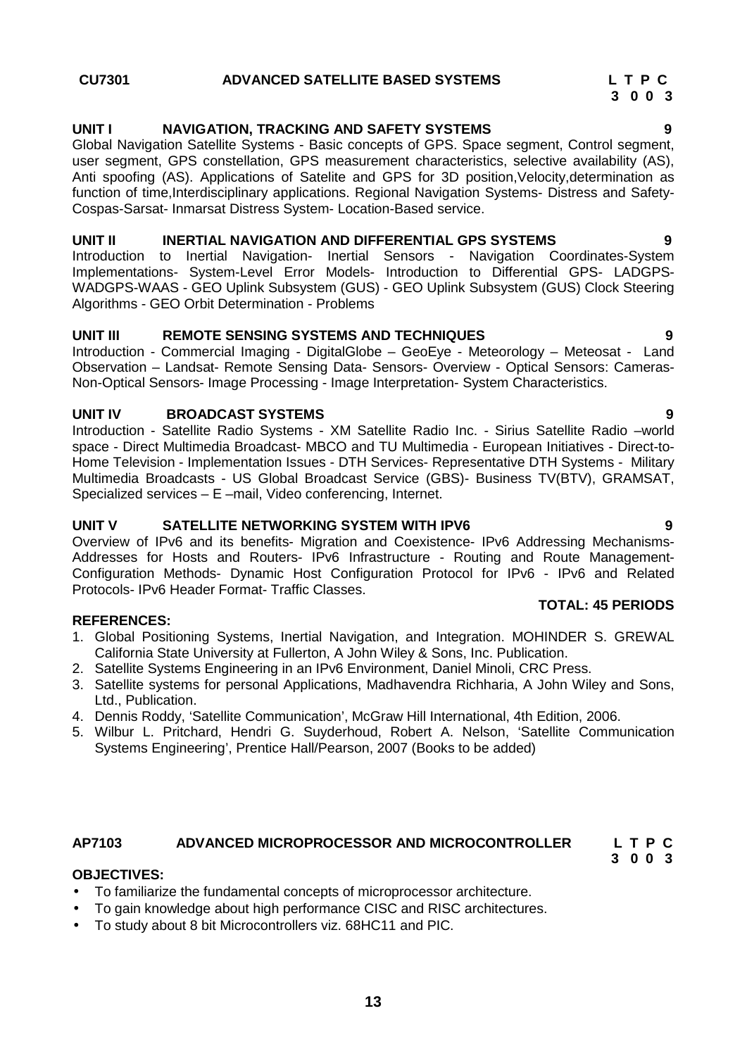# **UNIT I NAVIGATION, TRACKING AND SAFETY SYSTEMS 9**

Global Navigation Satellite Systems - Basic concepts of GPS. Space segment, Control segment, user segment, GPS constellation, GPS measurement characteristics, selective availability (AS), Anti spoofing (AS). Applications of Satelite and GPS for 3D position, Velocity, determination as function of time,Interdisciplinary applications. Regional Navigation Systems- Distress and Safety- Cospas-Sarsat- Inmarsat Distress System- Location-Based service.

# **UNIT II INERTIAL NAVIGATION AND DIFFERENTIAL GPS SYSTEMS 9**

Introduction to Inertial Navigation- Inertial Sensors - Navigation Coordinates-System Implementations- System-Level Error Models- Introduction to Differential GPS- LADGPS- WADGPS-WAAS - GEO Uplink Subsystem (GUS) - GEO Uplink Subsystem (GUS) Clock Steering Algorithms - GEO Orbit Determination - Problems

### **UNIT III REMOTE SENSING SYSTEMS AND TECHNIQUES 9**

Introduction - Commercial Imaging - DigitalGlobe – GeoEye - Meteorology – Meteosat - Land Observation – Landsat- Remote Sensing Data- Sensors- Overview - Optical Sensors: Cameras- Non-Optical Sensors- Image Processing - Image Interpretation- System Characteristics.

# **UNIT IV BROADCAST SYSTEMS 9**

Introduction - Satellite Radio Systems - XM Satellite Radio Inc. - Sirius Satellite Radio –world space - Direct Multimedia Broadcast- MBCO and TU Multimedia - European Initiatives - Direct-to- Home Television - Implementation Issues - DTH Services- Representative DTH Systems - Military Multimedia Broadcasts - US Global Broadcast Service (GBS)- Business TV(BTV), GRAMSAT, Specialized services – E –mail, Video conferencing, Internet.

### **UNIT V SATELLITE NETWORKING SYSTEM WITH IPV6 9**

Overview of IPv6 and its benefits- Migration and Coexistence- IPv6 Addressing Mechanisms- Addresses for Hosts and Routers- IPv6 Infrastructure - Routing and Route Management- Configuration Methods- Dynamic Host Configuration Protocol for IPv6 - IPv6 and Related Protocols- IPv6 Header Format- Traffic Classes.

# **REFERENCES:**

- 1. Global Positioning Systems, Inertial Navigation, and Integration. MOHINDER S. GREWAL California State University at Fullerton, A John Wiley & Sons, Inc. Publication.
- 2. Satellite Systems Engineering in an IPv6 Environment, Daniel Minoli, CRC Press.
- 3. Satellite systems for personal Applications, Madhavendra Richharia, A John Wiley and Sons, Ltd., Publication.
- 4. Dennis Roddy, 'Satellite Communication', McGraw Hill International, 4th Edition, 2006.
- 5. Wilbur L. Pritchard, Hendri G. Suyderhoud, Robert A. Nelson, 'Satellite Communication Systems Engineering', Prentice Hall/Pearson, 2007 (Books to be added)

# **AP7103 ADVANCED MICROPROCESSOR AND MICROCONTROLLER L T P C**

# **OBJECTIVES:**

- To familiarize the fundamental concepts of microprocessor architecture.
- To gain knowledge about high performance CISC and RISC architectures.
- To study about 8 bit Microcontrollers viz. 68HC11 and PIC.

**TOTAL: 45 PERIODS**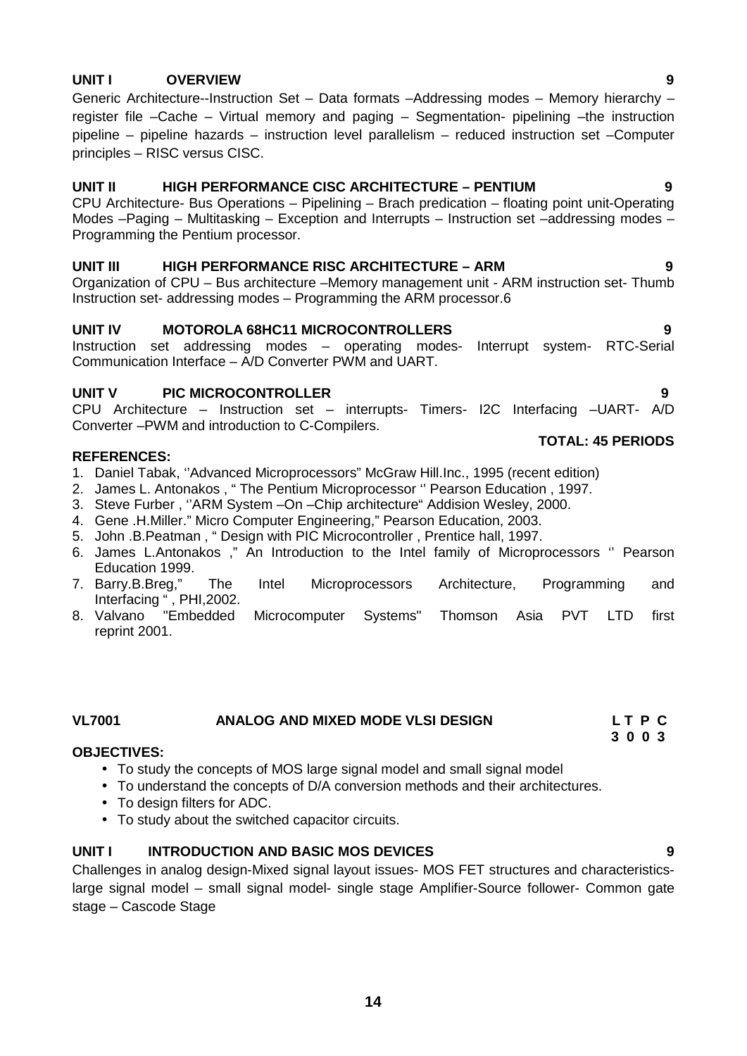# **UNIT I OVERVIEW 9**

Generic Architecture--Instruction Set – Data formats –Addressing modes – Memory hierarchy – register file –Cache – Virtual memory and paging – Segmentation- pipelining –the instruction pipeline – pipeline hazards – instruction level parallelism – reduced instruction set –Computer principles – RISC versus CISC.

# **UNIT II HIGH PERFORMANCE CISC ARCHITECTURE – PENTIUM 9**

CPU Architecture- Bus Operations – Pipelining – Brach predication – floating point unit-Operating Modes –Paging – Multitasking – Exception and Interrupts – Instruction set –addressing modes – Programming the Pentium processor.

# **UNIT III HIGH PERFORMANCE RISC ARCHITECTURE – ARM 9**

Organization of CPU – Bus architecture –Memory management unit - ARM instruction set- Thumb Instruction set- addressing modes – Programming the ARM processor.6

# **UNIT IV MOTOROLA 68HC11 MICROCONTROLLERS 9**

Instruction set addressing modes – operating modes- Interrupt system- RTC-Serial Communication Interface – A/D Converter PWM and UART.

# **UNIT V PIC MICROCONTROLLER 9**

CPU Architecture – Instruction set – interrupts- Timers- I2C Interfacing –UART- A/D Converter –PWM and introduction to C-Compilers.

# **REFERENCES:**

- 1. Daniel Tabak, ''Advanced Microprocessors" McGraw Hill.Inc., 1995 (recent edition)
- 2. James L. Antonakos , " The Pentium Microprocessor '' Pearson Education , 1997.
- 3. Steve Furber , ''ARM System –On –Chip architecture" Addision Wesley, 2000.
- 4. Gene .H.Miller." Micro Computer Engineering," Pearson Education, 2003.
- 5. John .B.Peatman , " Design with PIC Microcontroller , Prentice hall, 1997.
- 6. James L.Antonakos ," An Introduction to the Intel family of Microprocessors '' Pearson Education 1999.
- 7. Barry.B.Breg," The Intel Microprocessors Architecture, Programming and Interfacing " , PHI,2002.
- 8. Valvano "Embedded Microcomputer Systems" Thomson Asia PVT LTD first reprint 2001.

# **VL7001 ANALOG AND MIXED MODE VLSI DESIGN L T P C**

### **OBJECTIVES:**

- To study the concepts of MOS large signal model and small signal model
- To understand the concepts of D/A conversion methods and their architectures.
- To design filters for ADC.
- To study about the switched capacitor circuits.

# **UNIT I INTRODUCTION AND BASIC MOS DEVICES 9**

Challenges in analog design-Mixed signal layout issues- MOS FET structures and characteristicslarge signal model – small signal model- single stage Amplifier-Source follower- Common gate stage – Cascode Stage

**TOTAL: 45 PERIODS**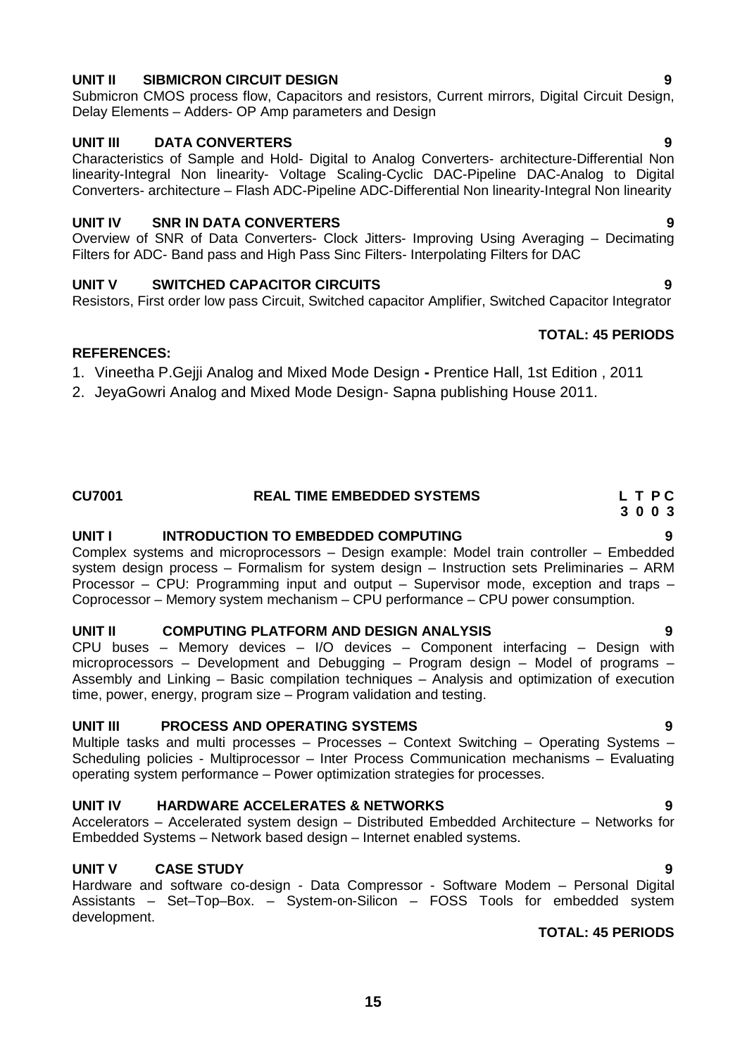# **UNIT II SIBMICRON CIRCUIT DESIGN 9**

Submicron CMOS process flow, Capacitors and resistors, Current mirrors, Digital Circuit Design, Delay Elements – Adders- OP Amp parameters and Design

# **UNIT III DATA CONVERTERS 9**

Characteristics of Sample and Hold- Digital to Analog Converters- architecture-Differential Non linearity-Integral Non linearity- Voltage Scaling-Cyclic DAC-Pipeline DAC-Analog to Digital Converters- architecture – Flash ADC-Pipeline ADC-Differential Non linearity-Integral Non linearity

# **UNIT IV SNR IN DATA CONVERTERS 9**

Overview of SNR of Data Converters- Clock Jitters- Improving Using Averaging – Decimating Filters for ADC- Band pass and High Pass Sinc Filters- Interpolating Filters for DAC

# **UNIT V SWITCHED CAPACITOR CIRCUITS 9**

Resistors, First order low pass Circuit, Switched capacitor Amplifier, Switched Capacitor Integrator

# **REFERENCES:**

1. Vineetha P.Gejji Analog and Mixed Mode Design **-** Prentice Hall, 1st Edition , 2011

2. JeyaGowri Analog and Mixed Mode Design- Sapna publishing House 2011.

# **CU7001 REAL TIME EMBEDDED SYSTEMS L T P C**

# **UNIT I INTRODUCTION TO EMBEDDED COMPUTING 9**

Complex systems and microprocessors – Design example: Model train controller – Embedded system design process – Formalism for system design – Instruction sets Preliminaries – ARM Processor – CPU: Programming input and output – Supervisor mode, exception and traps – Coprocessor – Memory system mechanism – CPU performance – CPU power consumption.

# **UNIT II COMPUTING PLATFORM AND DESIGN ANALYSIS 9**

CPU buses – Memory devices – I/O devices – Component interfacing – Design with microprocessors – Development and Debugging – Program design – Model of programs – Assembly and Linking – Basic compilation techniques – Analysis and optimization of execution time, power, energy, program size – Program validation and testing.

# **UNIT III PROCESS AND OPERATING SYSTEMS 9**

Multiple tasks and multi processes – Processes – Context Switching – Operating Systems – Scheduling policies - Multiprocessor – Inter Process Communication mechanisms – Evaluating operating system performance – Power optimization strategies for processes.

# **UNIT IV HARDWARE ACCELERATES & NETWORKS 9**

Accelerators – Accelerated system design – Distributed Embedded Architecture – Networks for Embedded Systems – Network based design – Internet enabled systems.

# **UNIT V CASE STUDY 9**

Hardware and software co-design - Data Compressor - Software Modem – Personal Digital Assistants – Set–Top–Box. – System-on-Silicon – FOSS Tools for embedded system development.

# **TOTAL: 45 PERIODS**

**TOTAL: 45 PERIODS**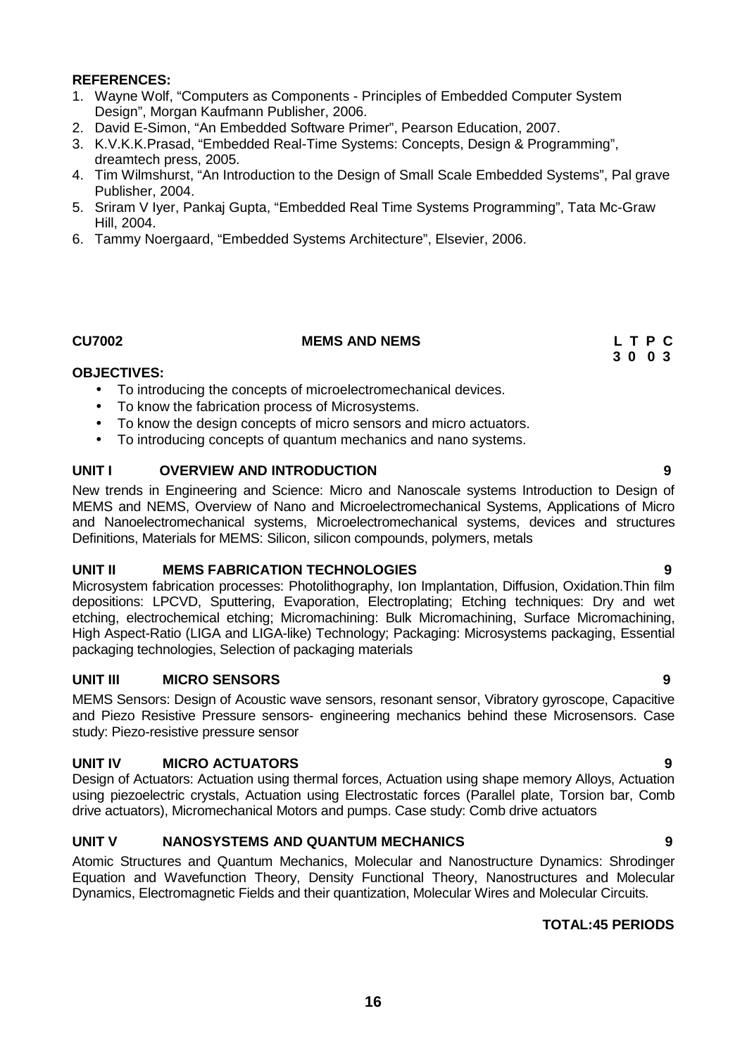- 1. Wayne Wolf, "Computers as Components Principles of Embedded Computer System Design", Morgan Kaufmann Publisher, 2006.
- 2. David E-Simon, "An Embedded Software Primer", Pearson Education, 2007.
- 3. K.V.K.K.Prasad, "Embedded Real-Time Systems: Concepts, Design & Programming", dreamtech press, 2005.
- 4. Tim Wilmshurst, "An Introduction to the Design of Small Scale Embedded Systems", Pal grave Publisher, 2004.
- 5. Sriram V Iyer, Pankaj Gupta, "Embedded Real Time Systems Programming", Tata Mc-Graw Hill, 2004.
- 6. Tammy Noergaard, "Embedded Systems Architecture", Elsevier, 2006.

### **CU7002 MEMS AND NEMS L T P C**

### **OBJECTIVES:**

- To introducing the concepts of microelectromechanical devices.
- To know the fabrication process of Microsystems.
- To know the design concepts of micro sensors and micro actuators.
- To introducing concepts of quantum mechanics and nano systems.

### **UNIT I OVERVIEW AND INTRODUCTION 9**

New trends in Engineering and Science: Micro and Nanoscale systems Introduction to Design of MEMS and NEMS, Overview of Nano and Microelectromechanical Systems, Applications of Micro and Nanoelectromechanical systems, Microelectromechanical systems, devices and structures Definitions, Materials for MEMS: Silicon, silicon compounds, polymers, metals

### **UNIT II MEMS FABRICATION TECHNOLOGIES 9**

Microsystem fabrication processes: Photolithography, Ion Implantation, Diffusion, Oxidation.Thin film depositions: LPCVD, Sputtering, Evaporation, Electroplating; Etching techniques: Dry and wet etching, electrochemical etching; Micromachining: Bulk Micromachining, Surface Micromachining, High Aspect-Ratio (LIGA and LIGA-like) Technology; Packaging: Microsystems packaging, Essential packaging technologies, Selection of packaging materials

# **UNIT III MICRO SENSORS 9**

MEMS Sensors: Design of Acoustic wave sensors, resonant sensor, Vibratory gyroscope, Capacitive and Piezo Resistive Pressure sensors- engineering mechanics behind these Microsensors. Case study: Piezo-resistive pressure sensor

# **UNIT IV MICRO ACTUATORS 9**

Design of Actuators: Actuation using thermal forces, Actuation using shape memory Alloys, Actuation using piezoelectric crystals, Actuation using Electrostatic forces (Parallel plate, Torsion bar, Comb drive actuators), Micromechanical Motors and pumps. Case study: Comb drive actuators

# **UNIT V NANOSYSTEMS AND QUANTUM MECHANICS 9**

Atomic Structures and Quantum Mechanics, Molecular and Nanostructure Dynamics: Shrodinger Equation and Wavefunction Theory, Density Functional Theory, Nanostructures and Molecular Dynamics, Electromagnetic Fields and their quantization, Molecular Wires and Molecular Circuits.

# **TOTAL:45 PERIODS**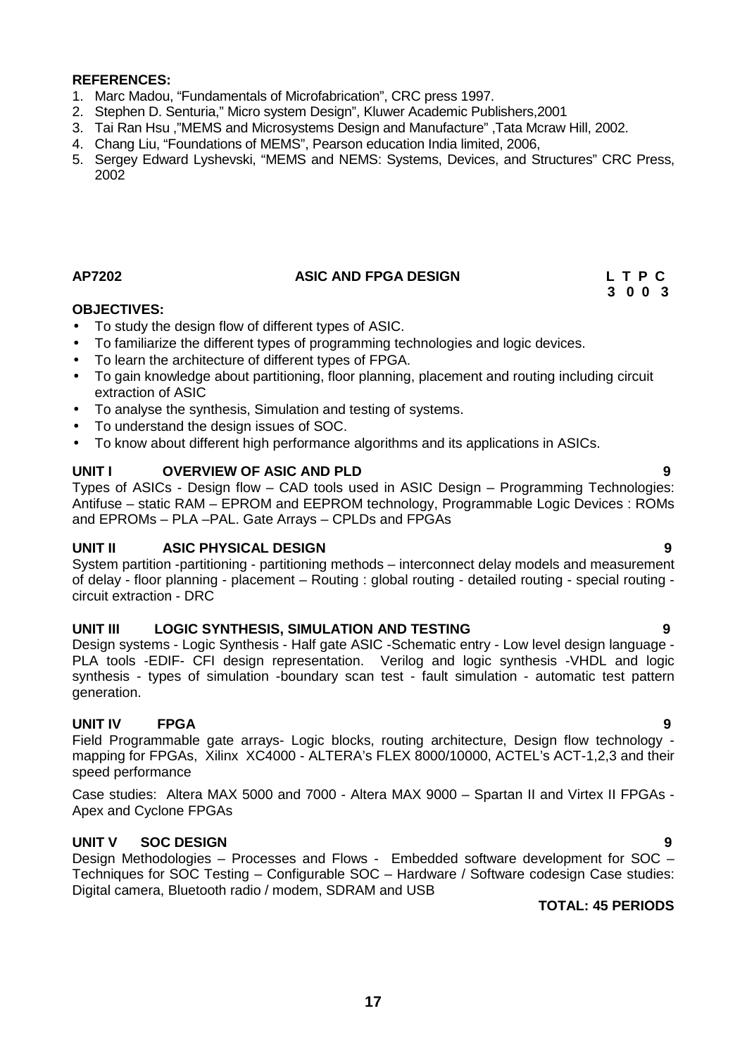- 1. Marc Madou, "Fundamentals of Microfabrication", CRC press 1997.
- 2. Stephen D. Senturia," Micro system Design", Kluwer Academic Publishers,2001
- 3. Tai Ran Hsu ,"MEMS and Microsystems Design and Manufacture" ,Tata Mcraw Hill, 2002.
- 4. Chang Liu, "Foundations of MEMS", Pearson education India limited, 2006,
- 5. Sergey Edward Lyshevski, "MEMS and NEMS: Systems, Devices, and Structures" CRC Press, 2002

# **AP7202 ASIC AND FPGA DESIGN L T P C**

**3 0 0 3**

# **OBJECTIVES:**

- To study the design flow of different types of ASIC.
- To familiarize the different types of programming technologies and logic devices.
- To learn the architecture of different types of FPGA.
- To gain knowledge about partitioning, floor planning, placement and routing including circuit extraction of ASIC
- To analyse the synthesis, Simulation and testing of systems.
- To understand the design issues of SOC.
- To know about different high performance algorithms and its applications in ASICs.

### **UNIT I OVERVIEW OF ASIC AND PLD 9**

Types of ASICs - Design flow – CAD tools used in ASIC Design – Programming Technologies: Antifuse – static RAM – EPROM and EEPROM technology, Programmable Logic Devices : ROMs and EPROMs – PLA –PAL. Gate Arrays – CPLDs and FPGAs

# **UNIT II ASIC PHYSICAL DESIGN 9**

System partition -partitioning - partitioning methods – interconnect delay models and measurement of delay - floor planning - placement – Routing : global routing - detailed routing - special routing circuit extraction - DRC

### **UNIT III LOGIC SYNTHESIS, SIMULATION AND TESTING 9**

Design systems - Logic Synthesis - Half gate ASIC -Schematic entry - Low level design language - PLA tools -EDIF- CFI design representation. Verilog and logic synthesis -VHDL and logic synthesis - types of simulation -boundary scan test - fault simulation - automatic test pattern generation.

# **UNIT IV FPGA 9**

Field Programmable gate arrays- Logic blocks, routing architecture, Design flow technology mapping for FPGAs, Xilinx XC4000 - ALTERA's FLEX 8000/10000, ACTEL's ACT-1,2,3 and their speed performance

Case studies: Altera MAX 5000 and 7000 - Altera MAX 9000 – Spartan II and Virtex II FPGAs - Apex and Cyclone FPGAs

# **UNIT V SOC DESIGN 9**

Design Methodologies – Processes and Flows - Embedded software development for SOC – Techniques for SOC Testing – Configurable SOC – Hardware / Software codesign Case studies: Digital camera, Bluetooth radio / modem, SDRAM and USB

# **TOTAL: 45 PERIODS**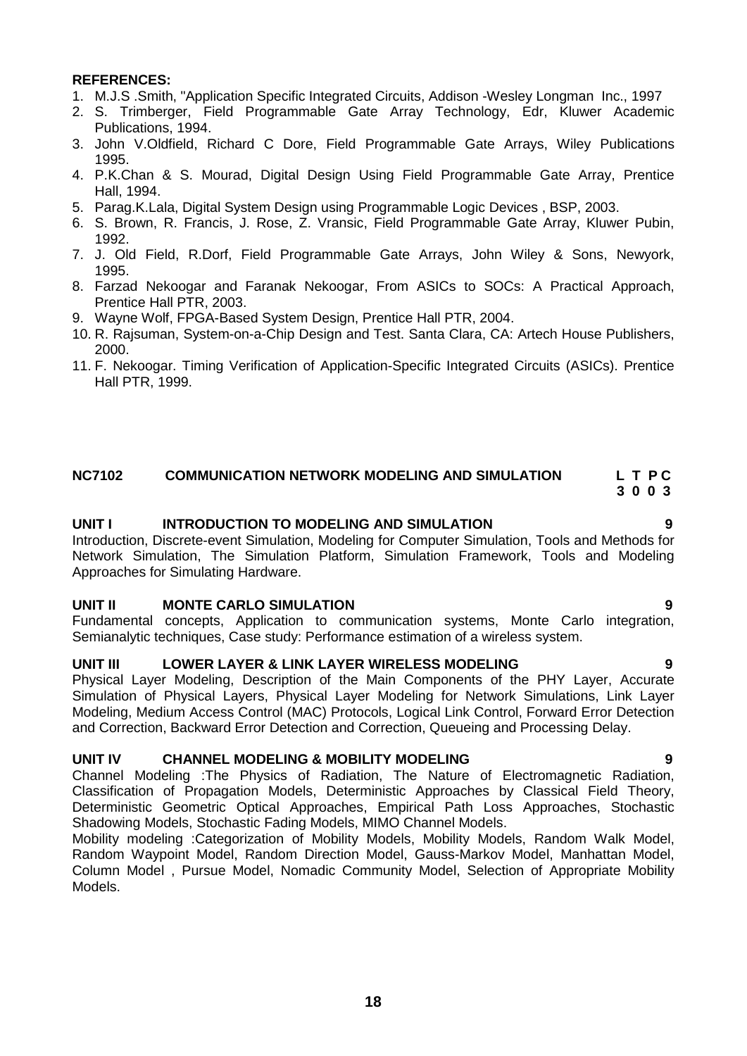- 1. M.J.S .Smith, "Application Specific Integrated Circuits, Addison -Wesley Longman Inc., 1997
- 2. S. Trimberger, Field Programmable Gate Array Technology, Edr, Kluwer Academic Publications, 1994.
- 3. John V.Oldfield, Richard C Dore, Field Programmable Gate Arrays, Wiley Publications 1995.
- 4. P.K.Chan & S. Mourad, Digital Design Using Field Programmable Gate Array, Prentice Hall, 1994.
- 5. Parag.K.Lala, Digital System Design using Programmable Logic Devices , BSP, 2003.
- 6. S. Brown, R. Francis, J. Rose, Z. Vransic, Field Programmable Gate Array, Kluwer Pubin, 1992.
- 7. J. Old Field, R.Dorf, Field Programmable Gate Arrays, John Wiley & Sons, Newyork, 1995.
- 8. Farzad Nekoogar and Faranak Nekoogar, From ASICs to SOCs: A Practical Approach, Prentice Hall PTR, 2003.
- 9. Wayne Wolf, FPGA-Based System Design, Prentice Hall PTR, 2004.
- 10. R. Rajsuman, System-on-a-Chip Design and Test. Santa Clara, CA: Artech House Publishers, 2000.
- 11. F. Nekoogar. Timing Verification of Application-Specific Integrated Circuits (ASICs). Prentice Hall PTR, 1999.

# **NC7102 COMMUNICATION NETWORK MODELING AND SIMULATION L T P C**

# **3 0 0 3**

### **UNIT I INTRODUCTION TO MODELING AND SIMULATION 9**

Introduction, Discrete-event Simulation, Modeling for Computer Simulation, Tools and Methods for Network Simulation, The Simulation Platform, Simulation Framework, Tools and Modeling Approaches for Simulating Hardware.

### **UNIT II MONTE CARLO SIMULATION 9**

Fundamental concepts, Application to communication systems, Monte Carlo integration, Semianalytic techniques, Case study: Performance estimation of a wireless system.

# **UNIT III LOWER LAYER & LINK LAYER WIRELESS MODELING 9**

Physical Layer Modeling, Description of the Main Components of the PHY Layer, Accurate Simulation of Physical Layers, Physical Layer Modeling for Network Simulations, Link Layer Modeling, Medium Access Control (MAC) Protocols, Logical Link Control, Forward Error Detection and Correction, Backward Error Detection and Correction, Queueing and Processing Delay.

### **UNIT IV CHANNEL MODELING & MOBILITY MODELING 9**

Channel Modeling :The Physics of Radiation, The Nature of Electromagnetic Radiation, Classification of Propagation Models, Deterministic Approaches by Classical Field Theory, Deterministic Geometric Optical Approaches, Empirical Path Loss Approaches, Stochastic Shadowing Models, Stochastic Fading Models, MIMO Channel Models.

Mobility modeling :Categorization of Mobility Models, Mobility Models, Random Walk Model, Random Waypoint Model, Random Direction Model, Gauss-Markov Model, Manhattan Model, Column Model , Pursue Model, Nomadic Community Model, Selection of Appropriate Mobility Models.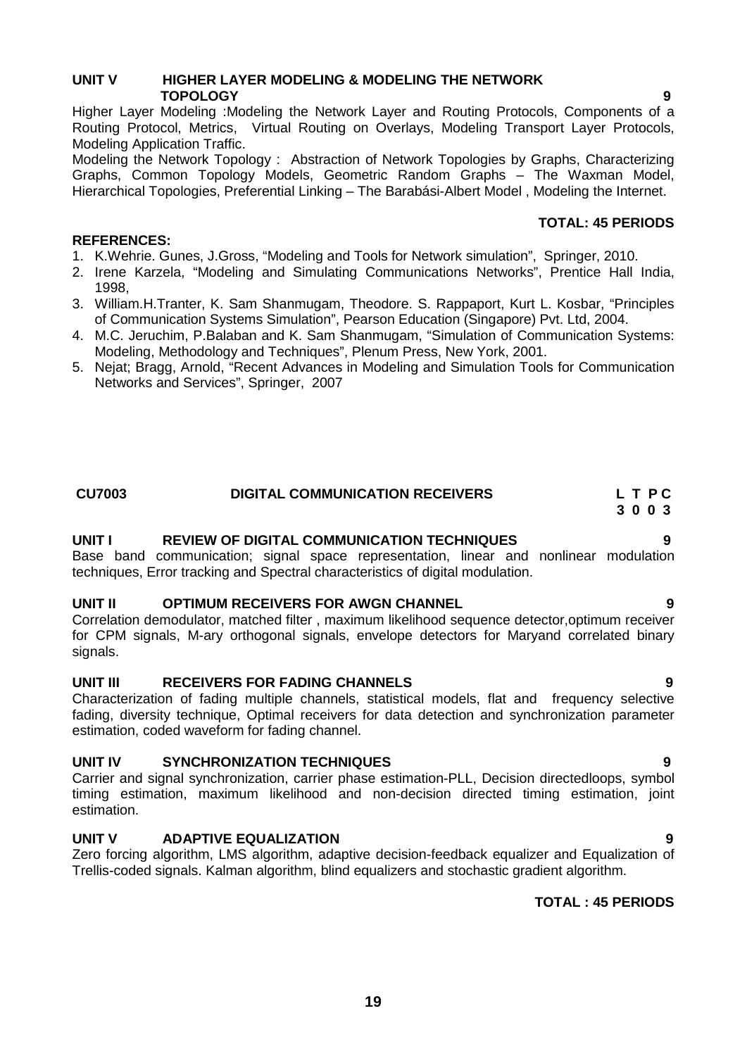# **UNIT V HIGHER LAYER MODELING & MODELING THE NETWORK TOPOLOGY 9**

Higher Layer Modeling :Modeling the Network Layer and Routing Protocols, Components of a Routing Protocol, Metrics, Virtual Routing on Overlays, Modeling Transport Layer Protocols, Modeling Application Traffic.

Modeling the Network Topology : Abstraction of Network Topologies by Graphs, Characterizing Graphs, Common Topology Models, Geometric Random Graphs – The Waxman Model, Hierarchical Topologies, Preferential Linking – The Barabási-Albert Model , Modeling the Internet.

# **TOTAL: 45 PERIODS**

- 1. K.Wehrie. Gunes, J.Gross, "Modeling and Tools for Network simulation", Springer, 2010.
- 2. Irene Karzela, "Modeling and Simulating Communications Networks", Prentice Hall India, 1998,
- 3. William.H.Tranter, K. Sam Shanmugam, Theodore. S. Rappaport, Kurt L. Kosbar, "Principles of Communication Systems Simulation", Pearson Education (Singapore) Pvt. Ltd, 2004.
- 4. M.C. Jeruchim, P.Balaban and K. Sam Shanmugam, "Simulation of Communication Systems: Modeling, Methodology and Techniques", Plenum Press, New York, 2001.
- 5. Nejat; Bragg, Arnold, "Recent Advances in Modeling and Simulation Tools for Communication Networks and Services", Springer, 2007

### **CU7003 DIGITAL COMMUNICATION RECEIVERS L T P C 3 0 0 3**

# **UNIT I REVIEW OF DIGITAL COMMUNICATION TECHNIQUES 9**

Base band communication; signal space representation, linear and nonlinear modulation techniques, Error tracking and Spectral characteristics of digital modulation.

# **UNIT II OPTIMUM RECEIVERS FOR AWGN CHANNEL 9**

Correlation demodulator, matched filter , maximum likelihood sequence detector,optimum receiver for CPM signals, M-ary orthogonal signals, envelope detectors for Maryand correlated binary signals.

# **UNIT III RECEIVERS FOR FADING CHANNELS 9**

Characterization of fading multiple channels, statistical models, flat and frequency selective fading, diversity technique, Optimal receivers for data detection and synchronization parameter estimation, coded waveform for fading channel.

# **UNIT IV SYNCHRONIZATION TECHNIQUES 9**

Carrier and signal synchronization, carrier phase estimation-PLL, Decision directedloops, symbol timing estimation, maximum likelihood and non-decision directed timing estimation, joint estimation.

# **UNIT V ADAPTIVE EQUALIZATION 9**

**REFERENCES:**

Zero forcing algorithm, LMS algorithm, adaptive decision-feedback equalizer and Equalization of Trellis-coded signals. Kalman algorithm, blind equalizers and stochastic gradient algorithm.

# **TOTAL : 45 PERIODS**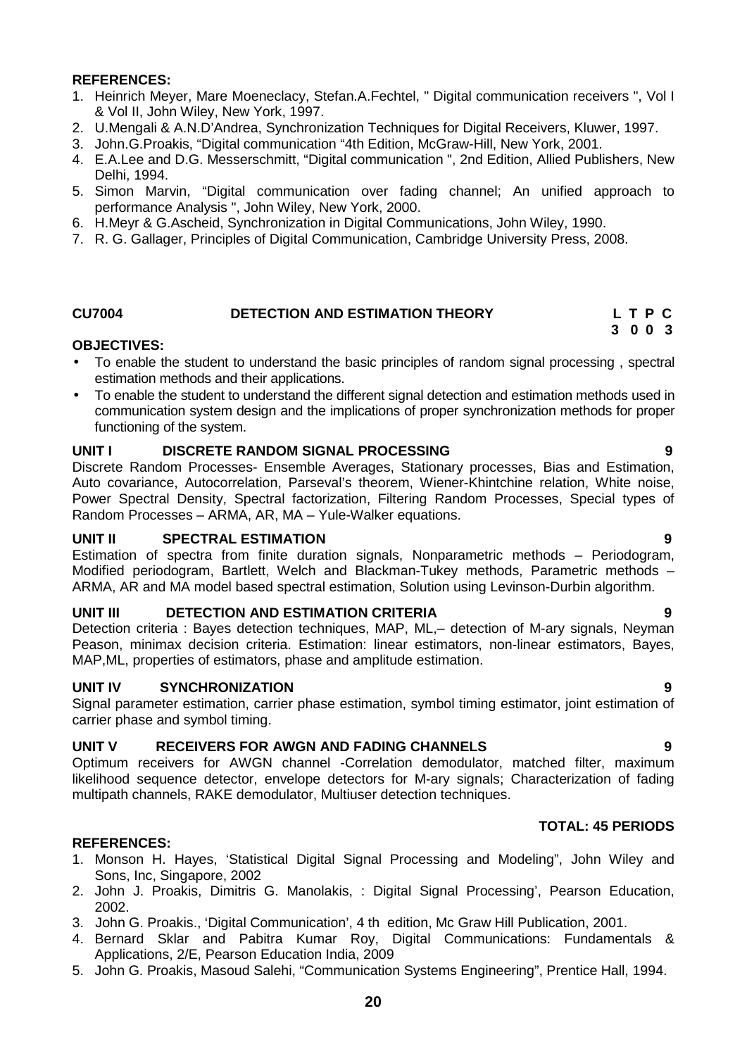- 1. Heinrich Meyer, Mare Moeneclacy, Stefan.A.Fechtel, " Digital communication receivers ", Vol I & Vol II, John Wiley, New York, 1997.
- 2. U.Mengali & A.N.D'Andrea, Synchronization Techniques for Digital Receivers, Kluwer, 1997.
- 3. John.G.Proakis, "Digital communication "4th Edition, McGraw-Hill, New York, 2001.
- 4. E.A.Lee and D.G. Messerschmitt, "Digital communication ", 2nd Edition, Allied Publishers, New Delhi, 1994.
- 5. Simon Marvin, "Digital communication over fading channel; An unified approach to performance Analysis ", John Wiley, New York, 2000.
- 6. H.Meyr & G.Ascheid, Synchronization in Digital Communications, John Wiley, 1990.
- 7. R. G. Gallager, Principles of Digital Communication, Cambridge University Press, 2008.

# **CU7004 DETECTION AND ESTIMATION THEORY L T P C**

# **3 0 0 3**

# **OBJECTIVES:**

- To enable the student to understand the basic principles of random signal processing , spectral estimation methods and their applications.
- To enable the student to understand the different signal detection and estimation methods used in communication system design and the implications of proper synchronization methods for proper functioning of the system.

# **UNIT I DISCRETE RANDOM SIGNAL PROCESSING 9**

Discrete Random Processes- Ensemble Averages, Stationary processes, Bias and Estimation, Auto covariance, Autocorrelation, Parseval's theorem, Wiener-Khintchine relation, White noise, Power Spectral Density, Spectral factorization, Filtering Random Processes, Special types of Random Processes – ARMA, AR, MA – Yule-Walker equations.

# **UNIT II SPECTRAL ESTIMATION 9**

Estimation of spectra from finite duration signals, Nonparametric methods – Periodogram, Modified periodogram, Bartlett, Welch and Blackman-Tukey methods, Parametric methods – ARMA, AR and MA model based spectral estimation, Solution using Levinson-Durbin algorithm.

### **UNIT III DETECTION AND ESTIMATION CRITERIA 9**

Detection criteria : Bayes detection techniques, MAP, ML,– detection of M-ary signals, Neyman Peason, minimax decision criteria. Estimation: linear estimators, non-linear estimators, Bayes, MAP,ML, properties of estimators, phase and amplitude estimation.

### **UNIT IV SYNCHRONIZATION 9**

Signal parameter estimation, carrier phase estimation, symbol timing estimator, joint estimation of carrier phase and symbol timing.

# **UNIT V RECEIVERS FOR AWGN AND FADING CHANNELS 9**

Optimum receivers for AWGN channel -Correlation demodulator, matched filter, maximum likelihood sequence detector, envelope detectors for M-ary signals; Characterization of fading multipath channels, RAKE demodulator, Multiuser detection techniques.

# **TOTAL: 45 PERIODS**

- 1. Monson H. Hayes, 'Statistical Digital Signal Processing and Modeling", John Wiley and Sons, Inc, Singapore, 2002
- 2. John J. Proakis, Dimitris G. Manolakis, : Digital Signal Processing', Pearson Education, 2002.
- 3. John G. Proakis., 'Digital Communication', 4 th edition, Mc Graw Hill Publication, 2001.
- 4. Bernard Sklar and Pabitra Kumar Roy, Digital Communications: Fundamentals & Applications, 2/E, Pearson Education India, 2009
- 5. John G. Proakis, Masoud Salehi, "Communication Systems Engineering", Prentice Hall, 1994.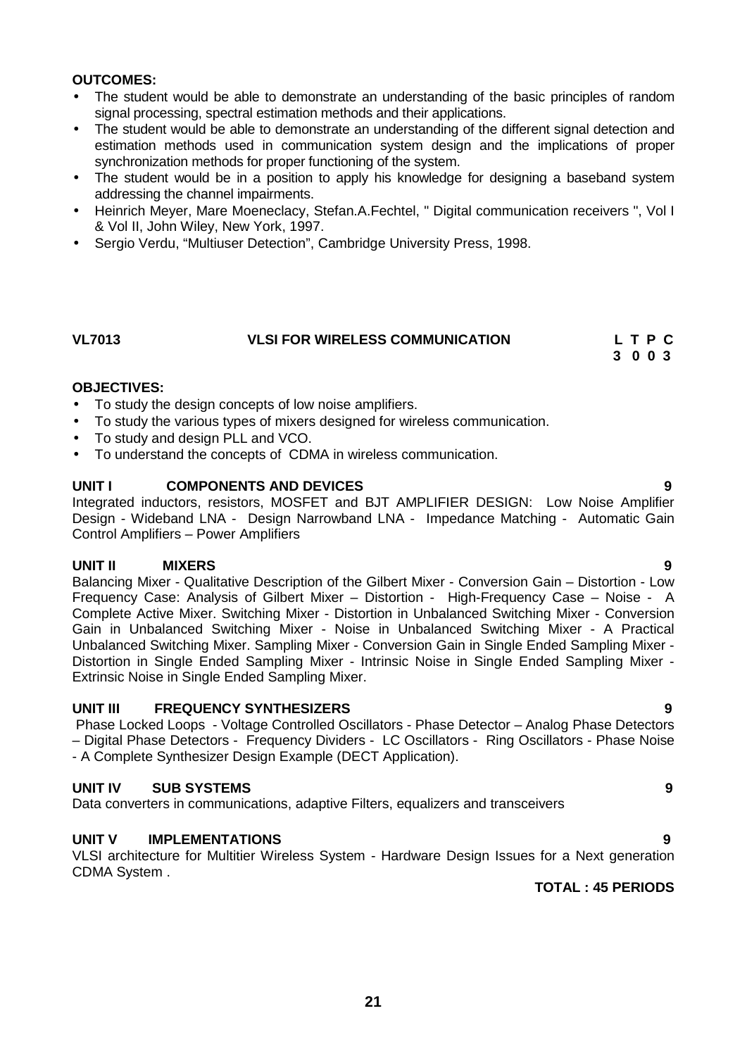# **OUTCOMES:**

- The student would be able to demonstrate an understanding of the basic principles of random signal processing, spectral estimation methods and their applications.
- The student would be able to demonstrate an understanding of the different signal detection and estimation methods used in communication system design and the implications of proper synchronization methods for proper functioning of the system.
- The student would be in a position to apply his knowledge for designing a baseband system addressing the channel impairments.
- Heinrich Meyer, Mare Moeneclacy, Stefan.A.Fechtel, " Digital communication receivers ", Vol I & Vol II, John Wiley, New York, 1997.
- Sergio Verdu, "Multiuser Detection", Cambridge University Press, 1998.

# **VL7013 VLSI FOR WIRELESS COMMUNICATION L T P C**

### **3 0 0 3**

# **OBJECTIVES:**

- To study the design concepts of low noise amplifiers.
- To study the various types of mixers designed for wireless communication.
- To study and design PLL and VCO.
- To understand the concepts of CDMA in wireless communication.

# **UNIT I COMPONENTS AND DEVICES 9**

Integrated inductors, resistors, MOSFET and BJT AMPLIFIER DESIGN: Low Noise Amplifier Design - Wideband LNA - Design Narrowband LNA - Impedance Matching - Automatic Gain Control Amplifiers – Power Amplifiers

# **UNIT II MIXERS 9**

Balancing Mixer - Qualitative Description of the Gilbert Mixer - Conversion Gain – Distortion - Low Frequency Case: Analysis of Gilbert Mixer – Distortion - High-Frequency Case – Noise - A Complete Active Mixer. Switching Mixer - Distortion in Unbalanced Switching Mixer - Conversion Gain in Unbalanced Switching Mixer - Noise in Unbalanced Switching Mixer - A Practical Unbalanced Switching Mixer. Sampling Mixer - Conversion Gain in Single Ended Sampling Mixer - Distortion in Single Ended Sampling Mixer - Intrinsic Noise in Single Ended Sampling Mixer - Extrinsic Noise in Single Ended Sampling Mixer.

# **UNIT III FREQUENCY SYNTHESIZERS 9**

Phase Locked Loops - Voltage Controlled Oscillators - Phase Detector – Analog Phase Detectors – Digital Phase Detectors - Frequency Dividers - LC Oscillators - Ring Oscillators - Phase Noise - A Complete Synthesizer Design Example (DECT Application).

# **UNIT IV SUB SYSTEMS 9**

Data converters in communications, adaptive Filters, equalizers and transceivers

# **UNIT V IMPLEMENTATIONS 9**

VLSI architecture for Multitier Wireless System - Hardware Design Issues for a Next generation CDMA System .

# **TOTAL : 45 PERIODS**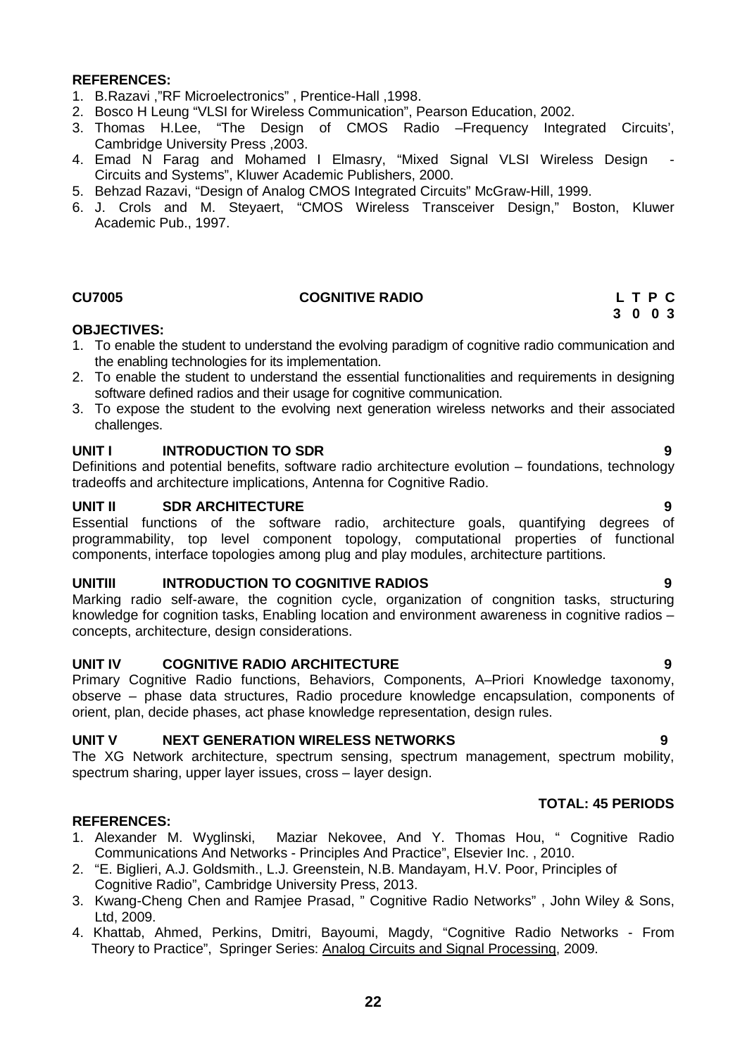- 1. B.Razavi ,"RF Microelectronics" , Prentice-Hall ,1998.
- 2. Bosco H Leung "VLSI for Wireless Communication", Pearson Education, 2002.
- 3. Thomas H.Lee, "The Design of CMOS Radio –Frequency Integrated Circuits', Cambridge University Press ,2003.
- 4. Emad N Farag and Mohamed I Elmasry, "Mixed Signal VLSI Wireless Design Circuits and Systems", Kluwer Academic Publishers, 2000.
- 5. Behzad Razavi, "Design of Analog CMOS Integrated Circuits" McGraw-Hill, 1999.
- 6. J. Crols and M. Steyaert, "CMOS Wireless Transceiver Design," Boston, Kluwer Academic Pub., 1997.

# **CU7005 COGNITIVE RADIO L T P C**

### **OBJECTIVES:**

- 1. To enable the student to understand the evolving paradigm of cognitive radio communication and the enabling technologies for its implementation.
- 2. To enable the student to understand the essential functionalities and requirements in designing software defined radios and their usage for cognitive communication.
- 3. To expose the student to the evolving next generation wireless networks and their associated challenges.

### **UNIT I INTRODUCTION TO SDR 9**

Definitions and potential benefits, software radio architecture evolution – foundations, technology tradeoffs and architecture implications, Antenna for Cognitive Radio.

**UNIT II** SDR ARCHITECTURE<br> **Essential functions of the software radio** architecture goals quantifying degrees of Essential functions of the software radio, architecture goals, quantifying degrees programmability, top level component topology, computational properties of functional components, interface topologies among plug and play modules, architecture partitions.

# **UNITIII INTRODUCTION TO COGNITIVE RADIOS 9**

Marking radio self-aware, the cognition cycle, organization of congnition tasks, structuring knowledge for cognition tasks, Enabling location and environment awareness in cognitive radios – concepts, architecture, design considerations.

# **UNIT IV COGNITIVE RADIO ARCHITECTURE 9**

Primary Cognitive Radio functions, Behaviors, Components, A–Priori Knowledge taxonomy, observe – phase data structures, Radio procedure knowledge encapsulation, components of orient, plan, decide phases, act phase knowledge representation, design rules.

### **UNIT V NEXT GENERATION WIRELESS NETWORKS 9**

The XG Network architecture, spectrum sensing, spectrum management, spectrum mobility, spectrum sharing, upper layer issues, cross – layer design.

### **TOTAL: 45 PERIODS**

# **REFERENCES:**

- 1. Alexander M. Wyglinski, Maziar Nekovee, And Y. Thomas Hou, " Cognitive Radio Communications And Networks - Principles And Practice", Elsevier Inc. , 2010.
- 2. "E. Biglieri, A.J. Goldsmith., L.J. Greenstein, N.B. Mandayam, H.V. Poor, Principles of Cognitive Radio", Cambridge University Press, 2013.
- 3. Kwang-Cheng Chen and Ramjee Prasad, " Cognitive Radio Networks" , John Wiley & Sons, Ltd, 2009.
- 4. Khattab, Ahmed, Perkins, Dmitri, Bayoumi, Magdy, "Cognitive Radio Networks From Theory to Practice", Springer Series: Analog Circuits and Signal Processing, 2009.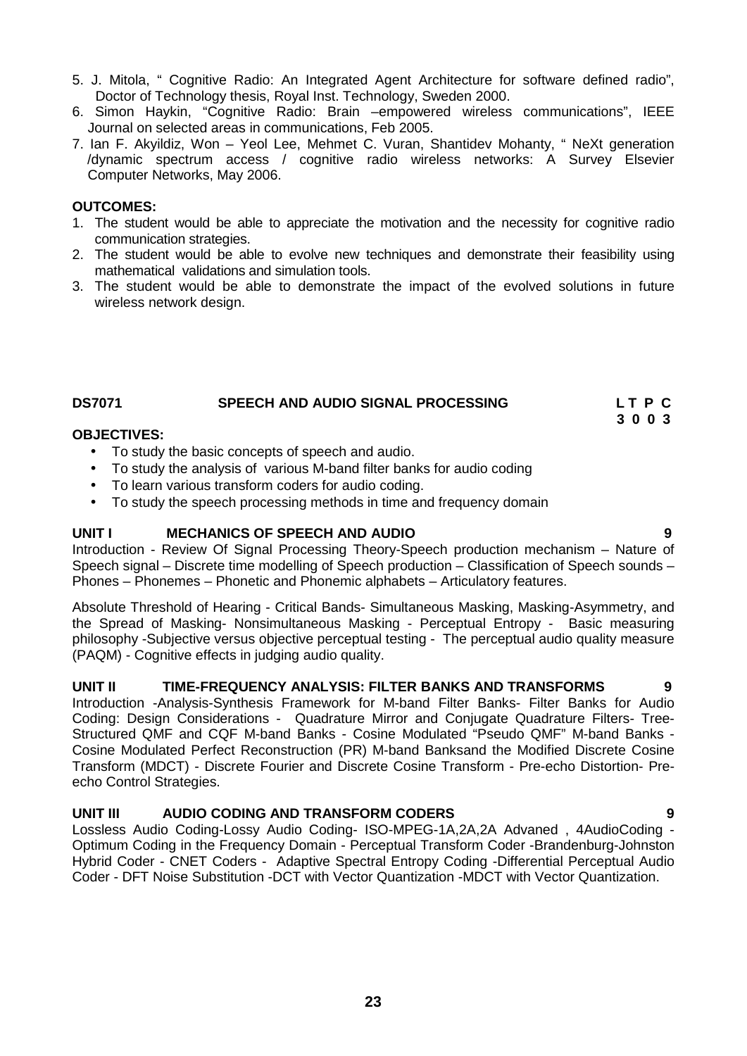- 5. J. Mitola, " Cognitive Radio: An Integrated Agent Architecture for software defined radio", Doctor of Technology thesis, Royal Inst. Technology, Sweden 2000.
- 6. Simon Haykin, "Cognitive Radio: Brain –empowered wireless communications", IEEE Journal on selected areas in communications, Feb 2005.
- 7. Ian F. Akyildiz, Won Yeol Lee, Mehmet C. Vuran, Shantidev Mohanty, " NeXt generation /dynamic spectrum access / cognitive radio wireless networks: A Survey Elsevier Computer Networks, May 2006.

# **OUTCOMES:**

- 1. The student would be able to appreciate the motivation and the necessity for cognitive radio communication strategies.
- 2. The student would be able to evolve new techniques and demonstrate their feasibility using mathematical validations and simulation tools.
- 3. The student would be able to demonstrate the impact of the evolved solutions in future wireless network design.

# **DS7071 SPEECH AND AUDIO SIGNAL PROCESSING L T P C**

**OBJECTIVES:**

- To study the basic concepts of speech and audio.
- To study the analysis of various M-band filter banks for audio coding
- To learn various transform coders for audio coding.
- To study the speech processing methods in time and frequency domain

# **UNIT I MECHANICS OF SPEECH AND AUDIO 9**

Introduction - Review Of Signal Processing Theory-Speech production mechanism – Nature of Speech signal – Discrete time modelling of Speech production – Classification of Speech sounds – Phones – Phonemes – Phonetic and Phonemic alphabets – Articulatory features.

Absolute Threshold of Hearing - Critical Bands- Simultaneous Masking, Masking-Asymmetry, and the Spread of Masking- Nonsimultaneous Masking - Perceptual Entropy - Basic measuring philosophy -Subjective versus objective perceptual testing - The perceptual audio quality measure (PAQM) - Cognitive effects in judging audio quality.

# **UNIT II TIME-FREQUENCY ANALYSIS: FILTER BANKS AND TRANSFORMS 9**

Introduction -Analysis-Synthesis Framework for M-band Filter Banks- Filter Banks for Audio Coding: Design Considerations - Quadrature Mirror and Conjugate Quadrature Filters- Tree- Structured QMF and CQF M-band Banks - Cosine Modulated "Pseudo QMF" M-band Banks - Cosine Modulated Perfect Reconstruction (PR) M-band Banksand the Modified Discrete Cosine Transform (MDCT) - Discrete Fourier and Discrete Cosine Transform - Pre-echo Distortion- Pre echo Control Strategies.

# **UNIT III AUDIO CODING AND TRANSFORM CODERS 9**

Lossless Audio Coding-Lossy Audio Coding- ISO-MPEG-1A,2A,2A Advaned , 4AudioCoding - Optimum Coding in the Frequency Domain - Perceptual Transform Coder -Brandenburg-Johnston Hybrid Coder - CNET Coders - Adaptive Spectral Entropy Coding -Differential Perceptual Audio Coder - DFT Noise Substitution -DCT with Vector Quantization -MDCT with Vector Quantization.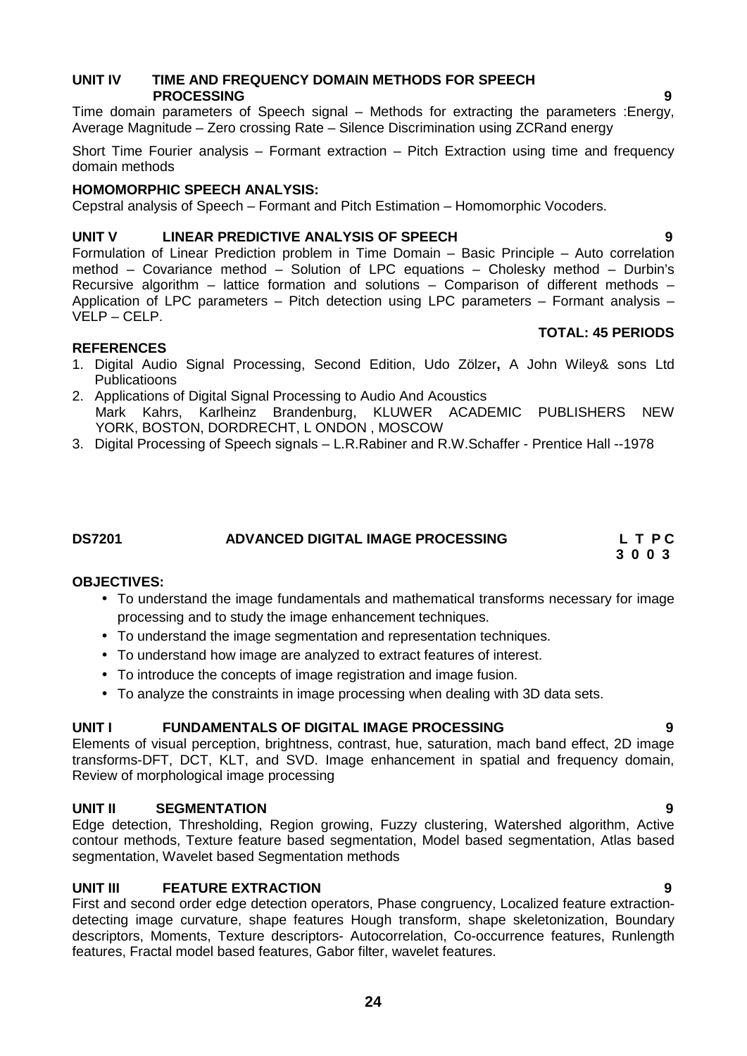# **UNIT IV TIME AND FREQUENCY DOMAIN METHODS FOR SPEECH PROCESSING 9**

Time domain parameters of Speech signal – Methods for extracting the parameters :Energy, Average Magnitude – Zero crossing Rate – Silence Discrimination using ZCRand energy

Short Time Fourier analysis – Formant extraction – Pitch Extraction using time and frequency domain methods

# **HOMOMORPHIC SPEECH ANALYSIS:**

Cepstral analysis of Speech – Formant and Pitch Estimation – Homomorphic Vocoders.

# **UNIT V LINEAR PREDICTIVE ANALYSIS OF SPEECH 9**

Formulation of Linear Prediction problem in Time Domain – Basic Principle – Auto correlation method – Covariance method – Solution of LPC equations – Cholesky method – Durbin's Recursive algorithm – lattice formation and solutions – Comparison of different methods – Application of LPC parameters – Pitch detection using LPC parameters – Formant analysis – VELP –CELP.

### **REFERENCES**

- 1. Digital Audio Signal Processing, Second Edition, Udo Zölzer**,** A John Wiley& sons Ltd Publicatioons
- 2. Applications of Digital Signal Processing to Audio And Acoustics Mark Kahrs, Karlheinz Brandenburg, KLUWER ACADEMIC PUBLISHERS NEW YORK, BOSTON, DORDRECHT, L ONDON , MOSCOW
- 3. Digital Processing of Speech signals L.R.Rabiner and R.W.Schaffer Prentice Hall --1978

# **DS7201 ADVANCED DIGITAL IMAGE PROCESSING L T P C**

**OBJECTIVES:**

- To understand the image fundamentals and mathematical transforms necessary for image processing and to study the image enhancement techniques.
- To understand the image segmentation and representation techniques.
- To understand how image are analyzed to extract features of interest.
- To introduce the concepts of image registration and image fusion.
- To analyze the constraints in image processing when dealing with 3D data sets.

# **UNIT I FUNDAMENTALS OF DIGITAL IMAGE PROCESSING 9**

Elements of visual perception, brightness, contrast, hue, saturation, mach band effect, 2D image transforms-DFT, DCT, KLT, and SVD. Image enhancement in spatial and frequency domain, Review of morphological image processing

# **UNIT II SEGMENTATION 9**

Edge detection, Thresholding, Region growing, Fuzzy clustering, Watershed algorithm, Active contour methods, Texture feature based segmentation, Model based segmentation, Atlas based segmentation, Wavelet based Segmentation methods

# **UNIT III FEATURE EXTRACTION 9**

First and second order edge detection operators, Phase congruency, Localized feature extraction detecting image curvature, shape features Hough transform, shape skeletonization, Boundary descriptors, Moments, Texture descriptors- Autocorrelation, Co-occurrence features, Runlength features, Fractal model based features, Gabor filter, wavelet features.

**TOTAL: 45 PERIODS**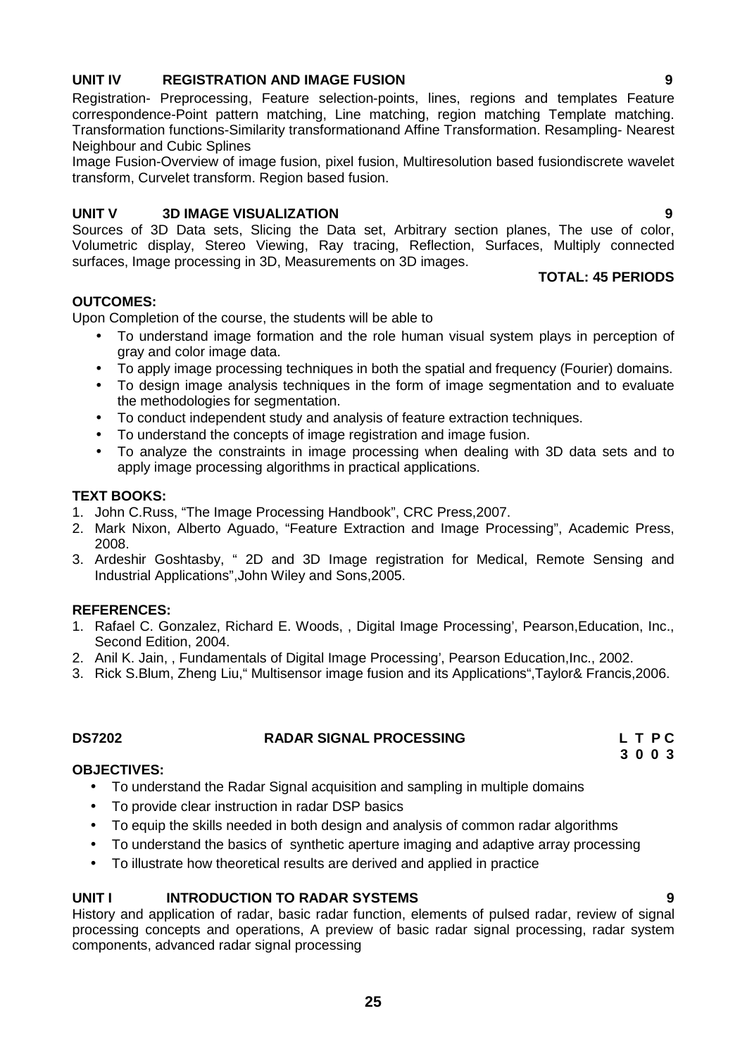# **UNIT IV REGISTRATION AND IMAGE FUSION 9**

Registration- Preprocessing, Feature selection-points, lines, regions and templates Feature correspondence-Point pattern matching, Line matching, region matching Template matching. Transformation functions-Similarity transformationand Affine Transformation. Resampling- Nearest Neighbour and Cubic Splines

Image Fusion-Overview of image fusion, pixel fusion, Multiresolution based fusiondiscrete wavelet transform, Curvelet transform. Region based fusion.

# **UNIT V 3D IMAGE VISUALIZATION 9**

Sources of 3D Data sets, Slicing the Data set, Arbitrary section planes, The use of color, Volumetric display, Stereo Viewing, Ray tracing, Reflection, Surfaces, Multiply connected surfaces, Image processing in 3D, Measurements on 3D images.

# **TOTAL: 45 PERIODS**

# **OUTCOMES:**

Upon Completion of the course, the students will be able to

- To understand image formation and the role human visual system plays in perception of gray and color image data.
- To apply image processing techniques in both the spatial and frequency (Fourier) domains.
- To design image analysis techniques in the form of image segmentation and to evaluate the methodologies for segmentation.
- To conduct independent study and analysis of feature extraction techniques.
- To understand the concepts of image registration and image fusion.
- To analyze the constraints in image processing when dealing with 3D data sets and to apply image processing algorithms in practical applications.

# **TEXT BOOKS:**

- 1. John C.Russ, "The Image Processing Handbook", CRC Press,2007.
- 2. Mark Nixon, Alberto Aguado, "Feature Extraction and Image Processing", Academic Press, 2008.
- 3. Ardeshir Goshtasby, " 2D and 3D Image registration for Medical, Remote Sensing and Industrial Applications",John Wiley and Sons,2005.

# **REFERENCES:**

- 1. Rafael C. Gonzalez, Richard E. Woods, , Digital Image Processing', Pearson,Education, Inc., Second Edition, 2004.
- 2. Anil K. Jain, , Fundamentals of Digital Image Processing', Pearson Education,Inc., 2002.
- 3. Rick S.Blum, Zheng Liu," Multisensor image fusion and its Applications",Taylor& Francis,2006.

# **DS7202 RADAR SIGNAL PROCESSING L T P C**

# **OBJECTIVES:**

- To understand the Radar Signal acquisition and sampling in multiple domains
- To provide clear instruction in radar DSP basics
- To equip the skills needed in both design and analysis of common radar algorithms
- To understand the basics of synthetic aperture imaging and adaptive array processing
- To illustrate how theoretical results are derived and applied in practice

# **UNIT I INTRODUCTION TO RADAR SYSTEMS 9**

History and application of radar, basic radar function, elements of pulsed radar, review of signal processing concepts and operations, A preview of basic radar signal processing, radar system components, advanced radar signal processing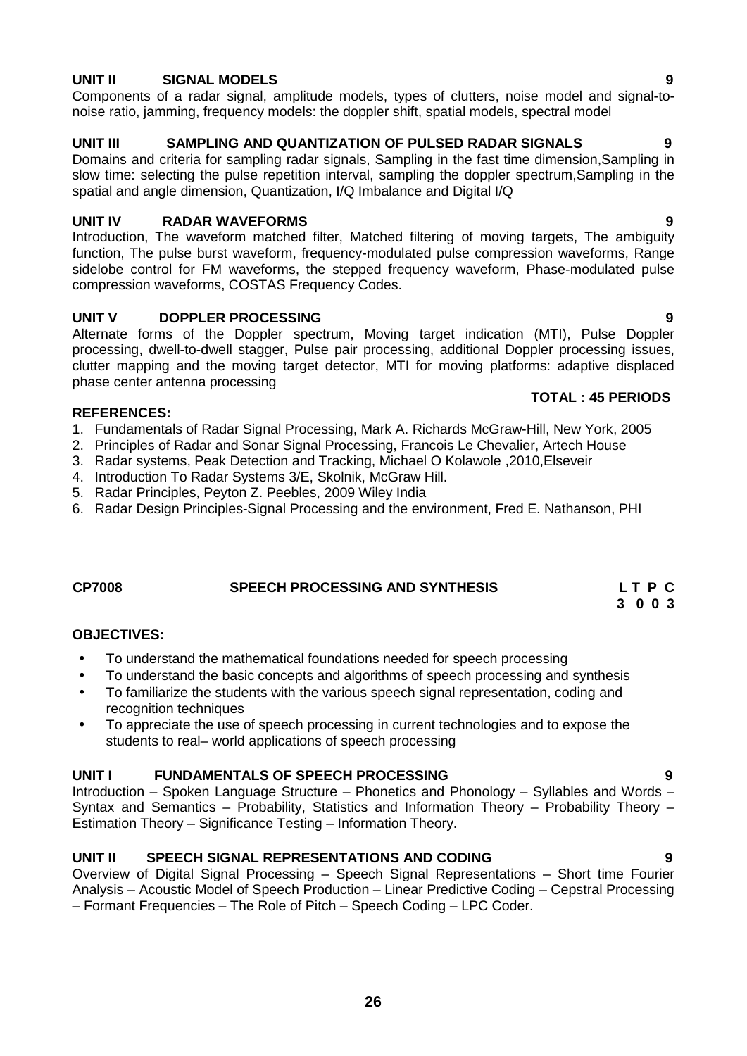# **UNIT II SIGNAL MODELS 9**

Components of a radar signal, amplitude models, types of clutters, noise model and signal-to noise ratio, jamming, frequency models: the doppler shift, spatial models, spectral model

# **UNIT III SAMPLING AND QUANTIZATION OF PULSED RADAR SIGNALS 9**

Domains and criteria for sampling radar signals, Sampling in the fast time dimension,Sampling in slow time: selecting the pulse repetition interval, sampling the doppler spectrum,Sampling in the spatial and angle dimension, Quantization, I/Q Imbalance and Digital I/Q

# **UNIT IV RADAR WAVEFORMS 9**

Introduction, The waveform matched filter, Matched filtering of moving targets, The ambiguity function, The pulse burst waveform, frequency-modulated pulse compression waveforms, Range sidelobe control for FM waveforms, the stepped frequency waveform, Phase-modulated pulse compression waveforms, COSTAS Frequency Codes.

# **UNIT V DOPPLER PROCESSING 9**

Alternate forms of the Doppler spectrum, Moving target indication (MTI), Pulse Doppler processing, dwell-to-dwell stagger, Pulse pair processing, additional Doppler processing issues, clutter mapping and the moving target detector, MTI for moving platforms: adaptive displaced phase center antenna processing

### **REFERENCES:**

- 1. Fundamentals of Radar Signal Processing, Mark A. Richards McGraw-Hill, New York, 2005
- 2. Principles of Radar and Sonar Signal Processing, Francois Le Chevalier, Artech House
- 3. Radar systems, Peak Detection and Tracking, Michael O Kolawole ,2010,Elseveir
- 4. Introduction To Radar Systems 3/E, Skolnik, McGraw Hill.
- 5. Radar Principles, Peyton Z. Peebles, 2009 Wiley India
- 6. Radar Design Principles-Signal Processing and the environment, Fred E. Nathanson, PHI

# **CP7008 SPEECH PROCESSING AND SYNTHESIS L T P C**

# **OBJECTIVES:**

- To understand the mathematical foundations needed for speech processing
- To understand the basic concepts and algorithms of speech processing and synthesis
- To familiarize the students with the various speech signal representation, coding and recognition techniques
- To appreciate the use of speech processing in current technologies and to expose the students to real– world applications of speech processing

# **UNIT I FUNDAMENTALS OF SPEECH PROCESSING 9**

Introduction – Spoken Language Structure – Phonetics and Phonology – Syllables and Words – Syntax and Semantics – Probability, Statistics and Information Theory – Probability Theory – Estimation Theory – Significance Testing – Information Theory.

# **UNIT II SPEECH SIGNAL REPRESENTATIONS AND CODING 9**

Overview of Digital Signal Processing – Speech Signal Representations – Short time Fourier Analysis – Acoustic Model of Speech Production – Linear Predictive Coding – Cepstral Processing – Formant Frequencies – The Role of Pitch – Speech Coding – LPC Coder.

# **26**

# **TOTAL : 45 PERIODS**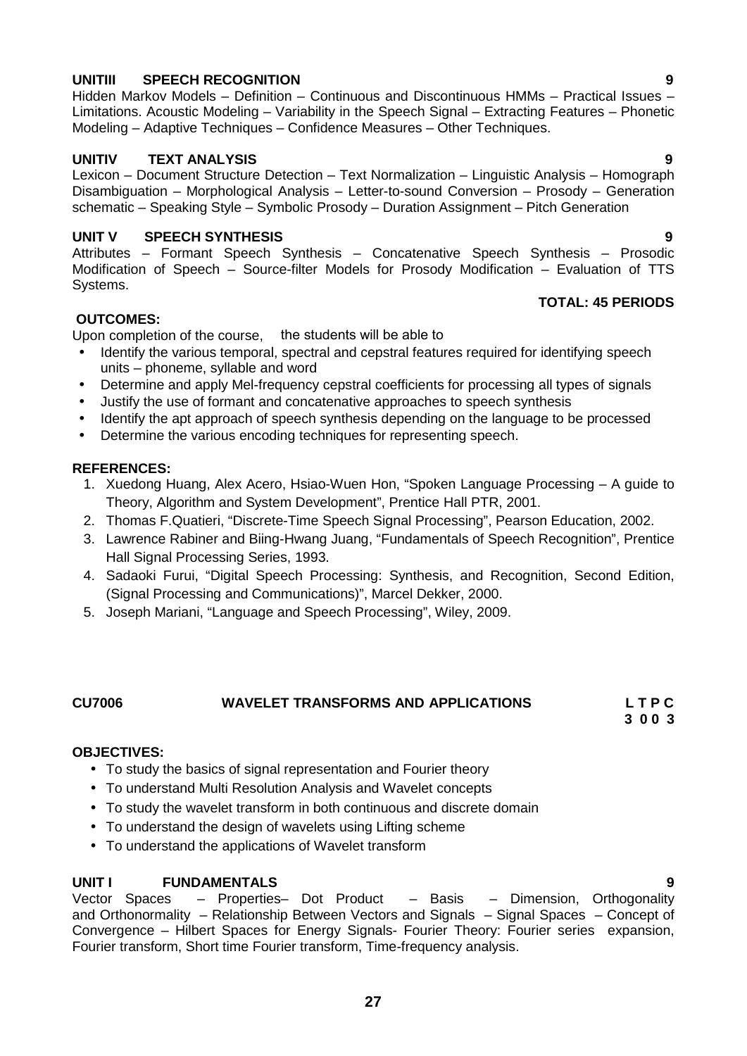# **UNITIII SPEECH RECOGNITION 9**

Hidden Markov Models – Definition – Continuous and Discontinuous HMMs – Practical Issues – Limitations. Acoustic Modeling – Variability in the Speech Signal – Extracting Features – Phonetic Modeling – Adaptive Techniques – Confidence Measures – Other Techniques.

# **UNITIV TEXT ANALYSIS 9**

Lexicon – Document Structure Detection – Text Normalization – Linguistic Analysis – Homograph Disambiguation – Morphological Analysis – Letter-to-sound Conversion – Prosody – Generation schematic – Speaking Style – Symbolic Prosody – Duration Assignment – Pitch Generation

# **UNIT V SPEECH SYNTHESIS 9**

Attributes – Formant Speech Synthesis – Concatenative Speech Synthesis – Prosodic Modification of Speech – Source-filter Models for Prosody Modification – Evaluation of TTS Systems.

# **TOTAL: 45 PERIODS**

# **OUTCOMES:**

Upon completion of the course, the students will be able to

- Identify the various temporal, spectral and cepstral features required for identifying speech units – phoneme, syllable and word
- Determine and apply Mel-frequency cepstral coefficients for processing all types of signals
- Justify the use of formant and concatenative approaches to speech synthesis
- Identify the apt approach of speech synthesis depending on the language to be processed
- Determine the various encoding techniques for representing speech.

# **REFERENCES:**

- 1. Xuedong Huang, Alex Acero, Hsiao-Wuen Hon, "Spoken Language Processing A guide to Theory, Algorithm and System Development", Prentice Hall PTR, 2001.
- 2. Thomas F.Quatieri, "Discrete-Time Speech Signal Processing", Pearson Education, 2002.
- 3. Lawrence Rabiner and Biing-Hwang Juang, "Fundamentals of Speech Recognition", Prentice Hall Signal Processing Series, 1993.
- 4. Sadaoki Furui, "Digital Speech Processing: Synthesis, and Recognition, Second Edition, (Signal Processing and Communications)", Marcel Dekker, 2000.
- 5. Joseph Mariani, "Language and Speech Processing", Wiley, 2009.

# **CU7006 WAVELET TRANSFORMS AND APPLICATIONS L T P C**

**3 0 0 3**

# **OBJECTIVES:**

- To study the basics of signal representation and Fourier theory
- To understand Multi Resolution Analysis and Wavelet concepts
- To study the wavelet transform in both continuous and discrete domain
- To understand the design of wavelets using Lifting scheme
- To understand the applications of Wavelet transform

**UNIT I FUNDAMENTALS 9** – Properties– Dot Product and Orthonormality – Relationship Between Vectors and Signals – Signal Spaces – Concept of Convergence – Hilbert Spaces for Energy Signals- Fourier Theory: Fourier series expansion, Fourier transform, Short time Fourier transform, Time-frequency analysis.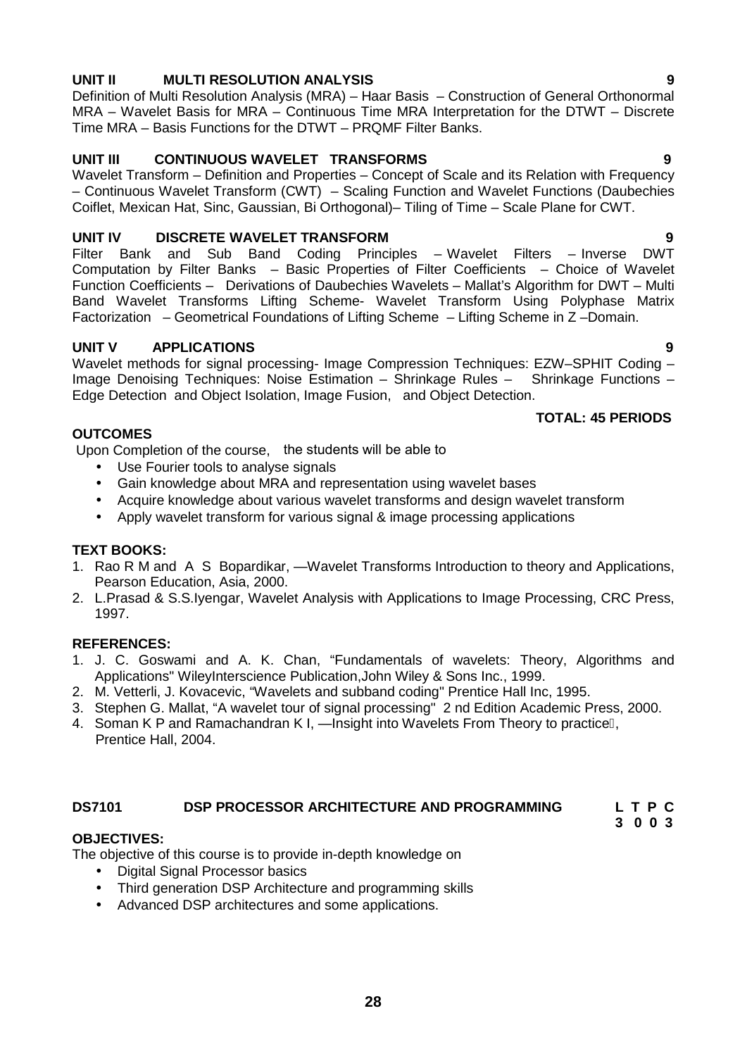# **UNIT II MULTI RESOLUTION ANALYSIS 9**

Definition of Multi Resolution Analysis (MRA) – Haar Basis – Construction of General Orthonormal MRA – Wavelet Basis for MRA – Continuous Time MRA Interpretation for the DTWT – Discrete Time MRA – Basis Functions for the DTWT – PRQMF Filter Banks.

# **UNIT III CONTINUOUS WAVELET TRANSFORMS 9**

Wavelet Transform – Definition and Properties – Concept of Scale and its Relation with Frequency – Continuous Wavelet Transform (CWT) – Scaling Function and Wavelet Functions (Daubechies Coiflet, Mexican Hat, Sinc, Gaussian, Bi Orthogonal)– Tiling of Time – Scale Plane for CWT.

# **UNIT IV DISCRETE WAVELET TRANSFORM 9**

Filter Bank and Sub Band Coding Principles – Wavelet Filters – Inverse DWT Computation by Filter Banks – Basic Properties of Filter Coefficients – Choice of Wavelet Function Coefficients – Derivations of Daubechies Wavelets – Mallat's Algorithm for DWT – Multi Band Wavelet Transforms Lifting Scheme- Wavelet Transform Using Polyphase Matrix Factorization – Geometrical Foundations of Lifting Scheme – Lifting Scheme in Z –Domain.

# **UNIT V APPLICATIONS 9**

Wavelet methods for signal processing- Image Compression Techniques: EZW-SPHIT Coding -Image Denoising Techniques: Noise Estimation – Shrinkage Rules – Shrinkage Functions – Edge Detection and Object Isolation, Image Fusion, and Object Detection.

# **TOTAL: 45 PERIODS**

Upon Completion of the course, the students will be able to

- Use Fourier tools to analyse signals
- Gain knowledge about MRA and representation using wavelet bases
- Acquire knowledge about various wavelet transforms and design wavelet transform
- Apply wavelet transform for various signal & image processing applications

# **TEXT BOOKS:**

**OUTCOMES**

- 1. Rao R M and A S Bopardikar, Wavelet Transforms Introduction to theory and Applications, Pearson Education, Asia, 2000.
- 2. L.Prasad & S.S.Iyengar, Wavelet Analysis with Applications to Image Processing, CRC Press, 1997.

# **REFERENCES:**

- 1. J. C. Goswami and A. K. Chan, "Fundamentals of wavelets: Theory, Algorithms and Applications" WileyInterscience Publication,John Wiley & Sons Inc., 1999.
- 2. M. Vetterli, J. Kovacevic, "Wavelets and subband coding" Prentice Hall Inc, 1995.
- 3. Stephen G. Mallat, "A wavelet tour of signal processing" 2 nd Edition Academic Press, 2000.
- 4. Soman K P and Ramachandran K I, Insight into Wavelets From Theory to practice, Prentice Hall, 2004.

# **DS7101 DSP PROCESSOR ARCHITECTURE AND PROGRAMMING L T P C**

# **3 0 0 3**

# **OBJECTIVES:**

The objective of this course is to provide in-depth knowledge on

- Digital Signal Processor basics
- Third generation DSP Architecture and programming skills
- Advanced DSP architectures and some applications.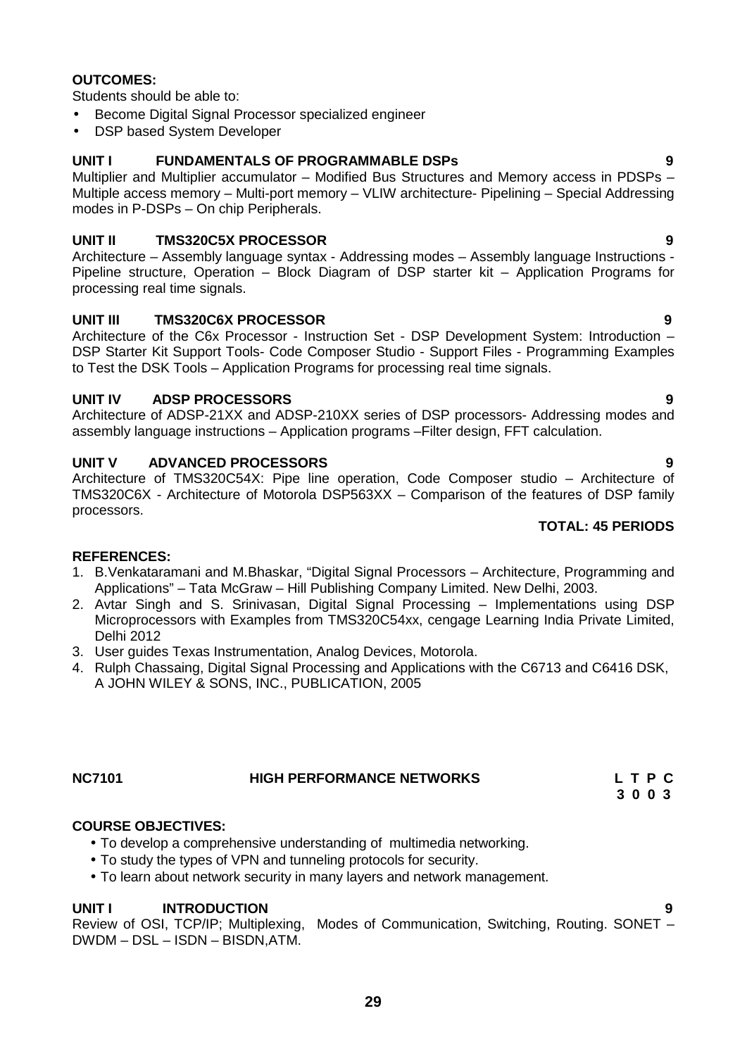# **29**

# **OUTCOMES:**

Students should be able to:

- **•** Become Digital Signal Processor specialized engineer
- DSP based System Developer

# **UNIT I FUNDAMENTALS OF PROGRAMMABLE DSPs 9**

Multiplier and Multiplier accumulator – Modified Bus Structures and Memory access in PDSPs – Multiple access memory – Multi-port memory – VLIW architecture- Pipelining – Special Addressing modes in P-DSPs – On chip Peripherals.

# **UNIT II TMS320C5X PROCESSOR 9**

Architecture – Assembly language syntax - Addressing modes – Assembly language Instructions - Pipeline structure, Operation – Block Diagram of DSP starter kit – Application Programs for processing real time signals.

# **UNIT III TMS320C6X PROCESSOR 9**

Architecture of the C6x Processor - Instruction Set - DSP Development System: Introduction – DSP Starter Kit Support Tools- Code Composer Studio - Support Files - Programming Examples to Test the DSK Tools – Application Programs for processing real time signals.

# **UNIT IV ADSP PROCESSORS 9**

Architecture of ADSP-21XX and ADSP-210XX series of DSP processors- Addressing modes and assembly language instructions – Application programs –Filter design, FFT calculation.

# **UNIT V ADVANCED PROCESSORS 9**

Architecture of TMS320C54X: Pipe line operation, Code Composer studio – Architecture of TMS320C6X - Architecture of Motorola DSP563XX – Comparison of the features of DSP family processors.

# **REFERENCES:**

- 1. B.Venkataramani and M.Bhaskar, "Digital Signal Processors Architecture, Programming and Applications" – Tata McGraw – Hill Publishing Company Limited. New Delhi, 2003.
- 2. Avtar Singh and S. Srinivasan, Digital Signal Processing Implementations using DSP Microprocessors with Examples from TMS320C54xx, cengage Learning India Private Limited, Delhi 2012
- 3. User guides Texas Instrumentation, Analog Devices, Motorola.
- 4. Rulph Chassaing, Digital Signal Processing and Applications with the C6713 and C6416 DSK, A JOHN WILEY & SONS, INC., PUBLICATION, 2005

# **NC7101 HIGH PERFORMANCE NETWORKS L T P C**

# **COURSE OBJECTIVES:**

- To develop a comprehensive understanding of multimedia networking.
- To study the types of VPN and tunneling protocols for security.
- To learn about network security in many layers and network management.

# **UNIT I INTRODUCTION 9**

Review of OSI, TCP/IP; Multiplexing, Modes of Communication, Switching, Routing. SONET – DWDM – DSL – ISDN – BISDN,ATM.

# **TOTAL: 45 PERIODS**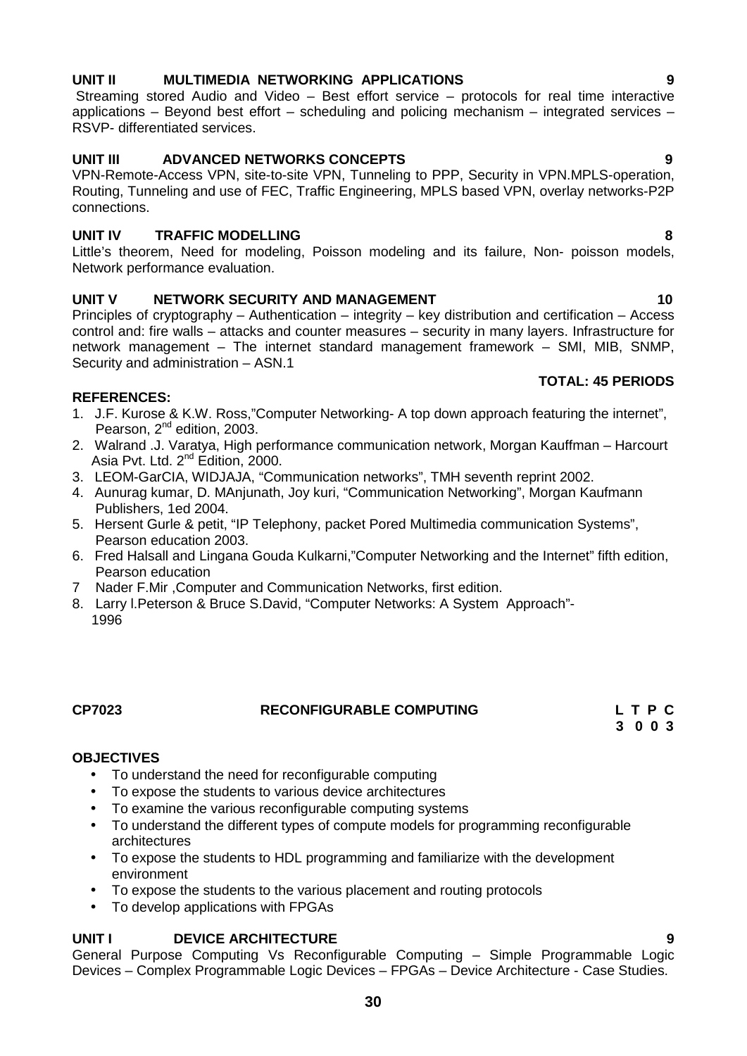# **UNIT II MULTIMEDIA NETWORKING APPLICATIONS 9**

Streaming stored Audio and Video – Best effort service – protocols for real time interactive applications – Beyond best effort – scheduling and policing mechanism – integrated services – RSVP- differentiated services.

# **UNIT III ADVANCED NETWORKS CONCEPTS 9**

VPN-Remote-Access VPN, site-to-site VPN, Tunneling to PPP, Security in VPN.MPLS-operation, Routing, Tunneling and use of FEC, Traffic Engineering, MPLS based VPN, overlay networks-P2P connections.

# **UNIT IV TRAFFIC MODELLING 8**

Little's theorem, Need for modeling, Poisson modeling and its failure, Non- poisson models, Network performance evaluation.

# **UNIT V NETWORK SECURITY AND MANAGEMENT 10**

Principles of cryptography – Authentication – integrity – key distribution and certification – Access control and: fire walls – attacks and counter measures – security in many layers. Infrastructure for network management – The internet standard management framework – SMI, MIB, SNMP, Security and administration – ASN.1

# **TOTAL: 45 PERIODS**

# **REFERENCES:**

- 1. J.F. Kurose & K.W. Ross,"Computer Networking- A top down approach featuring the internet", Pearson, 2<sup>nd</sup> edition, 2003.
- 2. Walrand .J. Varatya, High performance communication network, Morgan Kauffman Harcourt Asia Pvt. Ltd. 2nd Edition, 2000.
- 3. LEOM-GarCIA, WIDJAJA, "Communication networks", TMH seventh reprint 2002.
- 4. Aunurag kumar, D. MAnjunath, Joy kuri, "Communication Networking", Morgan Kaufmann Publishers, 1ed 2004.
- 5. Hersent Gurle & petit, "IP Telephony, packet Pored Multimedia communication Systems", Pearson education 2003.
- 6. Fred Halsall and Lingana Gouda Kulkarni,"Computer Networking and the Internet" fifth edition, Pearson education
- 7 Nader F.Mir ,Computer and Communication Networks, first edition.
- 8. Larry l.Peterson & Bruce S.David, "Computer Networks: A System Approach"- 1996

# **CP7023 RECONFIGURABLE COMPUTING L T P C**

**3 0 0 3**

# **OBJECTIVES**

- To understand the need for reconfigurable computing
- To expose the students to various device architectures
- To examine the various reconfigurable computing systems
- To understand the different types of compute models for programming reconfigurable architectures
- To expose the students to HDL programming and familiarize with the development environment
- To expose the students to the various placement and routing protocols
- To develop applications with FPGAs

# **UNIT I DEVICE ARCHITECTURE 9**

General Purpose Computing Vs Reconfigurable Computing – Simple Programmable Logic Devices – Complex Programmable Logic Devices – FPGAs – Device Architecture - Case Studies.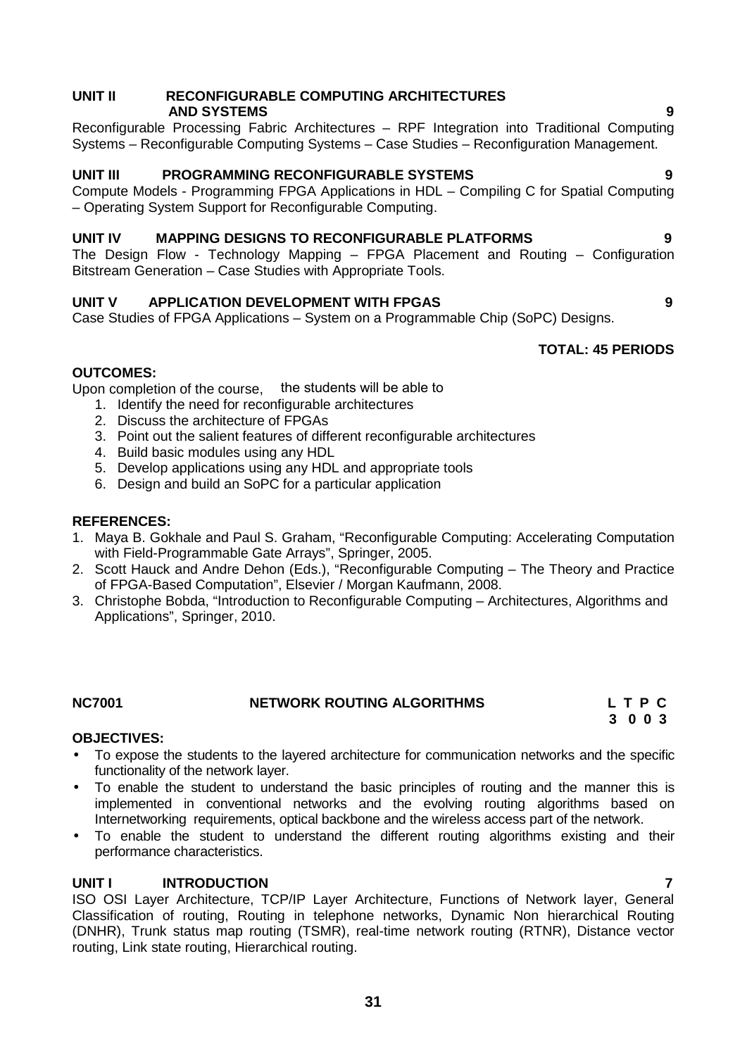# **UNIT II RECONFIGURABLE COMPUTING ARCHITECTURES AND SYSTEMS 9**

Reconfigurable Processing Fabric Architectures – RPF Integration into Traditional Computing Systems – Reconfigurable Computing Systems – Case Studies – Reconfiguration Management.

# **UNIT III PROGRAMMING RECONFIGURABLE SYSTEMS 9**

Compute Models - Programming FPGA Applications in HDL – Compiling C for Spatial Computing – Operating System Support for Reconfigurable Computing.

# **UNIT IV MAPPING DESIGNS TO RECONFIGURABLE PLATFORMS 9**

The Design Flow - Technology Mapping – FPGA Placement and Routing – Configuration Bitstream Generation – Case Studies with Appropriate Tools.

# **UNIT V APPLICATION DEVELOPMENT WITH FPGAS 9**

Case Studies of FPGA Applications – System on a Programmable Chip (SoPC) Designs.

# **TOTAL: 45 PERIODS**

# **OUTCOMES:**

Upon completion of the course, the students will be able to

- 1. Identify the need for reconfigurable architectures
- 2. Discuss the architecture of FPGAs
- 3. Point out the salient features of different reconfigurable architectures
- 4. Build basic modules using any HDL
- 5. Develop applications using any HDL and appropriate tools
- 6. Design and build an SoPC for a particular application

# **REFERENCES:**

- 1. Maya B. Gokhale and Paul S. Graham, "Reconfigurable Computing: Accelerating Computation with Field-Programmable Gate Arrays", Springer, 2005.
- 2. Scott Hauck and Andre Dehon (Eds.), "Reconfigurable Computing The Theory and Practice of FPGA-Based Computation", Elsevier / Morgan Kaufmann, 2008.
- 3. Christophe Bobda, "Introduction to Reconfigurable Computing Architectures, Algorithms and Applications", Springer, 2010.

**NC7001 NETWORK ROUTING ALGORITHMS L T P C**

# **OBJECTIVES:**

- To expose the students to the layered architecture for communication networks and the specific functionality of the network layer.
- To enable the student to understand the basic principles of routing and the manner this is implemented in conventional networks and the evolving routing algorithms based on Internetworking requirements, optical backbone and the wireless access part of the network.
- To enable the student to understand the different routing algorithms existing and their performance characteristics.

# **UNIT I INTRODUCTION 7**

ISO OSI Layer Architecture, TCP/IP Layer Architecture, Functions of Network layer, General Classification of routing, Routing in telephone networks, Dynamic Non hierarchical Routing (DNHR), Trunk status map routing (TSMR), real-time network routing (RTNR), Distance vector routing, Link state routing, Hierarchical routing.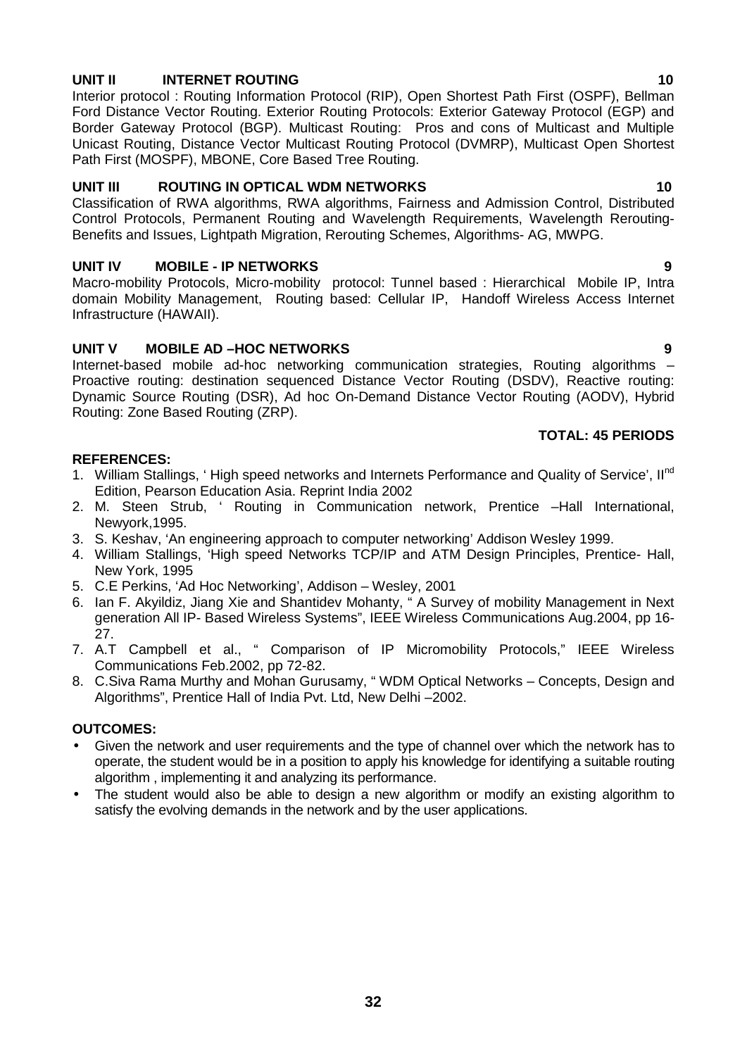# **32**

# **UNIT II INTERNET ROUTING 10**

Interior protocol : Routing Information Protocol (RIP), Open Shortest Path First (OSPF), Bellman Ford Distance Vector Routing. Exterior Routing Protocols: Exterior Gateway Protocol (EGP) and Border Gateway Protocol (BGP). Multicast Routing: Pros and cons of Multicast and Multiple Unicast Routing, Distance Vector Multicast Routing Protocol (DVMRP), Multicast Open Shortest Path First (MOSPF), MBONE, Core Based Tree Routing.

# **UNIT III ROUTING IN OPTICAL WDM NETWORKS 10**

Classification of RWA algorithms, RWA algorithms, Fairness and Admission Control, Distributed Control Protocols, Permanent Routing and Wavelength Requirements, Wavelength Rerouting- Benefits and Issues, Lightpath Migration, Rerouting Schemes, Algorithms- AG, MWPG.

# **UNIT IV MOBILE - IP NETWORKS 9**

Macro-mobility Protocols, Micro-mobility protocol: Tunnel based : Hierarchical Mobile IP, Intra domain Mobility Management, Routing based: Cellular IP, Handoff Wireless Access Internet Infrastructure (HAWAII).

# **UNIT V MOBILE AD –HOC NETWORKS 9**

Internet-based mobile ad-hoc networking communication strategies, Routing algorithms – Proactive routing: destination sequenced Distance Vector Routing (DSDV), Reactive routing: Dynamic Source Routing (DSR), Ad hoc On-Demand Distance Vector Routing (AODV), Hybrid Routing: Zone Based Routing (ZRP).

# **TOTAL: 45 PERIODS**

# **REFERENCES:**

- 1. William Stallings, 'High speed networks and Internets Performance and Quality of Service', II<sup>nd</sup> Edition, Pearson Education Asia. Reprint India 2002
- 2. M. Steen Strub, ' Routing in Communication network, Prentice –Hall International, Newyork,1995.
- 3. S. Keshav, 'An engineering approach to computer networking' Addison Wesley 1999.
- 4. William Stallings, 'High speed Networks TCP/IP and ATM Design Principles, Prentice- Hall, New York, 1995
- 5. C.E Perkins, 'Ad Hoc Networking', Addison Wesley, 2001
- 6. Ian F. Akyildiz, Jiang Xie and Shantidev Mohanty, " A Survey of mobility Management in Next generation All IP- Based Wireless Systems", IEEE Wireless Communications Aug.2004, pp 16- 27.
- 7. A.T Campbell et al., " Comparison of IP Micromobility Protocols," IEEE Wireless Communications Feb.2002, pp 72-82.
- 8. C.Siva Rama Murthy and Mohan Gurusamy, " WDM Optical Networks Concepts, Design and Algorithms", Prentice Hall of India Pvt. Ltd, New Delhi –2002.

# **OUTCOMES:**

- Given the network and user requirements and the type of channel over which the network has to operate, the student would be in a position to apply his knowledge for identifying a suitable routing algorithm , implementing it and analyzing its performance.
- The student would also be able to design a new algorithm or modify an existing algorithm to satisfy the evolving demands in the network and by the user applications.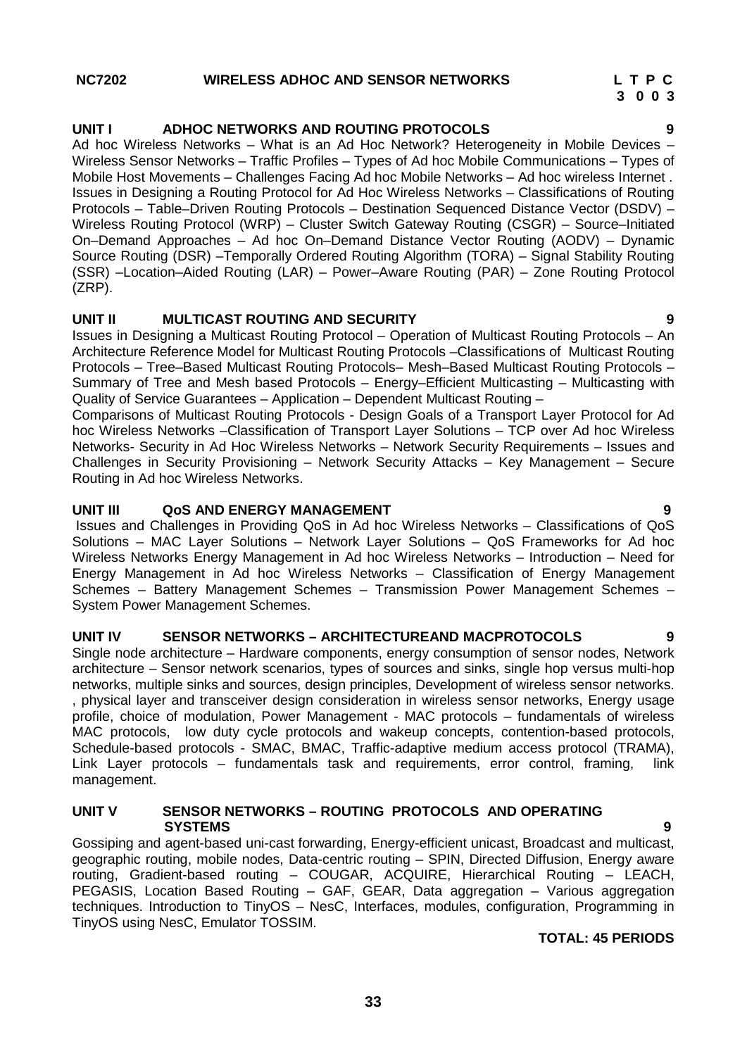Ad hoc Wireless Networks – What is an Ad Hoc Network? Heterogeneity in Mobile Devices – Wireless Sensor Networks – Traffic Profiles – Types of Ad hoc Mobile Communications – Types of Mobile Host Movements – Challenges Facing Ad hoc Mobile Networks – Ad hoc wireless Internet . Issues in Designing a Routing Protocol for Ad Hoc Wireless Networks – Classifications of Routing Protocols – Table–Driven Routing Protocols – Destination Sequenced Distance Vector (DSDV) – Wireless Routing Protocol (WRP) – Cluster Switch Gateway Routing (CSGR) – Source–Initiated On–Demand Approaches – Ad hoc On–Demand Distance Vector Routing (AODV) – Dynamic Source Routing (DSR) –Temporally Ordered Routing Algorithm (TORA) – Signal Stability Routing (SSR) –Location–Aided Routing (LAR) – Power–Aware Routing (PAR) – Zone Routing Protocol (ZRP).

### **UNIT II MULTICAST ROUTING AND SECURITY 9**

Issues in Designing a Multicast Routing Protocol – Operation of Multicast Routing Protocols – An Architecture Reference Model for Multicast Routing Protocols –Classifications of Multicast Routing Protocols – Tree–Based Multicast Routing Protocols– Mesh–Based Multicast Routing Protocols – Summary of Tree and Mesh based Protocols – Energy–Efficient Multicasting – Multicasting with Quality of Service Guarantees – Application – Dependent Multicast Routing –

Comparisons of Multicast Routing Protocols - Design Goals of a Transport Layer Protocol for Ad hoc Wireless Networks –Classification of Transport Layer Solutions – TCP over Ad hoc Wireless Networks- Security in Ad Hoc Wireless Networks – Network Security Requirements – Issues and Challenges in Security Provisioning – Network Security Attacks – Key Management – Secure Routing in Ad hoc Wireless Networks.

### **UNIT III QoS AND ENERGY MANAGEMENT 9**

Issues and Challenges in Providing QoS in Ad hoc Wireless Networks – Classifications of QoS Solutions – MAC Layer Solutions – Network Layer Solutions – QoS Frameworks for Ad hoc Wireless Networks Energy Management in Ad hoc Wireless Networks – Introduction – Need for Energy Management in Ad hoc Wireless Networks – Classification of Energy Management Schemes – Battery Management Schemes – Transmission Power Management Schemes – System Power Management Schemes.

### **UNIT IV SENSOR NETWORKS – ARCHITECTUREAND MACPROTOCOLS 9**

Single node architecture – Hardware components, energy consumption of sensor nodes, Network architecture – Sensor network scenarios, types of sources and sinks, single hop versus multi-hop networks, multiple sinks and sources, design principles, Development of wireless sensor networks. , physical layer and transceiver design consideration in wireless sensor networks, Energy usage profile, choice of modulation, Power Management - MAC protocols – fundamentals of wireless MAC protocols, low duty cycle protocols and wakeup concepts, contention-based protocols, Schedule-based protocols - SMAC, BMAC, Traffic-adaptive medium access protocol (TRAMA), Link Layer protocols – fundamentals task and requirements, error control, framing, link management.

### **UNIT V SENSOR NETWORKS – ROUTING PROTOCOLS AND OPERATING SYSTEMS 9**

Gossiping and agent-based uni-cast forwarding, Energy-efficient unicast, Broadcast and multicast, geographic routing, mobile nodes, Data-centric routing – SPIN, Directed Diffusion, Energy aware routing, Gradient-based routing – COUGAR, ACQUIRE, Hierarchical Routing – LEACH, PEGASIS, Location Based Routing – GAF, GEAR, Data aggregation – Various aggregation techniques. Introduction to TinyOS – NesC, Interfaces, modules, configuration, Programming in TinyOS using NesC, Emulator TOSSIM.

### **TOTAL: 45 PERIODS**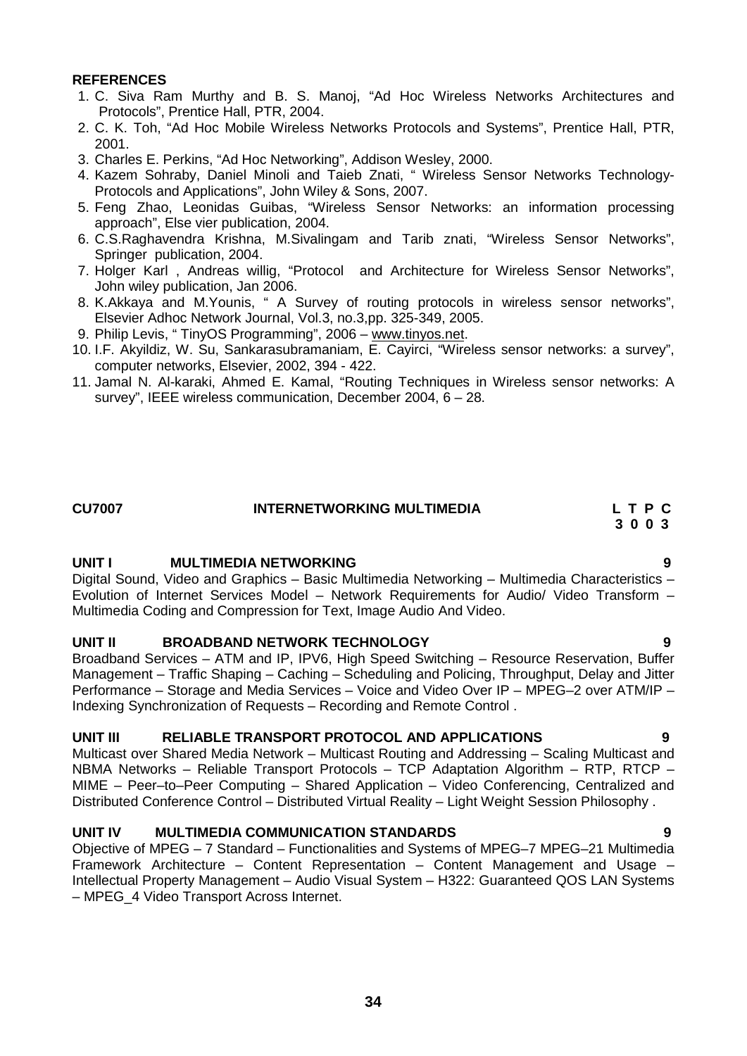- 1. C. Siva Ram Murthy and B. S. Manoj, "Ad Hoc Wireless Networks Architectures and Protocols", Prentice Hall, PTR, 2004.
- 2. C. K. Toh, "Ad Hoc Mobile Wireless Networks Protocols and Systems", Prentice Hall, PTR, 2001.
- 3. Charles E. Perkins, "Ad Hoc Networking", Addison Wesley, 2000.
- 4. Kazem Sohraby, Daniel Minoli and Taieb Znati, " Wireless Sensor Networks Technology- Protocols and Applications", John Wiley & Sons, 2007.
- 5. Feng Zhao, Leonidas Guibas, "Wireless Sensor Networks: an information processing approach", Else vier publication, 2004.
- 6. C.S.Raghavendra Krishna, M.Sivalingam and Tarib znati, "Wireless Sensor Networks", Springer publication, 2004.
- 7. Holger Karl , Andreas willig, "Protocol and Architecture for Wireless Sensor Networks", John wiley publication, Jan 2006.
- 8. K.Akkaya and M.Younis, " A Survey of routing protocols in wireless sensor networks", Elsevier Adhoc Network Journal, Vol.3, no.3,pp. 325-349, 2005.
- 9. Philip Levis, " TinyOS Programming", 2006 www.tinyos.net.
- 10. I.F. Akyildiz, W. Su, Sankarasubramaniam, E. Cayirci, "Wireless sensor networks: a survey", computer networks, Elsevier, 2002, 394 - 422.
- 11. Jamal N. Al-karaki, Ahmed E. Kamal, "Routing Techniques in Wireless sensor networks: A survey", IEEE wireless communication, December 2004, 6 – 28.

# **CU7007 INTERNETWORKING MULTIMEDIA L T P C**

**3 0 0 3**

### **UNIT I MULTIMEDIA NETWORKING 9**

Digital Sound, Video and Graphics – Basic Multimedia Networking – Multimedia Characteristics – Evolution of Internet Services Model – Network Requirements for Audio/ Video Transform – Multimedia Coding and Compression for Text, Image Audio And Video.

# **UNIT II BROADBAND NETWORK TECHNOLOGY 9**

Broadband Services – ATM and IP, IPV6, High Speed Switching – Resource Reservation, Buffer Management – Traffic Shaping – Caching – Scheduling and Policing, Throughput, Delay and Jitter Performance – Storage and Media Services – Voice and Video Over IP – MPEG–2 over ATM/IP – Indexing Synchronization of Requests – Recording and Remote Control .

### **UNIT III RELIABLE TRANSPORT PROTOCOL AND APPLICATIONS 9**

Multicast over Shared Media Network – Multicast Routing and Addressing – Scaling Multicast and NBMA Networks – Reliable Transport Protocols – TCP Adaptation Algorithm – RTP, RTCP – MIME – Peer–to–Peer Computing – Shared Application – Video Conferencing, Centralized and Distributed Conference Control – Distributed Virtual Reality – Light Weight Session Philosophy .

# **UNIT IV MULTIMEDIA COMMUNICATION STANDARDS 9**

Objective of MPEG – 7 Standard – Functionalities and Systems of MPEG–7 MPEG–21 Multimedia Framework Architecture – Content Representation – Content Management and Usage – Intellectual Property Management – Audio Visual System – H322: Guaranteed QOS LAN Systems – MPEG\_4 Video Transport Across Internet.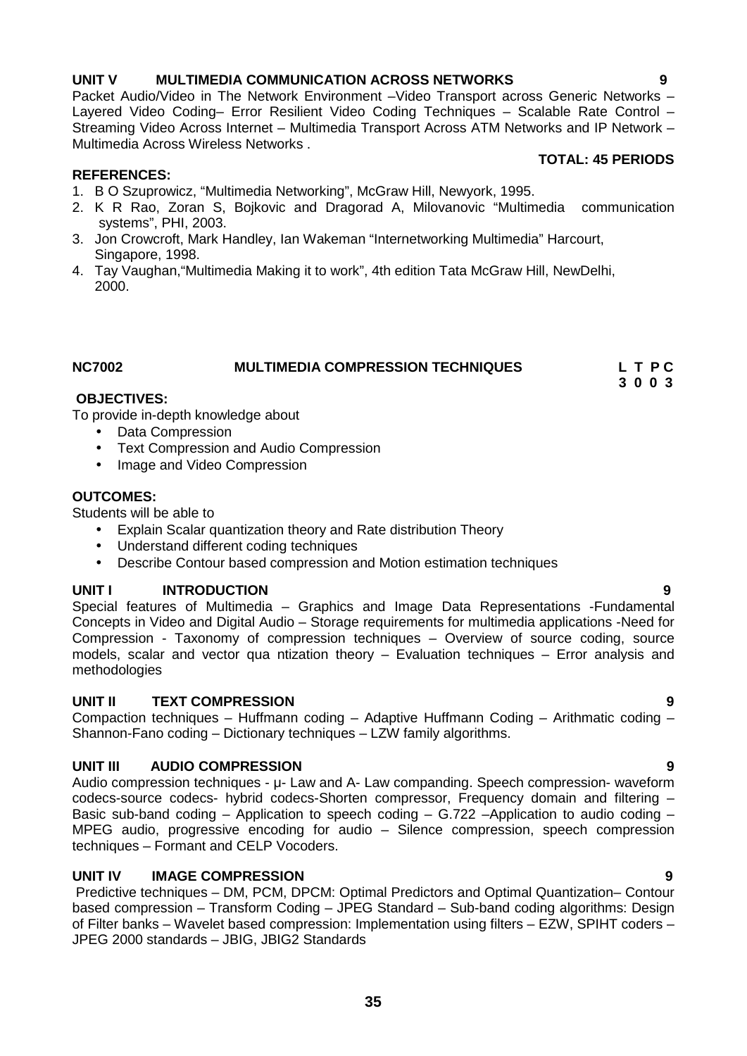# **UNIT V MULTIMEDIA COMMUNICATION ACROSS NETWORKS 9**

Packet Audio/Video in The Network Environment –Video Transport across Generic Networks – Layered Video Coding– Error Resilient Video Coding Techniques – Scalable Rate Control – Streaming Video Across Internet – Multimedia Transport Across ATM Networks and IP Network – Multimedia Across Wireless Networks .

# **TOTAL: 45 PERIODS**

# **REFERENCES:**

- 1. B O Szuprowicz, "Multimedia Networking", McGraw Hill, Newyork, 1995.
- 2. K R Rao, Zoran S, Bojkovic and Dragorad A, Milovanovic "Multimedia communication systems", PHI, 2003.
- 3. Jon Crowcroft, Mark Handley, Ian Wakeman "Internetworking Multimedia" Harcourt, Singapore, 1998.
- 4. Tay Vaughan,"Multimedia Making it to work", 4th edition Tata McGraw Hill, NewDelhi, 2000.

### **NC7002 MULTIMEDIA COMPRESSION TECHNIQUES L T P C 3 0 0 3**

# **OBJECTIVES:**

To provide in-depth knowledge about

- Data Compression
- Text Compression and Audio Compression
- Image and Video Compression

# **OUTCOMES:**

Students will be able to

- Explain Scalar quantization theory and Rate distribution Theory
- Understand different coding techniques
- Describe Contour based compression and Motion estimation techniques

# **UNIT I INTRODUCTION 9**

Special features of Multimedia – Graphics and Image Data Representations -Fundamental Concepts in Video and Digital Audio – Storage requirements for multimedia applications -Need for Compression - Taxonomy of compression techniques – Overview of source coding, source models, scalar and vector qua ntization theory – Evaluation techniques – Error analysis and methodologies

# **UNIT II TEXT COMPRESSION 9**

Compaction techniques – Huffmann coding – Adaptive Huffmann Coding – Arithmatic coding – Shannon-Fano coding – Dictionary techniques – LZW family algorithms.

# **UNIT III AUDIO COMPRESSION 9**

Audio compression techniques - μ- Law and A- Law companding. Speech compression- waveform codecs-source codecs- hybrid codecs-Shorten compressor, Frequency domain and filtering – Basic sub-band coding – Application to speech coding – G.722 –Application to audio coding – MPEG audio, progressive encoding for audio – Silence compression, speech compression techniques – Formant and CELP Vocoders.

# **UNIT IV IMAGE COMPRESSION 9**

Predictive techniques – DM, PCM, DPCM: Optimal Predictors and Optimal Quantization– Contour based compression – Transform Coding – JPEG Standard – Sub-band coding algorithms: Design of Filter banks – Wavelet based compression: Implementation using filters – EZW, SPIHT coders – JPEG 2000 standards – JBIG, JBIG2 Standards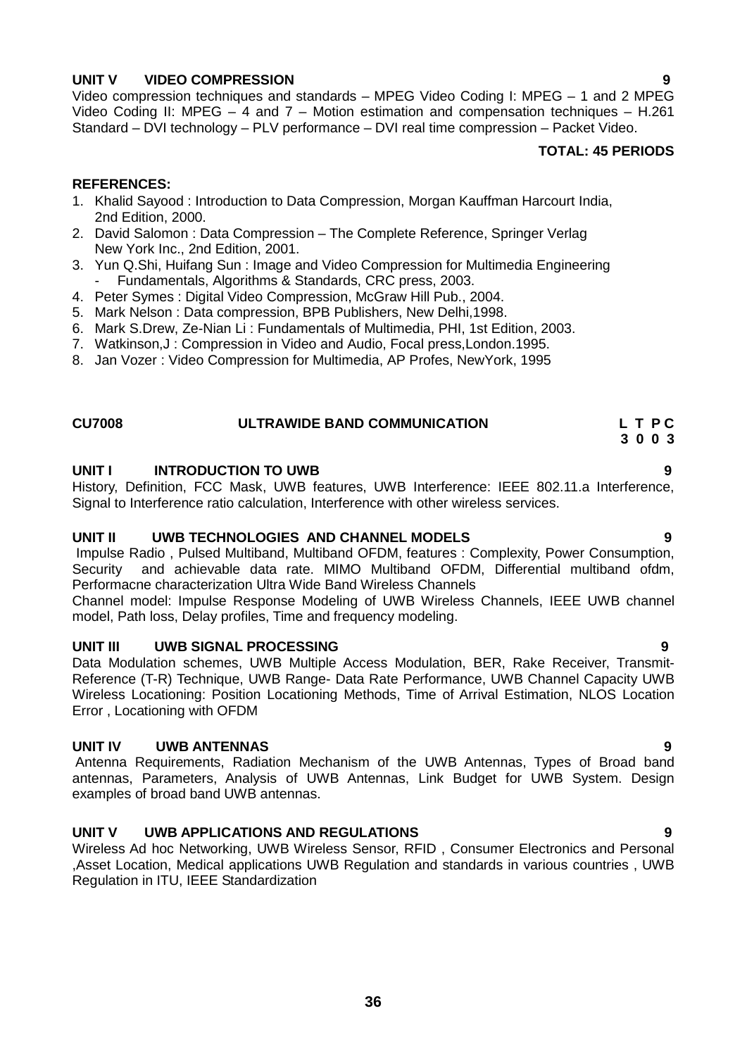# **36**

# **UNIT V VIDEO COMPRESSION 9**

Video compression techniques and standards – MPEG Video Coding I: MPEG – 1 and 2 MPEG Video Coding II: MPEG – 4 and 7 – Motion estimation and compensation techniques – H.261 Standard – DVI technology – PLV performance – DVI real time compression – Packet Video.

# **TOTAL: 45 PERIODS**

# **REFERENCES:**

- 1. Khalid Sayood : Introduction to Data Compression, Morgan Kauffman Harcourt India, 2nd Edition, 2000.
- 2. David Salomon : Data Compression The Complete Reference, Springer Verlag New York Inc., 2nd Edition, 2001.
- 3. Yun Q.Shi, Huifang Sun : Image and Video Compression for Multimedia Engineering Fundamentals, Algorithms & Standards, CRC press, 2003.
- 4. Peter Symes : Digital Video Compression, McGraw Hill Pub., 2004.
- 5. Mark Nelson : Data compression, BPB Publishers, New Delhi,1998.
- 6. Mark S.Drew, Ze-Nian Li : Fundamentals of Multimedia, PHI, 1st Edition, 2003.
- 7. Watkinson,J : Compression in Video and Audio, Focal press,London.1995.
- 8. Jan Vozer : Video Compression for Multimedia, AP Profes, NewYork, 1995

# **CU7008 ULTRAWIDE BAND COMMUNICATION L T P C 3 0 0 3**

# **UNIT I INTRODUCTION TO UWB 9**

History, Definition, FCC Mask, UWB features, UWB Interference: IEEE 802.11.a Interference, Signal to Interference ratio calculation, Interference with other wireless services.

# **UNIT II UWB TECHNOLOGIES AND CHANNEL MODELS 9**

Impulse Radio , Pulsed Multiband, Multiband OFDM, features : Complexity, Power Consumption, and achievable data rate. MIMO Multiband OFDM, Differential multiband ofdm, Performacne characterization Ultra Wide Band Wireless Channels

Channel model: Impulse Response Modeling of UWB Wireless Channels, IEEE UWB channel model, Path loss, Delay profiles, Time and frequency modeling.

# **UNIT III UWB SIGNAL PROCESSING 9**

Data Modulation schemes, UWB Multiple Access Modulation, BER, Rake Receiver, Transmit- Reference (T-R) Technique, UWB Range- Data Rate Performance, UWB Channel Capacity UWB Wireless Locationing: Position Locationing Methods, Time of Arrival Estimation, NLOS Location Error , Locationing with OFDM

# **UNIT IV UWB ANTENNAS 9**

Antenna Requirements, Radiation Mechanism of the UWB Antennas, Types of Broad band antennas, Parameters, Analysis of UWB Antennas, Link Budget for UWB System. Design examples of broad band UWB antennas.

# **UNIT V UWB APPLICATIONS AND REGULATIONS 9**

Wireless Ad hoc Networking, UWB Wireless Sensor, RFID , Consumer Electronics and Personal ,Asset Location, Medical applications UWB Regulation and standards in various countries , UWB Regulation in ITU, IEEE Standardization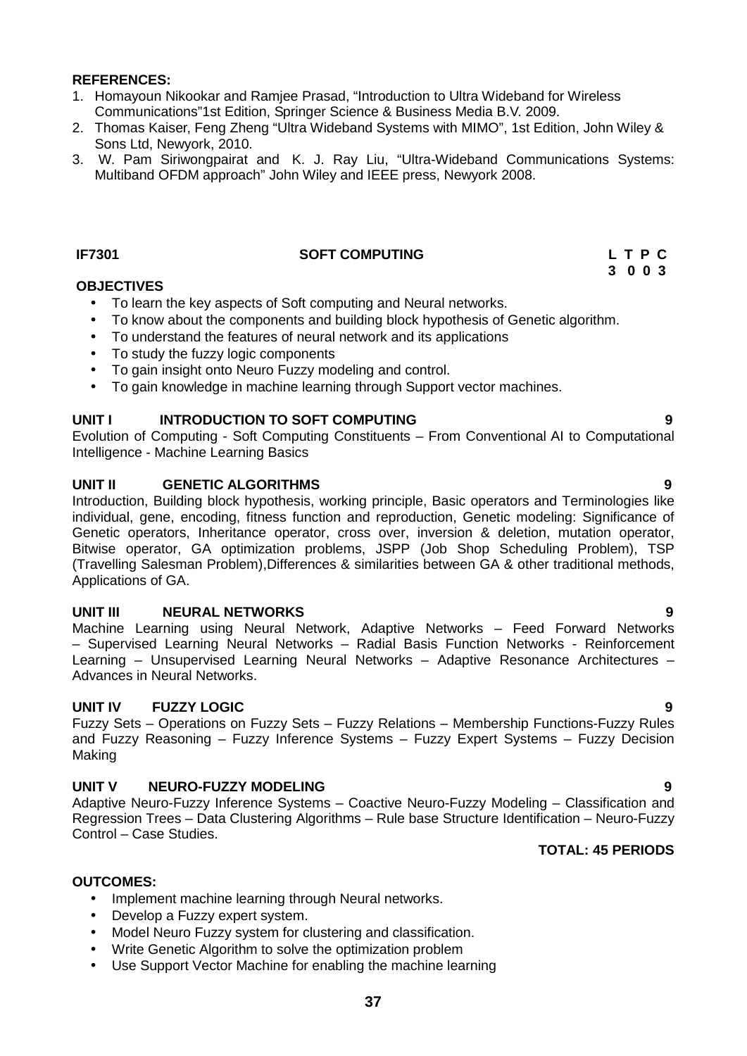- 1. Homayoun Nikookar and Ramjee Prasad, "Introduction to Ultra Wideband for Wireless Communications"1st Edition, Springer Science & Business Media B.V. 2009.
- 2. Thomas Kaiser, Feng Zheng "Ultra Wideband Systems with MIMO", 1st Edition, John Wiley & Sons Ltd, Newyork, 2010.
- 3. W. Pam Siriwongpairat and K. J. Ray Liu, "Ultra-Wideband Communications Systems: Multiband OFDM approach" John Wiley and IEEE press, Newyork 2008.

### **IF7301 SOFT COMPUTING L T P C**

### **OBJECTIVES**

- To learn the key aspects of Soft computing and Neural networks.
- To know about the components and building block hypothesis of Genetic algorithm.
- To understand the features of neural network and its applications
- To study the fuzzy logic components
- To gain insight onto Neuro Fuzzy modeling and control.
- To gain knowledge in machine learning through Support vector machines.

# **UNIT I INTRODUCTION TO SOFT COMPUTING 9**

Evolution of Computing - Soft Computing Constituents – From Conventional AI to Computational Intelligence - Machine Learning Basics

### **UNIT II GENETIC ALGORITHMS 9**

Introduction, Building block hypothesis, working principle, Basic operators and Terminologies like individual, gene, encoding, fitness function and reproduction, Genetic modeling: Significance of Genetic operators, Inheritance operator, cross over, inversion & deletion, mutation operator, Bitwise operator, GA optimization problems, JSPP (Job Shop Scheduling Problem), TSP (Travelling Salesman Problem),Differences & similarities between GA & other traditional methods, Applications of GA.

# **UNIT III NEURAL NETWORKS 9**

Machine Learning using Neural Network, Adaptive Networks – Feed Forward Networks – Supervised Learning Neural Networks – Radial Basis Function Networks - Reinforcement Learning – Unsupervised Learning Neural Networks – Adaptive Resonance Architectures – Advances in Neural Networks.

# **UNIT IV FUZZY LOGIC 9**

Fuzzy Sets – Operations on Fuzzy Sets – Fuzzy Relations – Membership Functions-Fuzzy Rules and Fuzzy Reasoning – Fuzzy Inference Systems – Fuzzy Expert Systems – Fuzzy Decision Making

# **UNIT V NEURO-FUZZY MODELING 9**

Adaptive Neuro-Fuzzy Inference Systems – Coactive Neuro-Fuzzy Modeling – Classification and Regression Trees – Data Clustering Algorithms – Rule base Structure Identification – Neuro-Fuzzy Control – Case Studies.

# **TOTAL: 45 PERIODS**

### **OUTCOMES:**

- Implement machine learning through Neural networks.
- Develop a Fuzzy expert system.
- Model Neuro Fuzzy system for clustering and classification.
- Write Genetic Algorithm to solve the optimization problem
- Use Support Vector Machine for enabling the machine learning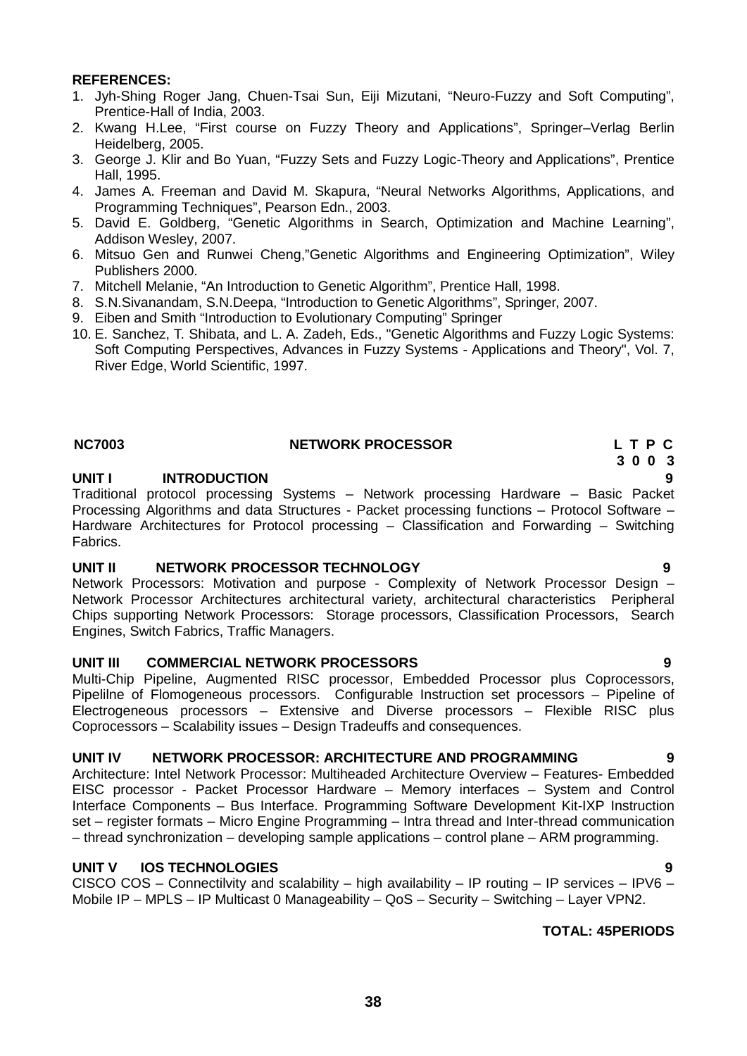- 1. Jyh-Shing Roger Jang, Chuen-Tsai Sun, Eiji Mizutani, "Neuro-Fuzzy and Soft Computing", Prentice-Hall of India, 2003.
- 2. Kwang H.Lee, "First course on Fuzzy Theory and Applications", Springer–Verlag Berlin Heidelberg, 2005.
- 3. George J. Klir and Bo Yuan, "Fuzzy Sets and Fuzzy Logic-Theory and Applications", Prentice Hall, 1995.
- 4. James A. Freeman and David M. Skapura, "Neural Networks Algorithms, Applications, and Programming Techniques", Pearson Edn., 2003.
- 5. David E. Goldberg, "Genetic Algorithms in Search, Optimization and Machine Learning", Addison Wesley, 2007.
- 6. Mitsuo Gen and Runwei Cheng,"Genetic Algorithms and Engineering Optimization", Wiley Publishers 2000.
- 7. Mitchell Melanie, "An Introduction to Genetic Algorithm", Prentice Hall, 1998.
- 8. S.N.Sivanandam, S.N.Deepa, "Introduction to Genetic Algorithms", Springer, 2007.
- 9. Eiben and Smith "Introduction to Evolutionary Computing" Springer
- 10. E. Sanchez, T. Shibata, and L. A. Zadeh, Eds., "Genetic Algorithms and Fuzzy Logic Systems: Soft Computing Perspectives, Advances in Fuzzy Systems - Applications and Theory", Vol. 7, River Edge, World Scientific, 1997.

# **NC7003 NETWORK PROCESSOR L T P C**

# **UNIT I INTRODUCTION 9**

Traditional protocol processing Systems – Network processing Hardware – Basic Packet Processing Algorithms and data Structures - Packet processing functions – Protocol Software – Hardware Architectures for Protocol processing – Classification and Forwarding – Switching Fabrics.

# **UNIT II NETWORK PROCESSOR TECHNOLOGY 9**

Network Processors: Motivation and purpose - Complexity of Network Processor Design – Network Processor Architectures architectural variety, architectural characteristics Peripheral Chips supporting Network Processors: Storage processors, Classification Processors, Search Engines, Switch Fabrics, Traffic Managers.

# **UNIT III COMMERCIAL NETWORK PROCESSORS 9**

Multi-Chip Pipeline, Augmented RISC processor, Embedded Processor plus Coprocessors, Pipelilne of Flomogeneous processors. Configurable Instruction set processors – Pipeline of Electrogeneous processors – Extensive and Diverse processors – Flexible RISC plus Coprocessors – Scalability issues – Design Tradeuffs and consequences.

# **UNIT IV NETWORK PROCESSOR: ARCHITECTURE AND PROGRAMMING 9**

Architecture: Intel Network Processor: Multiheaded Architecture Overview – Features- Embedded EISC processor - Packet Processor Hardware – Memory interfaces – System and Control Interface Components – Bus Interface. Programming Software Development Kit-IXP Instruction set – register formats – Micro Engine Programming – Intra thread and Inter-thread communication – thread synchronization – developing sample applications – control plane – ARM programming.

# **UNIT V IOS TECHNOLOGIES 9**

CISCO COS – Connectilvity and scalability – high availability – IP routing – IP services – IPV6 – Mobile IP – MPLS – IP Multicast 0 Manageability – QoS – Security – Switching – Layer VPN2.

# **TOTAL: 45PERIODS**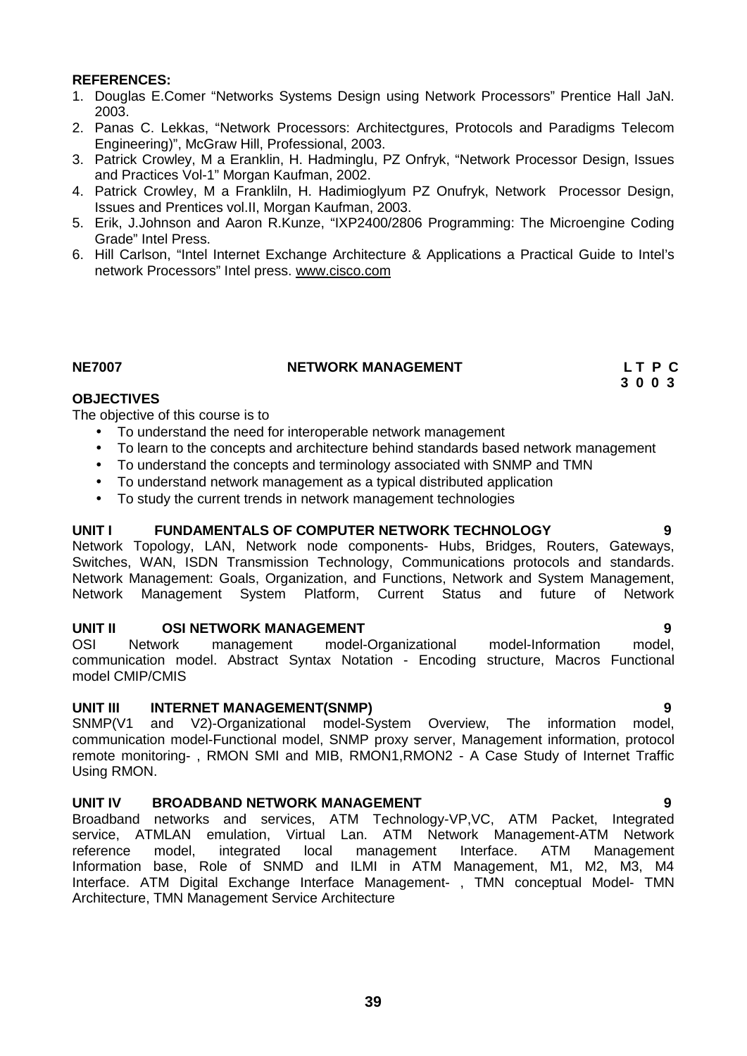- 1. Douglas E.Comer "Networks Systems Design using Network Processors" Prentice Hall JaN. 2003.
- 2. Panas C. Lekkas, "Network Processors: Architectgures, Protocols and Paradigms Telecom Engineering)", McGraw Hill, Professional, 2003.
- 3. Patrick Crowley, M a Eranklin, H. Hadminglu, PZ Onfryk, "Network Processor Design, Issues and Practices Vol-1" Morgan Kaufman, 2002.
- 4. Patrick Crowley, M a Frankliln, H. Hadimioglyum PZ Onufryk, Network Processor Design, Issues and Prentices vol.II, Morgan Kaufman, 2003.
- 5. Erik, J.Johnson and Aaron R.Kunze, "IXP2400/2806 Programming: The Microengine Coding Grade" Intel Press.
- 6. Hill Carlson, "Intel Internet Exchange Architecture & Applications a Practical Guide to Intel's network Processors" Intel press. www.cisco.com

# **NE7007 NETWORK MANAGEMENT L T P C**

**3 0 0 3**

# **OBJECTIVES**

The objective of this course is to

- To understand the need for interoperable network management
- To learn to the concepts and architecture behind standards based network management
- To understand the concepts and terminology associated with SNMP and TMN
- To understand network management as a typical distributed application
- To study the current trends in network management technologies

# **UNIT I FUNDAMENTALS OF COMPUTER NETWORK TECHNOLOGY 9**

Network Topology, LAN, Network node components- Hubs, Bridges, Routers, Gateways, Switches, WAN, ISDN Transmission Technology, Communications protocols and standards. Network Management: Goals, Organization, and Functions, Network and System Management, Network Management System Platform, Current Status and future of Network

### **UNIT II OSI NETWORK MANAGEMENT 9**

OSI Network management model-Organizational model-Information model, communication model. Abstract Syntax Notation - Encoding structure, Macros Functional model CMIP/CMIS

### **UNIT III INTERNET MANAGEMENT(SNMP) 9**

SNMP(V1 and V2)-Organizational model-System Overview, The information model, communication model-Functional model, SNMP proxy server, Management information, protocol remote monitoring- , RMON SMI and MIB, RMON1,RMON2 - A Case Study of Internet Traffic Using RMON.

# **UNIT IV BROADBAND NETWORK MANAGEMENT 9**

Broadband networks and services, ATM Technology-VP,VC, ATM Packet, Integrated service, ATMLAN emulation, Virtual Lan. ATM Network Management-ATM Network reference model, integrated local management Interface. ATM Management Information base, Role of SNMD and ILMI in ATM Management, M1, M2, M3, M4 Interface. ATM Digital Exchange Interface Management- , TMN conceptual Model- TMN Architecture, TMN Management Service Architecture

# **39**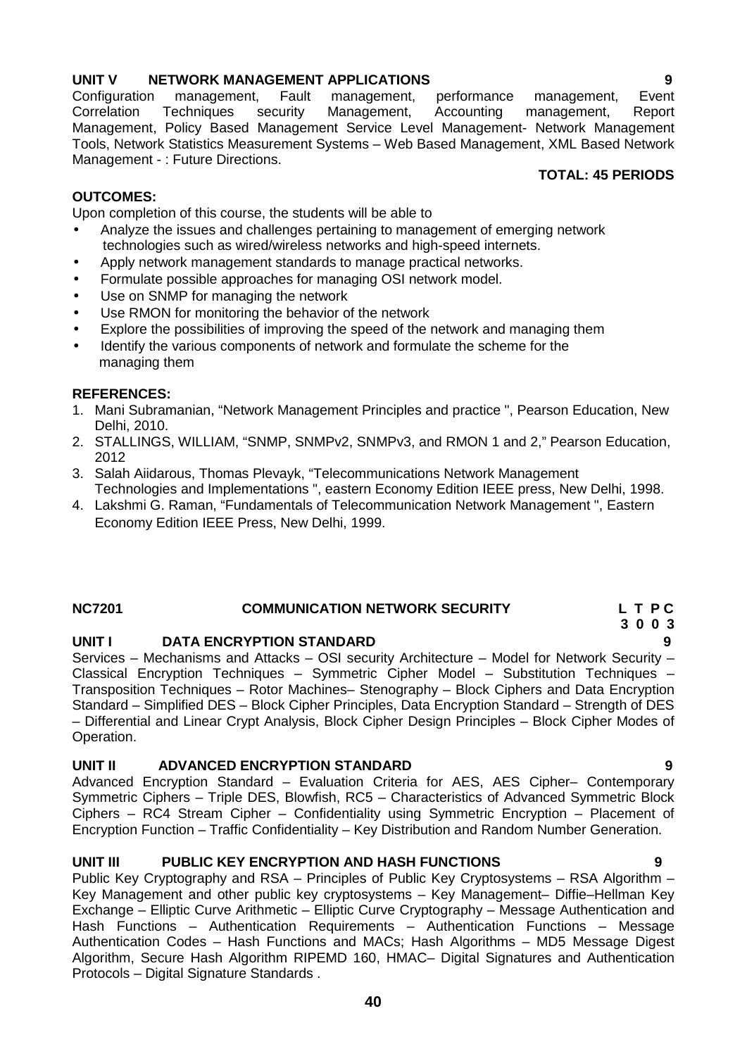**UNIT V NETWORK MANAGEMENT APPLICATIONS 9** Configuration management, Fault management, performance management, Correlation Techniques security Management, Accounting management, Report Management, Policy Based Management Service Level Management- Network Management Tools, Network Statistics Measurement Systems – Web Based Management, XML Based Network Management - : Future Directions. **TOTAL: 45 PERIODS**

# **OUTCOMES:**

Upon completion of this course, the students will be able to

- Analyze the issues and challenges pertaining to management of emerging network technologies such as wired/wireless networks and high-speed internets.
- Apply network management standards to manage practical networks.
- Formulate possible approaches for managing OSI network model.
- Use on SNMP for managing the network
- Use RMON for monitoring the behavior of the network
- Explore the possibilities of improving the speed of the network and managing them
- Identify the various components of network and formulate the scheme for the managing them

# **REFERENCES:**

- 1. Mani Subramanian, "Network Management Principles and practice ", Pearson Education, New Delhi, 2010.
- 2. STALLINGS, WILLIAM, "SNMP, SNMPv2, SNMPv3, and RMON 1 and 2," Pearson Education, 2012
- 3. Salah Aiidarous, Thomas Plevayk, "Telecommunications Network Management Technologies and Implementations ", eastern Economy Edition IEEE press, New Delhi, 1998.
- 4. Lakshmi G. Raman, "Fundamentals of Telecommunication Network Management ", Eastern Economy Edition IEEE Press, New Delhi, 1999.

# **NC7201 COMMUNICATION NETWORK SECURITY L T P C**

# **UNIT I DATA ENCRYPTION STANDARD 9**

Services – Mechanisms and Attacks – OSI security Architecture – Model for Network Security – Classical Encryption Techniques – Symmetric Cipher Model – Substitution Techniques – Transposition Techniques – Rotor Machines– Stenography – Block Ciphers and Data Encryption Standard – Simplified DES – Block Cipher Principles, Data Encryption Standard – Strength of DES – Differential and Linear Crypt Analysis, Block Cipher Design Principles – Block Cipher Modes of Operation.

# **UNIT II ADVANCED ENCRYPTION STANDARD 9**

Advanced Encryption Standard – Evaluation Criteria for AES, AES Cipher– Contemporary Symmetric Ciphers – Triple DES, Blowfish, RC5 – Characteristics of Advanced Symmetric Block Ciphers – RC4 Stream Cipher – Confidentiality using Symmetric Encryption – Placement of Encryption Function – Traffic Confidentiality – Key Distribution and Random Number Generation.

# **UNIT III PUBLIC KEY ENCRYPTION AND HASH FUNCTIONS 9**

Public Key Cryptography and RSA – Principles of Public Key Cryptosystems – RSA Algorithm – Key Management and other public key cryptosystems – Key Management– Diffie–Hellman Key Exchange – Elliptic Curve Arithmetic – Elliptic Curve Cryptography – Message Authentication and Hash Functions – Authentication Requirements – Authentication Functions – Message Authentication Codes – Hash Functions and MACs; Hash Algorithms – MD5 Message Digest Algorithm, Secure Hash Algorithm RIPEMD 160, HMAC– Digital Signatures and Authentication Protocols – Digital Signature Standards .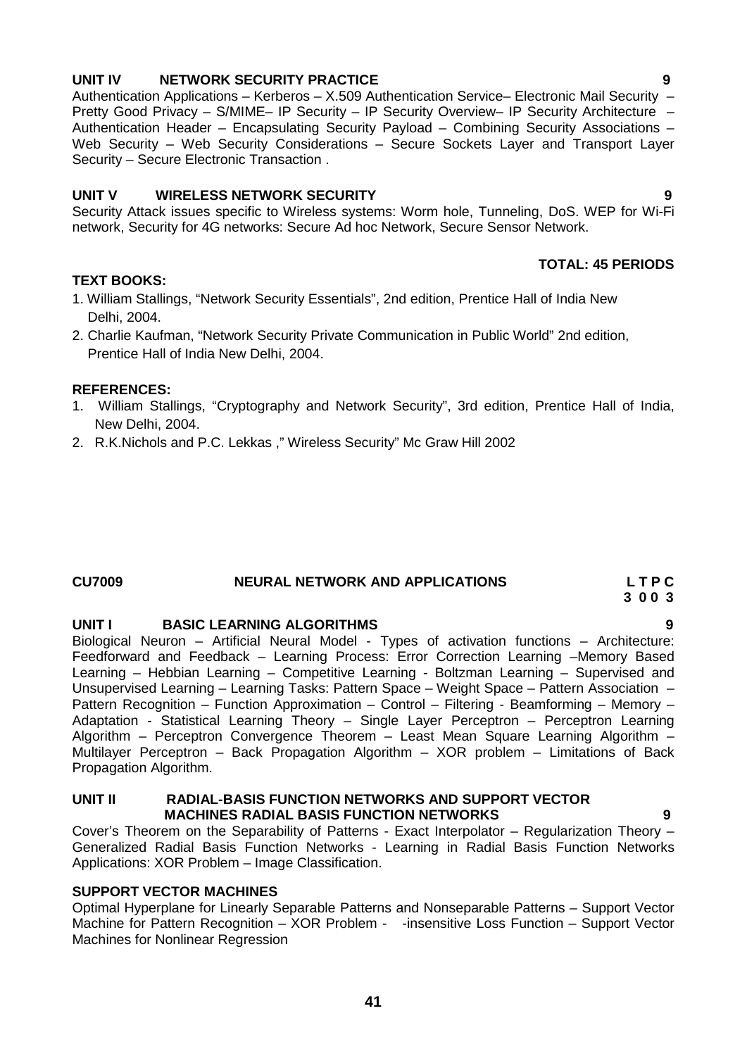# **UNIT IV NETWORK SECURITY PRACTICE 9**

Authentication Applications – Kerberos – X.509 Authentication Service– Electronic Mail Security – Pretty Good Privacy - S/MIME- IP Security - IP Security Overview- IP Security Architecture -Authentication Header – Encapsulating Security Payload – Combining Security Associations – Web Security – Web Security Considerations – Secure Sockets Layer and Transport Layer Security – Secure Electronic Transaction .

# **UNIT V WIRELESS NETWORK SECURITY 9**

Security Attack issues specific to Wireless systems: Worm hole, Tunneling, DoS. WEP for Wi-Fi network, Security for 4G networks: Secure Ad hoc Network, Secure Sensor Network.

# **TEXT BOOKS:**

- 1. William Stallings, "Network Security Essentials", 2nd edition, Prentice Hall of India New Delhi, 2004.
- 2. Charlie Kaufman, "Network Security Private Communication in Public World" 2nd edition, Prentice Hall of India New Delhi, 2004.

# **REFERENCES:**

- 1. William Stallings, "Cryptography and Network Security", 3rd edition, Prentice Hall of India, New Delhi, 2004.
- 2. R.K.Nichols and P.C. Lekkas ," Wireless Security" Mc Graw Hill 2002

# **CU7009 NEURAL NETWORK AND APPLICATIONS L T P C**

# **UNIT I BASIC LEARNING ALGORITHMS 9**

Biological Neuron – Artificial Neural Model - Types of activation functions – Architecture: Feedforward and Feedback – Learning Process: Error Correction Learning –Memory Based Learning – Hebbian Learning – Competitive Learning - Boltzman Learning – Supervised and Unsupervised Learning – Learning Tasks: Pattern Space – Weight Space – Pattern Association – Pattern Recognition – Function Approximation – Control – Filtering - Beamforming – Memory – Adaptation - Statistical Learning Theory – Single Layer Perceptron – Perceptron Learning Algorithm – Perceptron Convergence Theorem – Least Mean Square Learning Algorithm – Multilayer Perceptron – Back Propagation Algorithm – XOR problem – Limitations of Back Propagation Algorithm.

### **UNIT II RADIAL-BASIS FUNCTION NETWORKS AND SUPPORT VECTOR MACHINES RADIAL BASIS FUNCTION NETWORKS 9**

Cover's Theorem on the Separability of Patterns - Exact Interpolator – Regularization Theory – Generalized Radial Basis Function Networks - Learning in Radial Basis Function Networks Applications: XOR Problem – Image Classification.

# **SUPPORT VECTOR MACHINES**

Optimal Hyperplane for Linearly Separable Patterns and Nonseparable Patterns – Support Vector Machine for Pattern Recognition – XOR Problem - -insensitive Loss Function – Support Vector Machines for Nonlinear Regression

**3 0 0 3**

**TOTAL: 45 PERIODS**